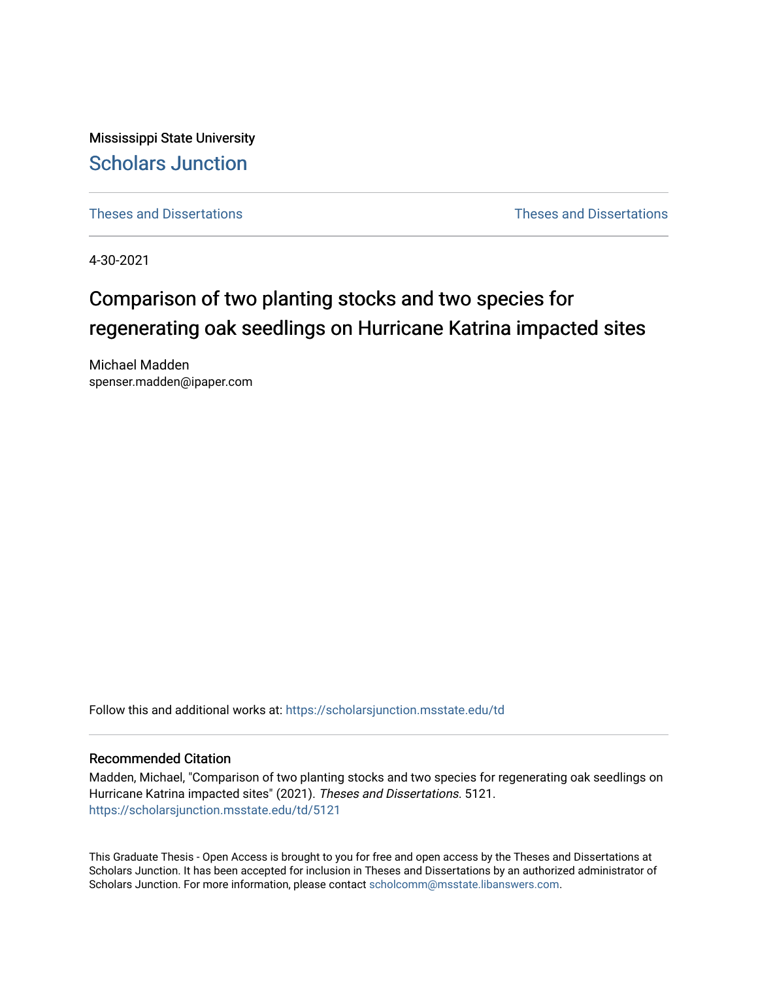Mississippi State University [Scholars Junction](https://scholarsjunction.msstate.edu/) 

[Theses and Dissertations](https://scholarsjunction.msstate.edu/td) [Theses and Dissertations](https://scholarsjunction.msstate.edu/theses-dissertations) 

4-30-2021

# Comparison of two planting stocks and two species for regenerating oak seedlings on Hurricane Katrina impacted sites

Michael Madden spenser.madden@ipaper.com

Follow this and additional works at: [https://scholarsjunction.msstate.edu/td](https://scholarsjunction.msstate.edu/td?utm_source=scholarsjunction.msstate.edu%2Ftd%2F5121&utm_medium=PDF&utm_campaign=PDFCoverPages) 

#### Recommended Citation

Madden, Michael, "Comparison of two planting stocks and two species for regenerating oak seedlings on Hurricane Katrina impacted sites" (2021). Theses and Dissertations. 5121. [https://scholarsjunction.msstate.edu/td/5121](https://scholarsjunction.msstate.edu/td/5121?utm_source=scholarsjunction.msstate.edu%2Ftd%2F5121&utm_medium=PDF&utm_campaign=PDFCoverPages) 

This Graduate Thesis - Open Access is brought to you for free and open access by the Theses and Dissertations at Scholars Junction. It has been accepted for inclusion in Theses and Dissertations by an authorized administrator of Scholars Junction. For more information, please contact [scholcomm@msstate.libanswers.com.](mailto:scholcomm@msstate.libanswers.com)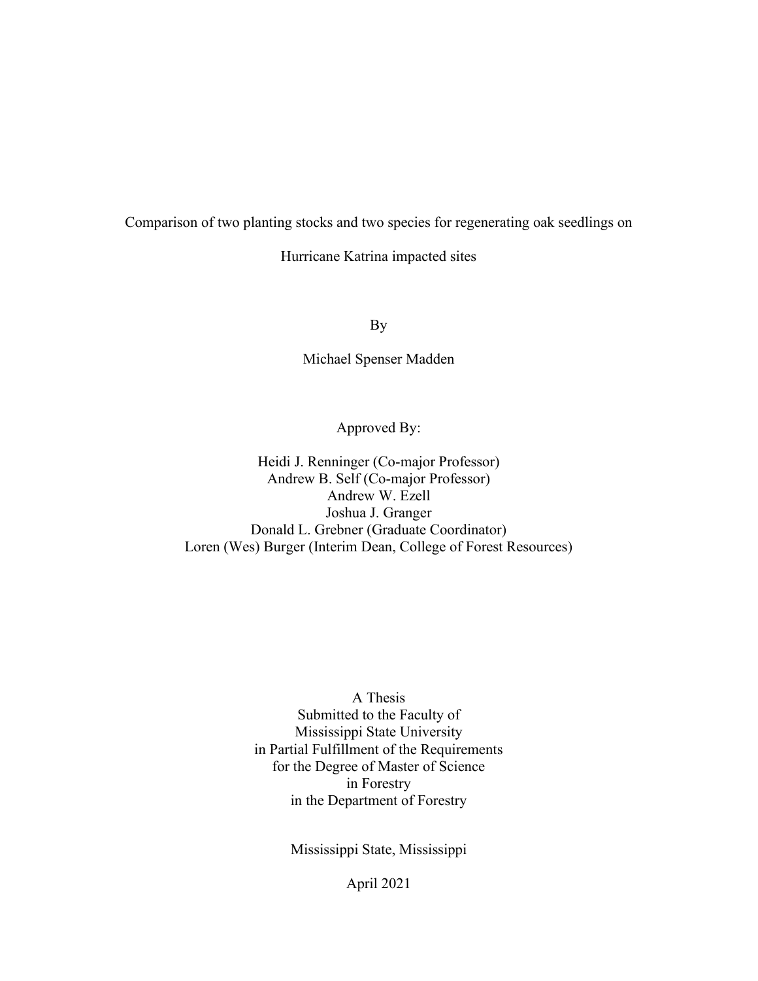Comparison of two planting stocks and two species for regenerating oak seedlings on

Hurricane Katrina impacted sites

By

Michael Spenser Madden

Approved By:

Heidi J. Renninger (Co-major Professor) Andrew B. Self (Co-major Professor) Andrew W. Ezell Joshua J. Granger Donald L. Grebner (Graduate Coordinator) Loren (Wes) Burger (Interim Dean, College of Forest Resources)

> A Thesis Submitted to the Faculty of Mississippi State University in Partial Fulfillment of the Requirements for the Degree of Master of Science in Forestry in the Department of Forestry

> > Mississippi State, Mississippi

April 2021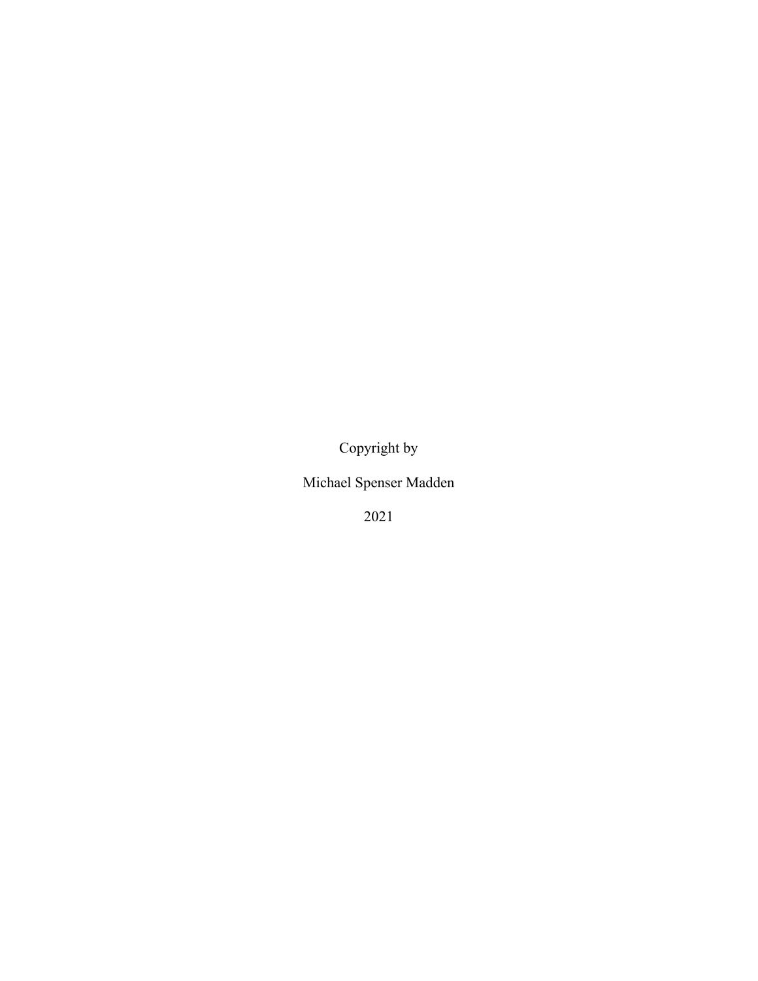Copyright by

Michael Spenser Madden

2021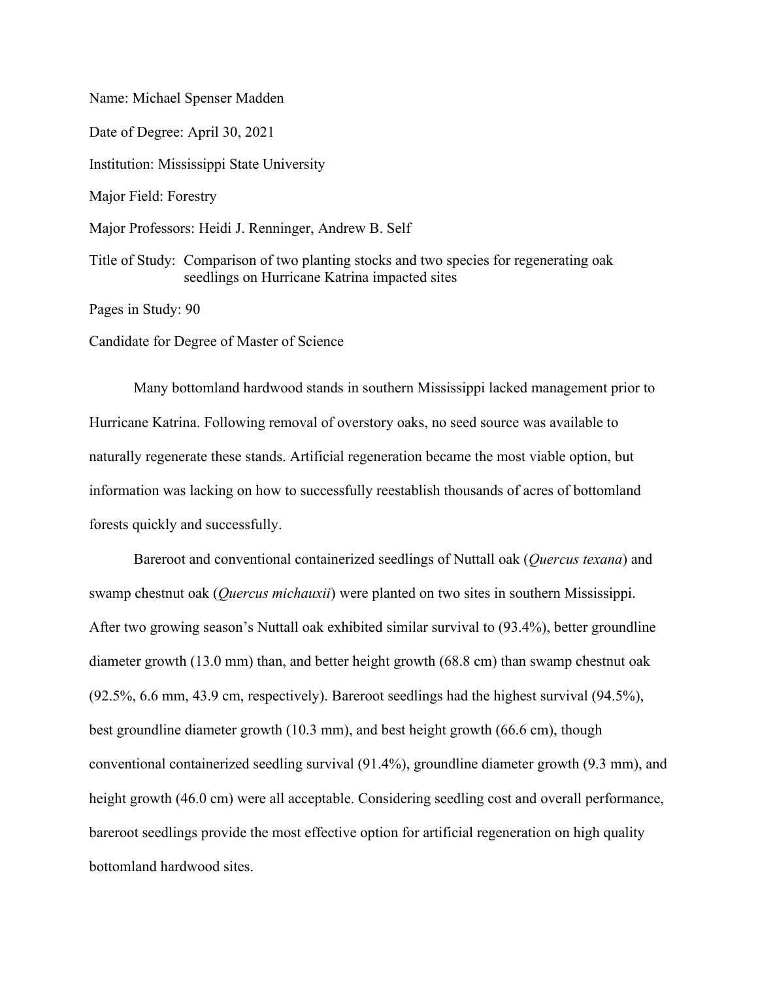Name: Michael Spenser Madden

Date of Degree: April 30, 2021 Institution: Mississippi State University Major Field: Forestry

Major Professors: Heidi J. Renninger, Andrew B. Self

Title of Study: Comparison of two planting stocks and two species for regenerating oak seedlings on Hurricane Katrina impacted sites

Pages in Study: 90

Candidate for Degree of Master of Science

Many bottomland hardwood stands in southern Mississippi lacked management prior to Hurricane Katrina. Following removal of overstory oaks, no seed source was available to naturally regenerate these stands. Artificial regeneration became the most viable option, but information was lacking on how to successfully reestablish thousands of acres of bottomland forests quickly and successfully.

Bareroot and conventional containerized seedlings of Nuttall oak (*Quercus texana*) and swamp chestnut oak (*Quercus michauxii*) were planted on two sites in southern Mississippi. After two growing season's Nuttall oak exhibited similar survival to (93.4%), better groundline diameter growth (13.0 mm) than, and better height growth (68.8 cm) than swamp chestnut oak (92.5%, 6.6 mm, 43.9 cm, respectively). Bareroot seedlings had the highest survival (94.5%), best groundline diameter growth (10.3 mm), and best height growth (66.6 cm), though conventional containerized seedling survival (91.4%), groundline diameter growth (9.3 mm), and height growth (46.0 cm) were all acceptable. Considering seedling cost and overall performance, bareroot seedlings provide the most effective option for artificial regeneration on high quality bottomland hardwood sites.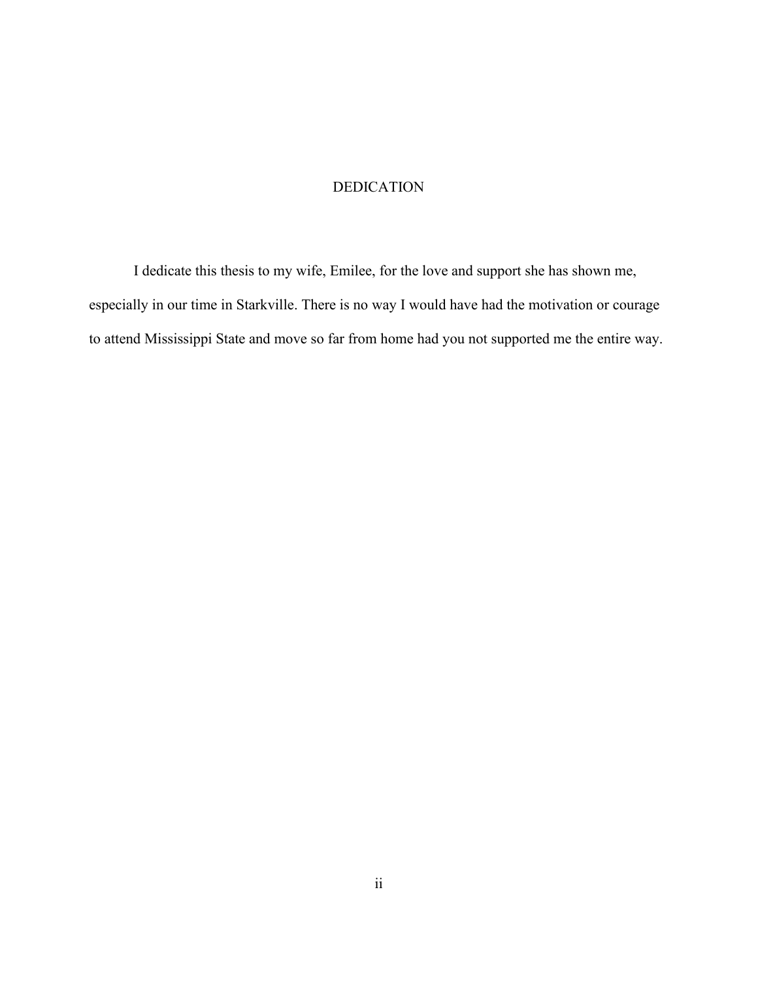### DEDICATION

<span id="page-4-0"></span>I dedicate this thesis to my wife, Emilee, for the love and support she has shown me, especially in our time in Starkville. There is no way I would have had the motivation or courage to attend Mississippi State and move so far from home had you not supported me the entire way.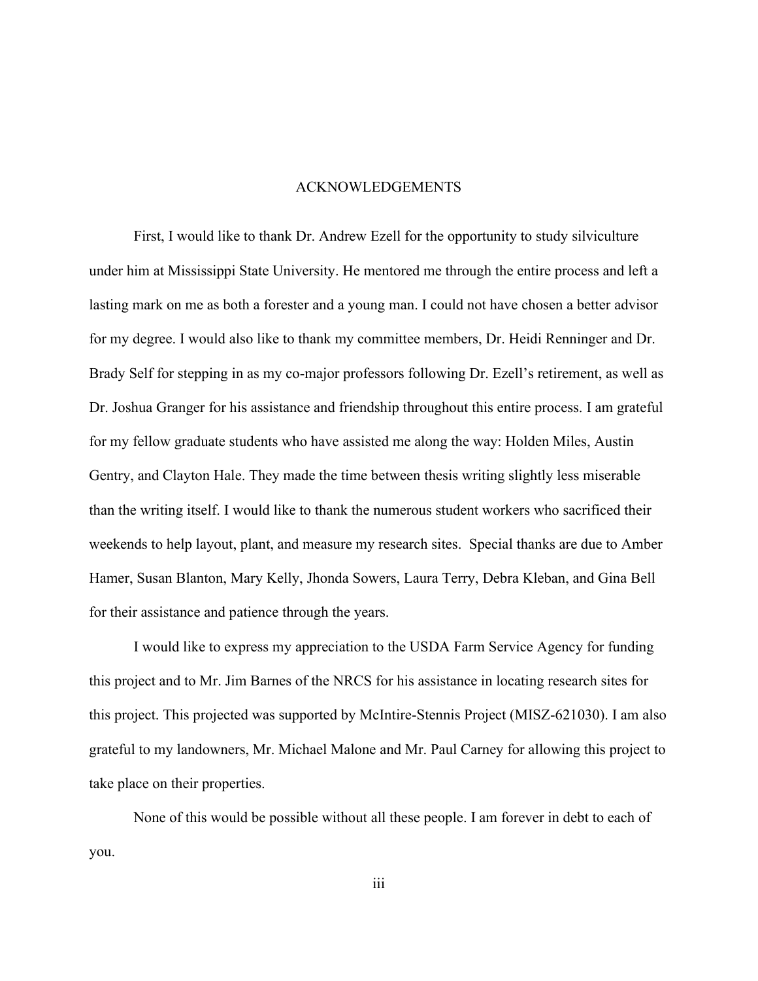#### ACKNOWLEDGEMENTS

<span id="page-5-0"></span>First, I would like to thank Dr. Andrew Ezell for the opportunity to study silviculture under him at Mississippi State University. He mentored me through the entire process and left a lasting mark on me as both a forester and a young man. I could not have chosen a better advisor for my degree. I would also like to thank my committee members, Dr. Heidi Renninger and Dr. Brady Self for stepping in as my co-major professors following Dr. Ezell's retirement, as well as Dr. Joshua Granger for his assistance and friendship throughout this entire process. I am grateful for my fellow graduate students who have assisted me along the way: Holden Miles, Austin Gentry, and Clayton Hale. They made the time between thesis writing slightly less miserable than the writing itself. I would like to thank the numerous student workers who sacrificed their weekends to help layout, plant, and measure my research sites. Special thanks are due to Amber Hamer, Susan Blanton, Mary Kelly, Jhonda Sowers, Laura Terry, Debra Kleban, and Gina Bell for their assistance and patience through the years.

I would like to express my appreciation to the USDA Farm Service Agency for funding this project and to Mr. Jim Barnes of the NRCS for his assistance in locating research sites for this project. This projected was supported by McIntire-Stennis Project (MISZ-621030). I am also grateful to my landowners, Mr. Michael Malone and Mr. Paul Carney for allowing this project to take place on their properties.

None of this would be possible without all these people. I am forever in debt to each of you.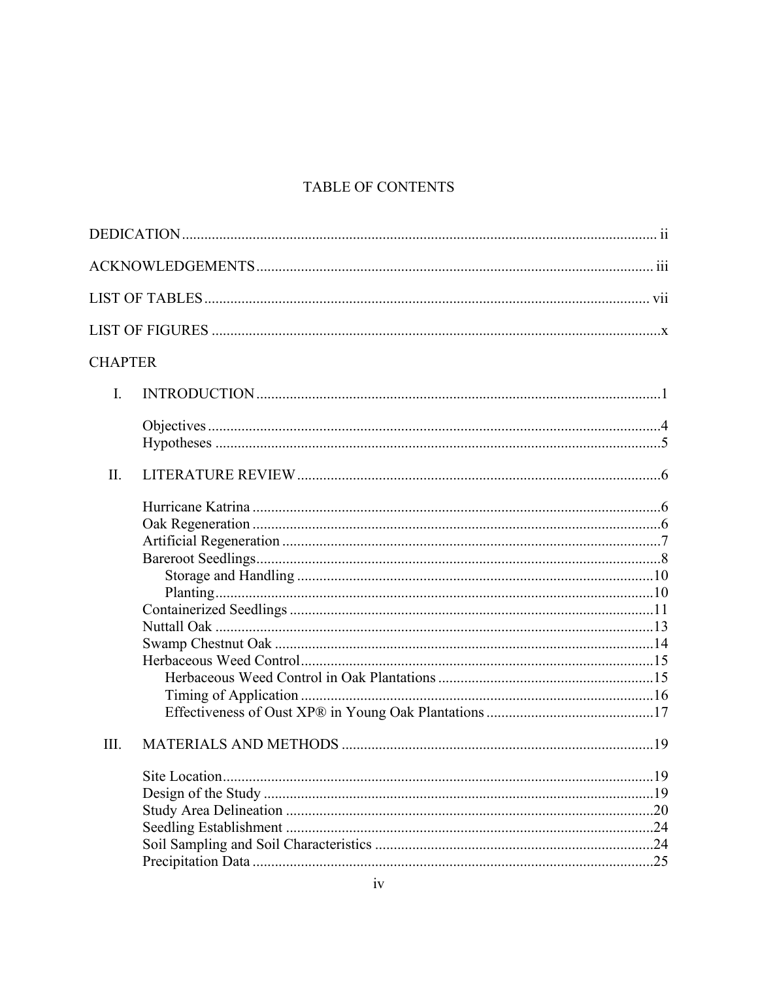# TABLE OF CONTENTS

| <b>CHAPTER</b> |  |
|----------------|--|
| $\mathbf{I}$ . |  |
|                |  |
| II.            |  |
|                |  |
| III.           |  |
|                |  |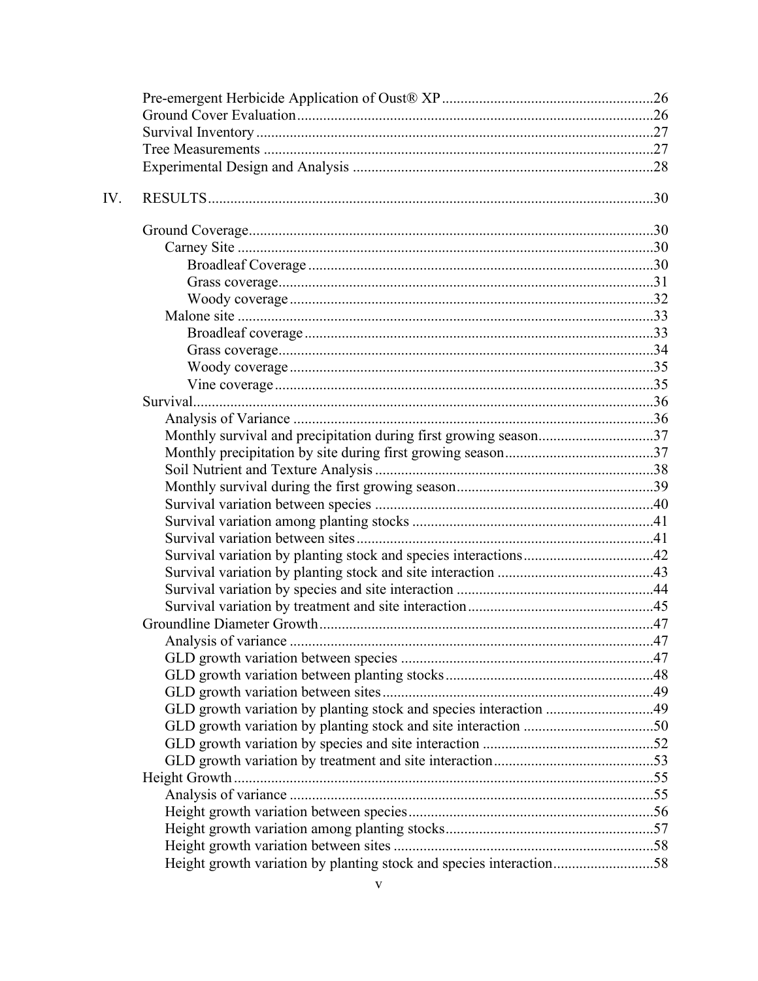| Monthly survival and precipitation during first growing season37    |  |
|---------------------------------------------------------------------|--|
|                                                                     |  |
|                                                                     |  |
|                                                                     |  |
|                                                                     |  |
|                                                                     |  |
|                                                                     |  |
|                                                                     |  |
|                                                                     |  |
|                                                                     |  |
|                                                                     |  |
|                                                                     |  |
|                                                                     |  |
|                                                                     |  |
|                                                                     |  |
|                                                                     |  |
| GLD growth variation by planting stock and species interaction 49   |  |
|                                                                     |  |
|                                                                     |  |
|                                                                     |  |
|                                                                     |  |
|                                                                     |  |
|                                                                     |  |
|                                                                     |  |
|                                                                     |  |
| Height growth variation by planting stock and species interaction58 |  |
|                                                                     |  |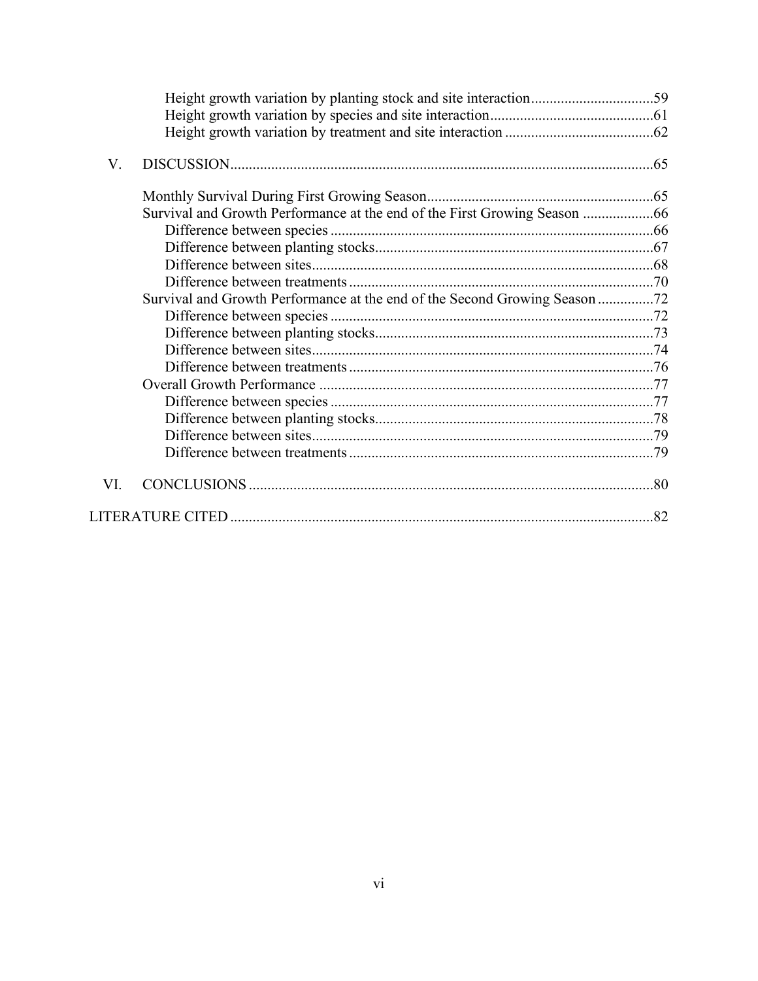| V.                                                                         |  |
|----------------------------------------------------------------------------|--|
|                                                                            |  |
| Survival and Growth Performance at the end of the First Growing Season     |  |
|                                                                            |  |
|                                                                            |  |
|                                                                            |  |
|                                                                            |  |
| Survival and Growth Performance at the end of the Second Growing Season 72 |  |
|                                                                            |  |
|                                                                            |  |
|                                                                            |  |
|                                                                            |  |
|                                                                            |  |
|                                                                            |  |
|                                                                            |  |
|                                                                            |  |
|                                                                            |  |
| VI.                                                                        |  |
|                                                                            |  |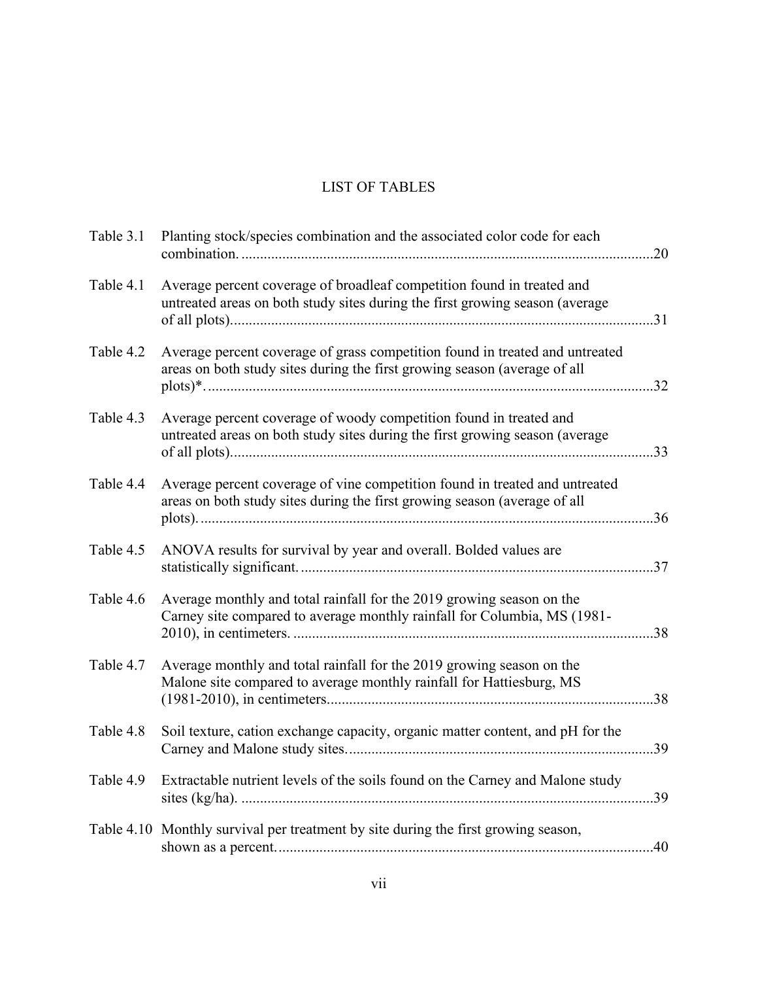## LIST OF TABLES

<span id="page-9-0"></span>

| Table 3.1 | Planting stock/species combination and the associated color code for each                                                                                 |     |
|-----------|-----------------------------------------------------------------------------------------------------------------------------------------------------------|-----|
| Table 4.1 | Average percent coverage of broadleaf competition found in treated and<br>untreated areas on both study sites during the first growing season (average    |     |
| Table 4.2 | Average percent coverage of grass competition found in treated and untreated<br>areas on both study sites during the first growing season (average of all |     |
| Table 4.3 | Average percent coverage of woody competition found in treated and<br>untreated areas on both study sites during the first growing season (average        |     |
| Table 4.4 | Average percent coverage of vine competition found in treated and untreated<br>areas on both study sites during the first growing season (average of all  |     |
| Table 4.5 | ANOVA results for survival by year and overall. Bolded values are                                                                                         |     |
| Table 4.6 | Average monthly and total rainfall for the 2019 growing season on the<br>Carney site compared to average monthly rainfall for Columbia, MS (1981-         |     |
| Table 4.7 | Average monthly and total rainfall for the 2019 growing season on the<br>Malone site compared to average monthly rainfall for Hattiesburg, MS             | .38 |
| Table 4.8 | Soil texture, cation exchange capacity, organic matter content, and pH for the                                                                            | .39 |
| Table 4.9 | Extractable nutrient levels of the soils found on the Carney and Malone study                                                                             |     |
|           | Table 4.10 Monthly survival per treatment by site during the first growing season,                                                                        | .40 |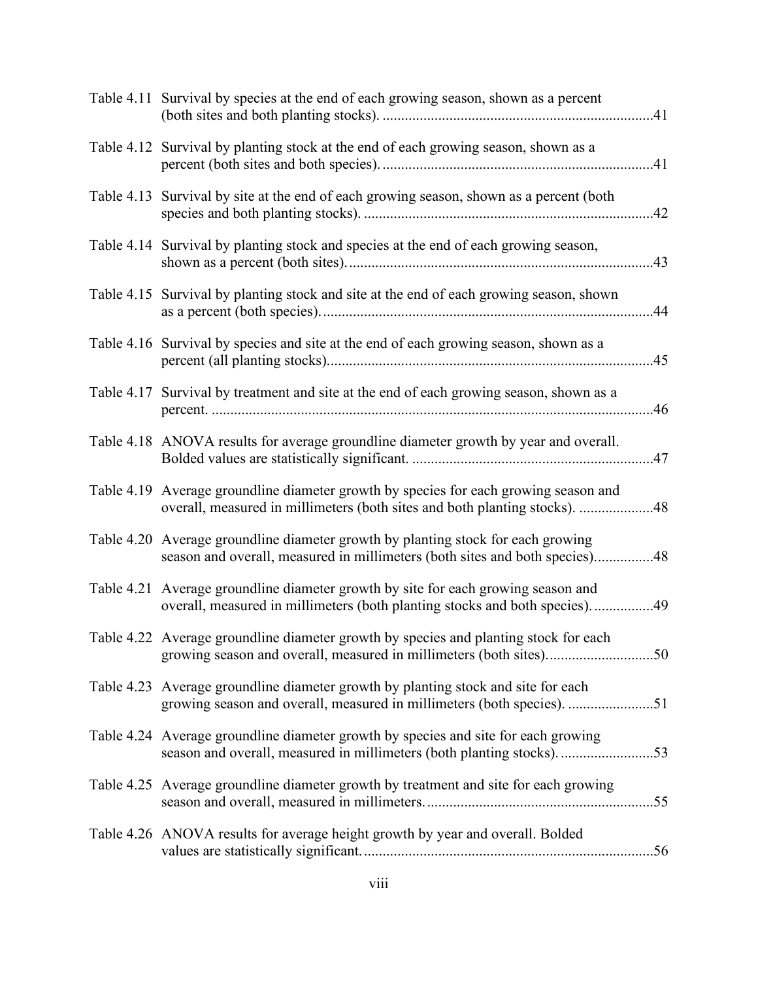| Table 4.11 Survival by species at the end of each growing season, shown as a percent                                                                               |     |
|--------------------------------------------------------------------------------------------------------------------------------------------------------------------|-----|
| Table 4.12 Survival by planting stock at the end of each growing season, shown as a                                                                                |     |
| Table 4.13 Survival by site at the end of each growing season, shown as a percent (both                                                                            | .42 |
| Table 4.14 Survival by planting stock and species at the end of each growing season,                                                                               |     |
| Table 4.15 Survival by planting stock and site at the end of each growing season, shown                                                                            |     |
| Table 4.16 Survival by species and site at the end of each growing season, shown as a                                                                              |     |
| Table 4.17 Survival by treatment and site at the end of each growing season, shown as a                                                                            | 46  |
| Table 4.18 ANOVA results for average groundline diameter growth by year and overall.                                                                               |     |
| Table 4.19 Average groundline diameter growth by species for each growing season and<br>overall, measured in millimeters (both sites and both planting stocks). 48 |     |
| Table 4.20 Average groundline diameter growth by planting stock for each growing<br>season and overall, measured in millimeters (both sites and both species)48    |     |
| Table 4.21 Average groundline diameter growth by site for each growing season and<br>overall, measured in millimeters (both planting stocks and both species)49    |     |
| Table 4.22 Average groundline diameter growth by species and planting stock for each<br>growing season and overall, measured in millimeters (both sites)50         |     |
| Table 4.23 Average groundline diameter growth by planting stock and site for each<br>growing season and overall, measured in millimeters (both species). 51        |     |
| Table 4.24 Average groundline diameter growth by species and site for each growing<br>season and overall, measured in millimeters (both planting stocks)53         |     |
| Table 4.25 Average groundline diameter growth by treatment and site for each growing                                                                               |     |
| Table 4.26 ANOVA results for average height growth by year and overall. Bolded                                                                                     |     |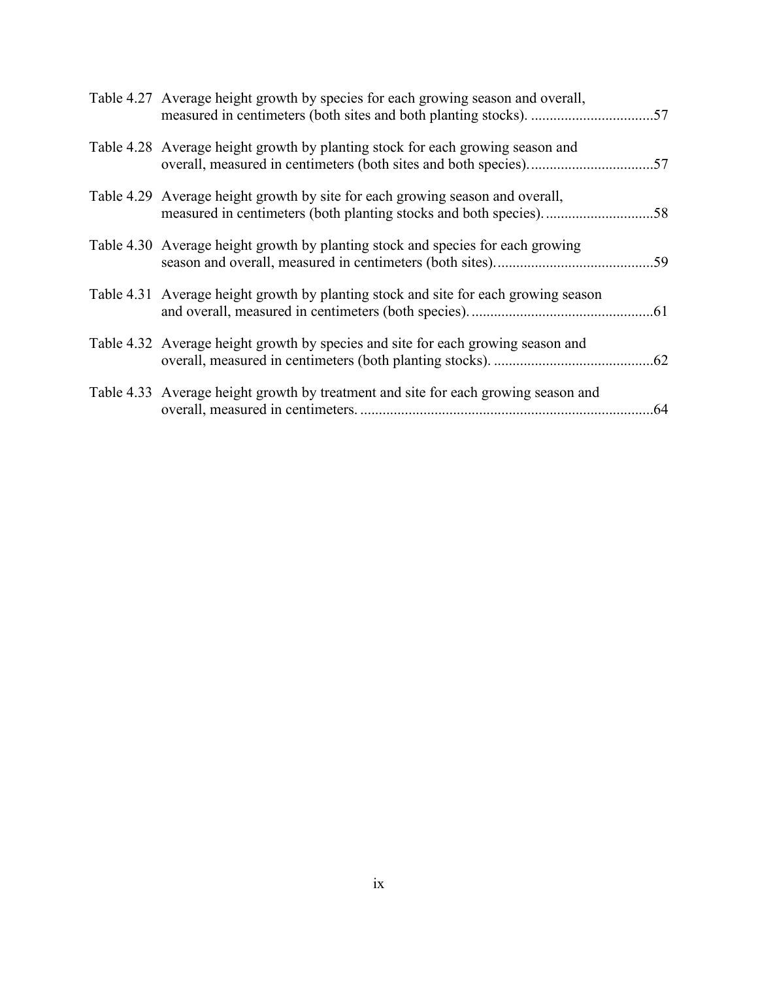| Table 4.27 Average height growth by species for each growing season and overall,    |     |
|-------------------------------------------------------------------------------------|-----|
| Table 4.28 Average height growth by planting stock for each growing season and      |     |
| Table 4.29 Average height growth by site for each growing season and overall,       | .58 |
| Table 4.30 Average height growth by planting stock and species for each growing     |     |
| Table 4.31 Average height growth by planting stock and site for each growing season |     |
| Table 4.32 Average height growth by species and site for each growing season and    |     |
| Table 4.33 Average height growth by treatment and site for each growing season and  |     |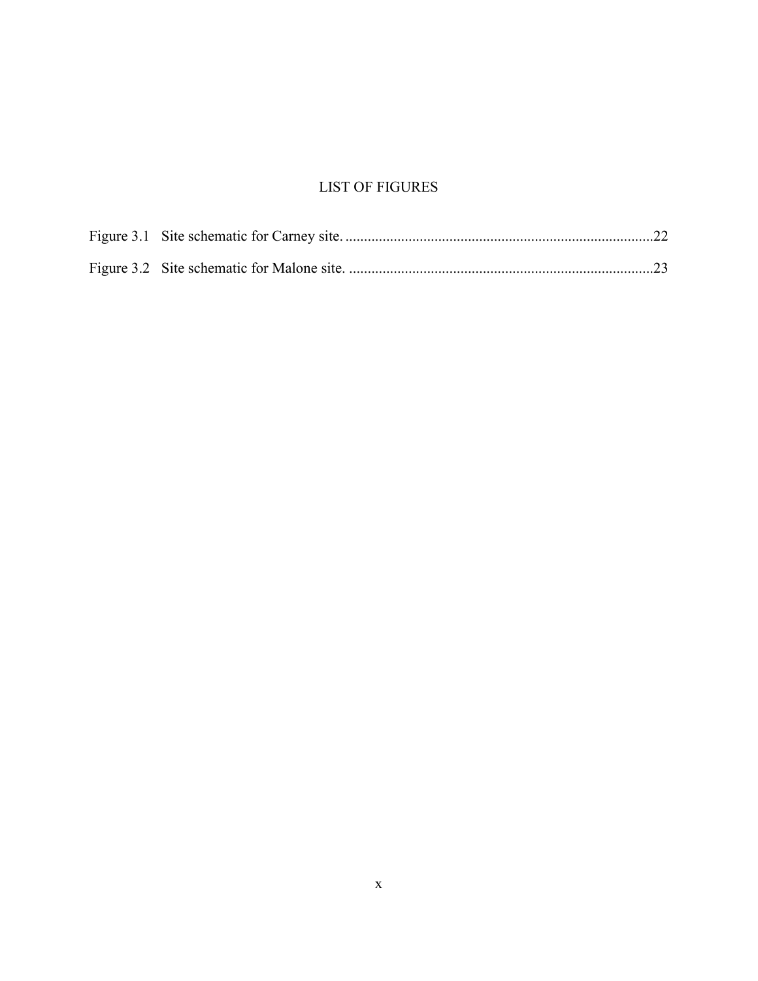# LIST OF FIGURES

<span id="page-12-0"></span>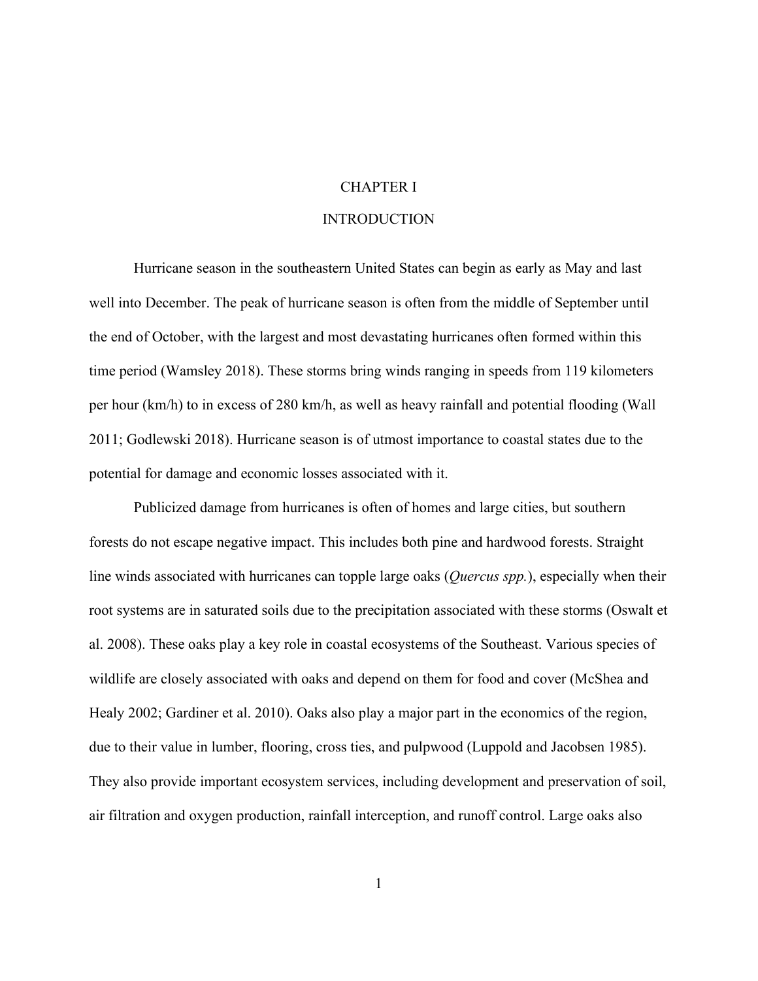#### CHAPTER I

### **INTRODUCTION**

<span id="page-13-1"></span><span id="page-13-0"></span>Hurricane season in the southeastern United States can begin as early as May and last well into December. The peak of hurricane season is often from the middle of September until the end of October, with the largest and most devastating hurricanes often formed within this time period (Wamsley 2018). These storms bring winds ranging in speeds from 119 kilometers per hour (km/h) to in excess of 280 km/h, as well as heavy rainfall and potential flooding (Wall 2011; Godlewski 2018). Hurricane season is of utmost importance to coastal states due to the potential for damage and economic losses associated with it.

Publicized damage from hurricanes is often of homes and large cities, but southern forests do not escape negative impact. This includes both pine and hardwood forests. Straight line winds associated with hurricanes can topple large oaks (*Quercus spp.*), especially when their root systems are in saturated soils due to the precipitation associated with these storms (Oswalt et al. 2008). These oaks play a key role in coastal ecosystems of the Southeast. Various species of wildlife are closely associated with oaks and depend on them for food and cover (McShea and Healy 2002; Gardiner et al. 2010). Oaks also play a major part in the economics of the region, due to their value in lumber, flooring, cross ties, and pulpwood (Luppold and Jacobsen 1985). They also provide important ecosystem services, including development and preservation of soil, air filtration and oxygen production, rainfall interception, and runoff control. Large oaks also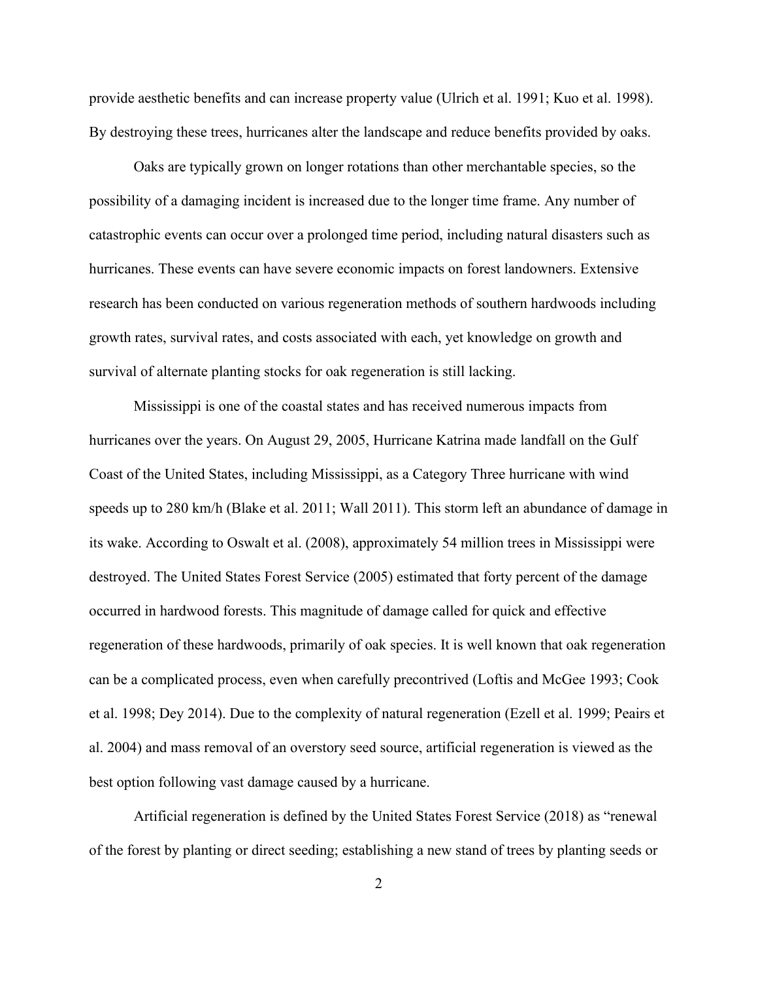provide aesthetic benefits and can increase property value (Ulrich et al. 1991; Kuo et al. 1998). By destroying these trees, hurricanes alter the landscape and reduce benefits provided by oaks.

Oaks are typically grown on longer rotations than other merchantable species, so the possibility of a damaging incident is increased due to the longer time frame. Any number of catastrophic events can occur over a prolonged time period, including natural disasters such as hurricanes. These events can have severe economic impacts on forest landowners. Extensive research has been conducted on various regeneration methods of southern hardwoods including growth rates, survival rates, and costs associated with each, yet knowledge on growth and survival of alternate planting stocks for oak regeneration is still lacking.

Mississippi is one of the coastal states and has received numerous impacts from hurricanes over the years. On August 29, 2005, Hurricane Katrina made landfall on the Gulf Coast of the United States, including Mississippi, as a Category Three hurricane with wind speeds up to 280 km/h (Blake et al. 2011; Wall 2011). This storm left an abundance of damage in its wake. According to Oswalt et al. (2008), approximately 54 million trees in Mississippi were destroyed. The United States Forest Service (2005) estimated that forty percent of the damage occurred in hardwood forests. This magnitude of damage called for quick and effective regeneration of these hardwoods, primarily of oak species. It is well known that oak regeneration can be a complicated process, even when carefully precontrived (Loftis and McGee 1993; Cook et al. 1998; Dey 2014). Due to the complexity of natural regeneration (Ezell et al. 1999; Peairs et al. 2004) and mass removal of an overstory seed source, artificial regeneration is viewed as the best option following vast damage caused by a hurricane.

Artificial regeneration is defined by the United States Forest Service (2018) as "renewal of the forest by planting or direct seeding; establishing a new stand of trees by planting seeds or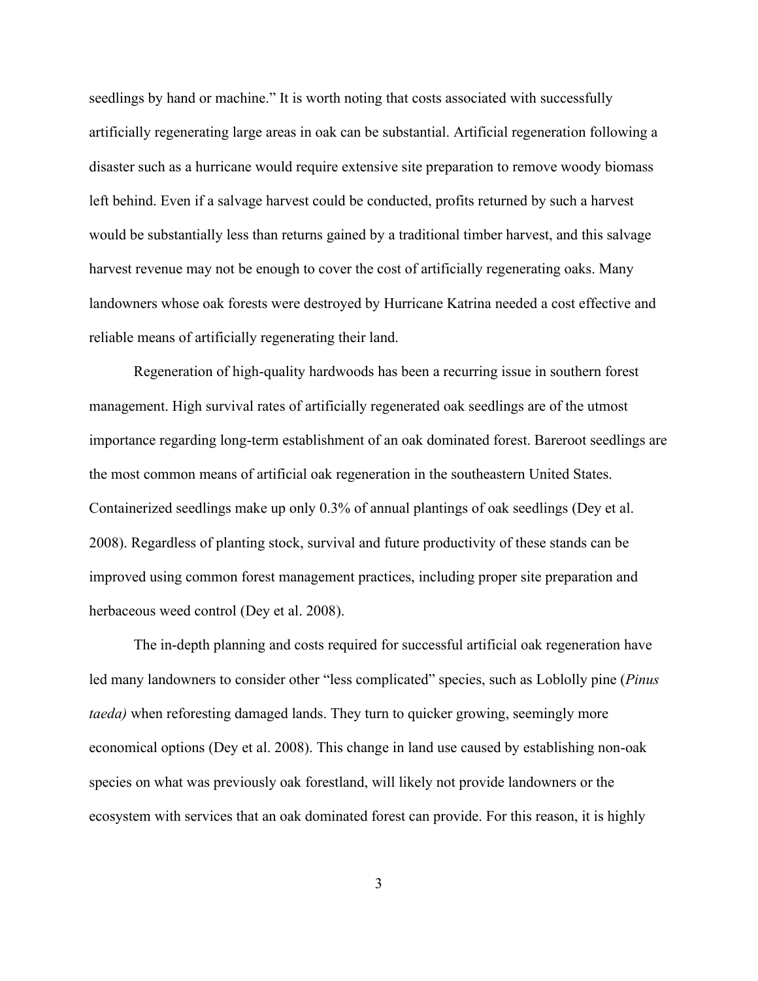seedlings by hand or machine." It is worth noting that costs associated with successfully artificially regenerating large areas in oak can be substantial. Artificial regeneration following a disaster such as a hurricane would require extensive site preparation to remove woody biomass left behind. Even if a salvage harvest could be conducted, profits returned by such a harvest would be substantially less than returns gained by a traditional timber harvest, and this salvage harvest revenue may not be enough to cover the cost of artificially regenerating oaks. Many landowners whose oak forests were destroyed by Hurricane Katrina needed a cost effective and reliable means of artificially regenerating their land.

Regeneration of high-quality hardwoods has been a recurring issue in southern forest management. High survival rates of artificially regenerated oak seedlings are of the utmost importance regarding long-term establishment of an oak dominated forest. Bareroot seedlings are the most common means of artificial oak regeneration in the southeastern United States. Containerized seedlings make up only 0.3% of annual plantings of oak seedlings (Dey et al. 2008). Regardless of planting stock, survival and future productivity of these stands can be improved using common forest management practices, including proper site preparation and herbaceous weed control (Dey et al. 2008).

The in-depth planning and costs required for successful artificial oak regeneration have led many landowners to consider other "less complicated" species, such as Loblolly pine (*Pinus taeda)* when reforesting damaged lands. They turn to quicker growing, seemingly more economical options (Dey et al. 2008). This change in land use caused by establishing non-oak species on what was previously oak forestland, will likely not provide landowners or the ecosystem with services that an oak dominated forest can provide. For this reason, it is highly

3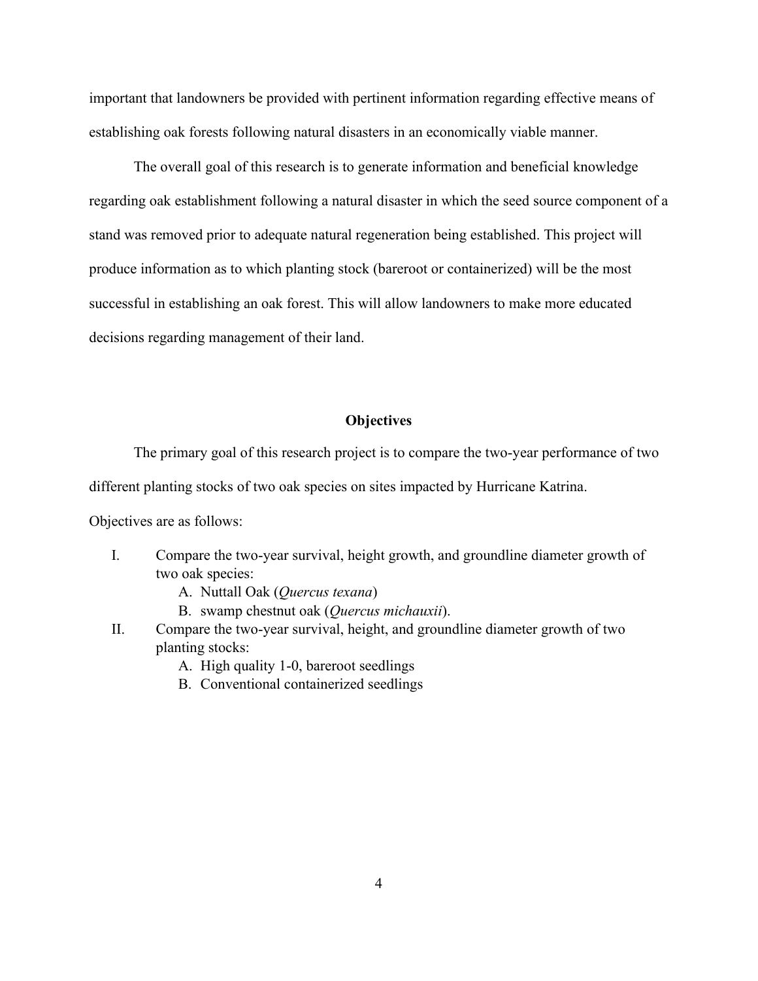important that landowners be provided with pertinent information regarding effective means of establishing oak forests following natural disasters in an economically viable manner.

The overall goal of this research is to generate information and beneficial knowledge regarding oak establishment following a natural disaster in which the seed source component of a stand was removed prior to adequate natural regeneration being established. This project will produce information as to which planting stock (bareroot or containerized) will be the most successful in establishing an oak forest. This will allow landowners to make more educated decisions regarding management of their land.

#### **Objectives**

<span id="page-16-0"></span>The primary goal of this research project is to compare the two-year performance of two different planting stocks of two oak species on sites impacted by Hurricane Katrina.

Objectives are as follows:

- I. Compare the two-year survival, height growth, and groundline diameter growth of two oak species:
	- A. Nuttall Oak (*Quercus texana*)
	- B. swamp chestnut oak (*Quercus michauxii*).
- II. Compare the two-year survival, height, and groundline diameter growth of two planting stocks:
	- A. High quality 1-0, bareroot seedlings
	- B. Conventional containerized seedlings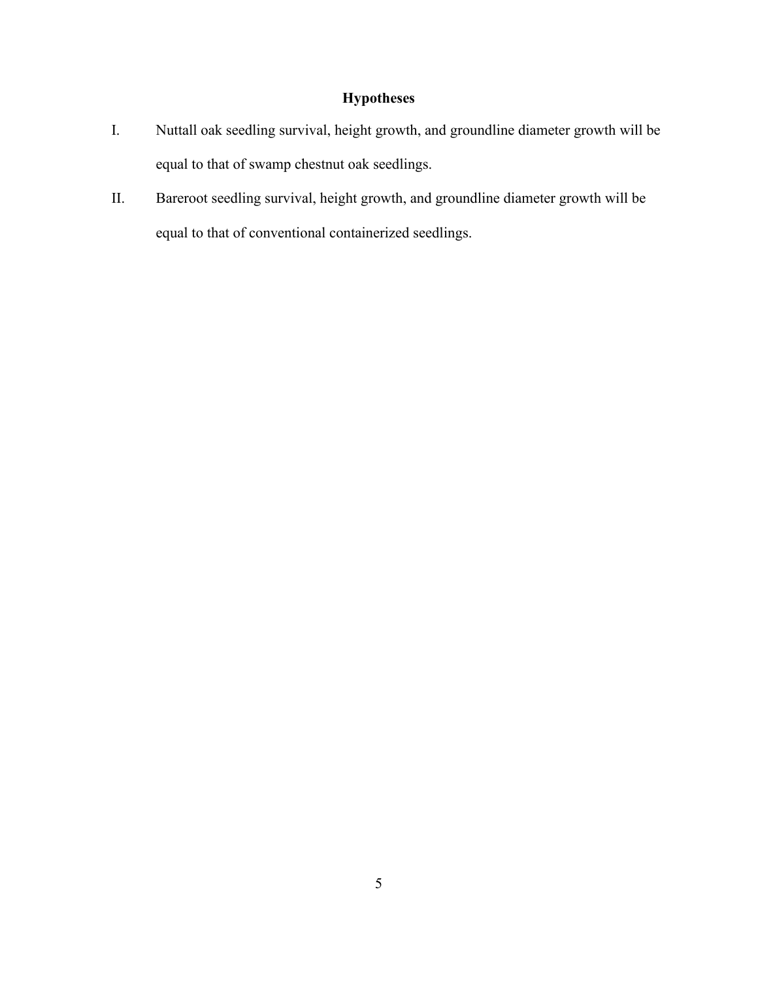## **Hypotheses**

- <span id="page-17-0"></span>I. Nuttall oak seedling survival, height growth, and groundline diameter growth will be equal to that of swamp chestnut oak seedlings.
- II. Bareroot seedling survival, height growth, and groundline diameter growth will be equal to that of conventional containerized seedlings.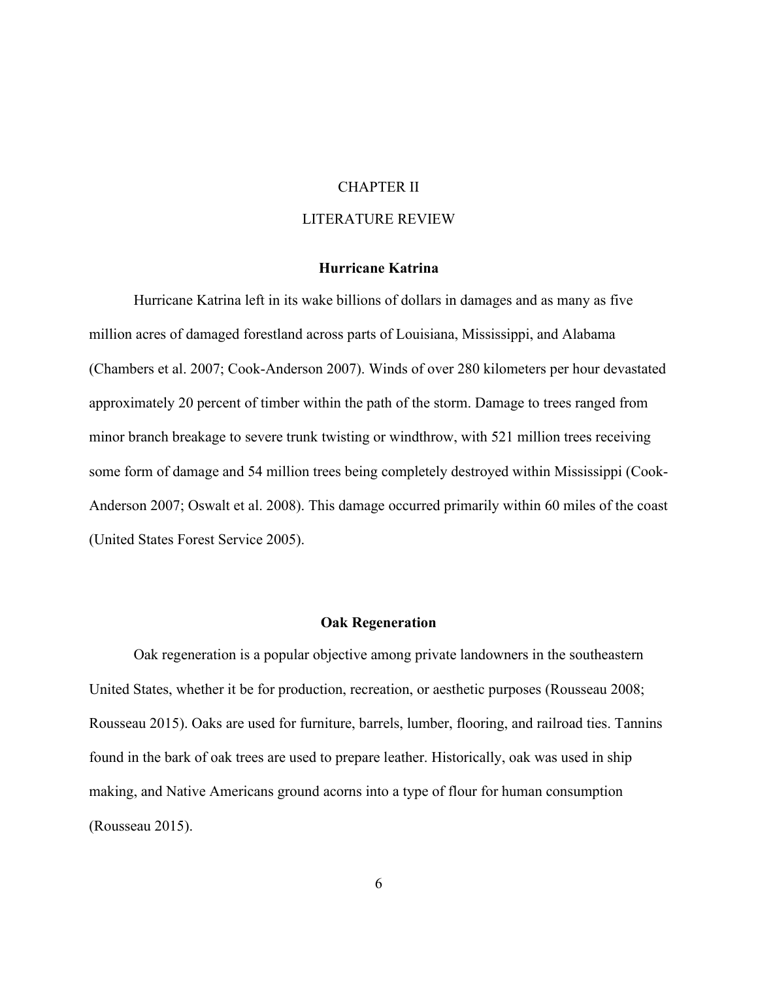#### CHAPTER II

#### LITERATURE REVIEW

#### **Hurricane Katrina**

<span id="page-18-1"></span><span id="page-18-0"></span>Hurricane Katrina left in its wake billions of dollars in damages and as many as five million acres of damaged forestland across parts of Louisiana, Mississippi, and Alabama (Chambers et al. 2007; Cook-Anderson 2007). Winds of over 280 kilometers per hour devastated approximately 20 percent of timber within the path of the storm. Damage to trees ranged from minor branch breakage to severe trunk twisting or windthrow, with 521 million trees receiving some form of damage and 54 million trees being completely destroyed within Mississippi (Cook-Anderson 2007; Oswalt et al. 2008). This damage occurred primarily within 60 miles of the coast (United States Forest Service 2005).

#### **Oak Regeneration**

<span id="page-18-2"></span>Oak regeneration is a popular objective among private landowners in the southeastern United States, whether it be for production, recreation, or aesthetic purposes (Rousseau 2008; Rousseau 2015). Oaks are used for furniture, barrels, lumber, flooring, and railroad ties. Tannins found in the bark of oak trees are used to prepare leather. Historically, oak was used in ship making, and Native Americans ground acorns into a type of flour for human consumption (Rousseau 2015).

6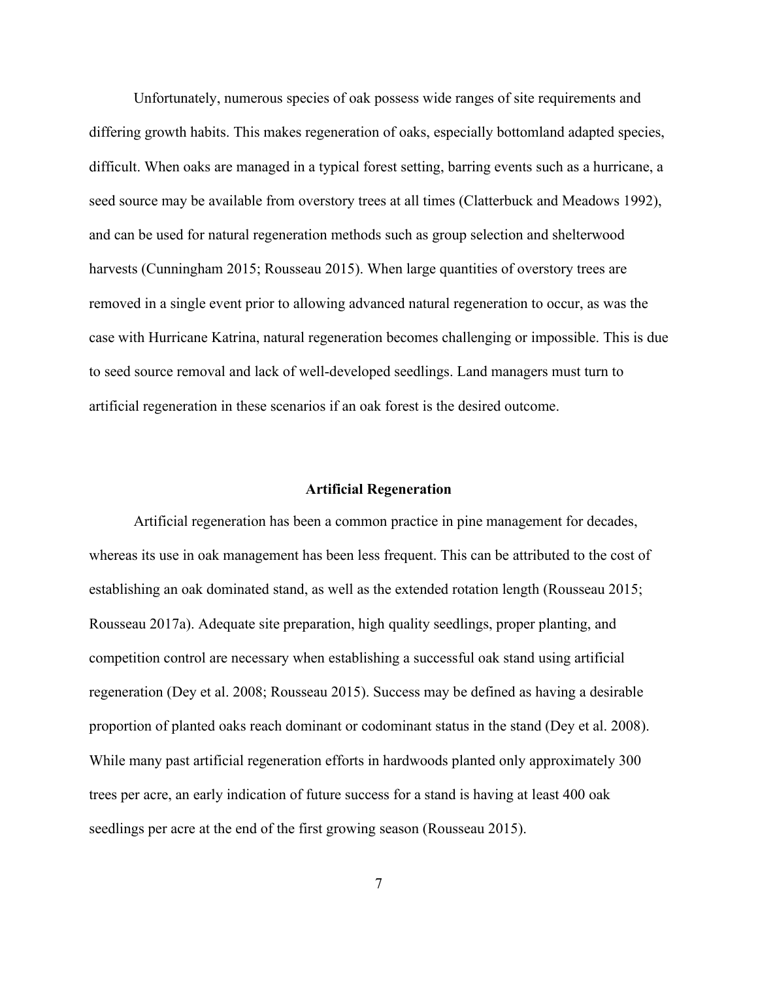Unfortunately, numerous species of oak possess wide ranges of site requirements and differing growth habits. This makes regeneration of oaks, especially bottomland adapted species, difficult. When oaks are managed in a typical forest setting, barring events such as a hurricane, a seed source may be available from overstory trees at all times (Clatterbuck and Meadows 1992), and can be used for natural regeneration methods such as group selection and shelterwood harvests (Cunningham 2015; Rousseau 2015). When large quantities of overstory trees are removed in a single event prior to allowing advanced natural regeneration to occur, as was the case with Hurricane Katrina, natural regeneration becomes challenging or impossible. This is due to seed source removal and lack of well-developed seedlings. Land managers must turn to artificial regeneration in these scenarios if an oak forest is the desired outcome.

#### **Artificial Regeneration**

<span id="page-19-0"></span>Artificial regeneration has been a common practice in pine management for decades, whereas its use in oak management has been less frequent. This can be attributed to the cost of establishing an oak dominated stand, as well as the extended rotation length (Rousseau 2015; Rousseau 2017a). Adequate site preparation, high quality seedlings, proper planting, and competition control are necessary when establishing a successful oak stand using artificial regeneration (Dey et al. 2008; Rousseau 2015). Success may be defined as having a desirable proportion of planted oaks reach dominant or codominant status in the stand (Dey et al. 2008). While many past artificial regeneration efforts in hardwoods planted only approximately 300 trees per acre, an early indication of future success for a stand is having at least 400 oak seedlings per acre at the end of the first growing season (Rousseau 2015).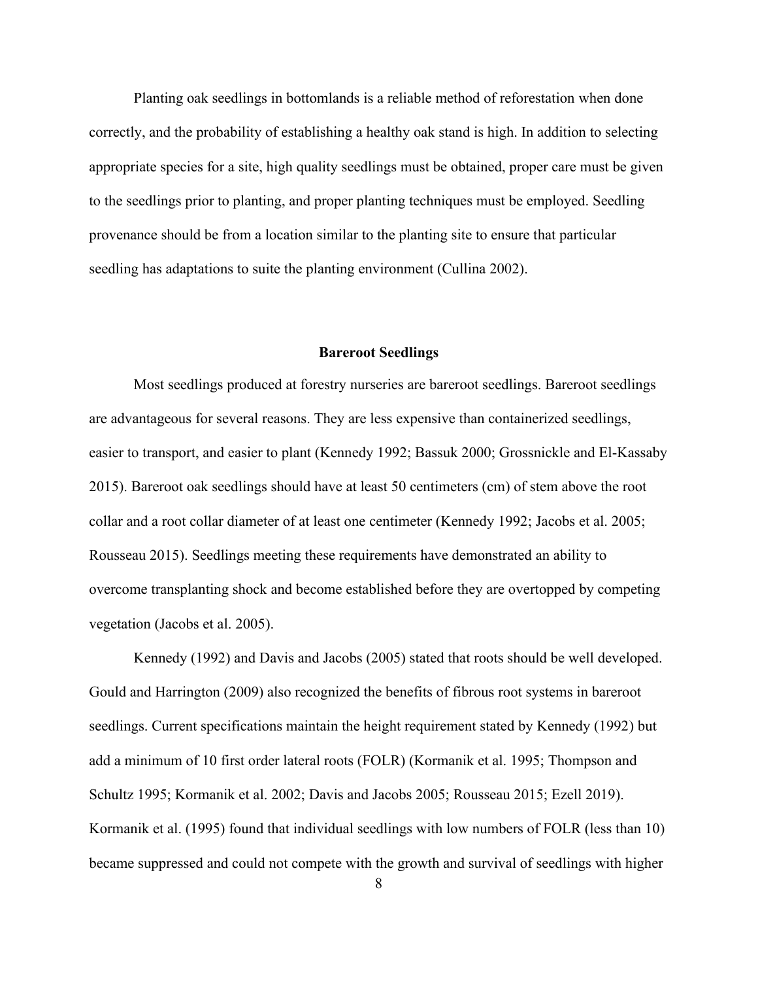Planting oak seedlings in bottomlands is a reliable method of reforestation when done correctly, and the probability of establishing a healthy oak stand is high. In addition to selecting appropriate species for a site, high quality seedlings must be obtained, proper care must be given to the seedlings prior to planting, and proper planting techniques must be employed. Seedling provenance should be from a location similar to the planting site to ensure that particular seedling has adaptations to suite the planting environment (Cullina 2002).

#### **Bareroot Seedlings**

<span id="page-20-0"></span>Most seedlings produced at forestry nurseries are bareroot seedlings. Bareroot seedlings are advantageous for several reasons. They are less expensive than containerized seedlings, easier to transport, and easier to plant (Kennedy 1992; Bassuk 2000; Grossnickle and El-Kassaby 2015). Bareroot oak seedlings should have at least 50 centimeters (cm) of stem above the root collar and a root collar diameter of at least one centimeter (Kennedy 1992; Jacobs et al. 2005; Rousseau 2015). Seedlings meeting these requirements have demonstrated an ability to overcome transplanting shock and become established before they are overtopped by competing vegetation (Jacobs et al. 2005).

Kennedy (1992) and Davis and Jacobs (2005) stated that roots should be well developed. Gould and Harrington (2009) also recognized the benefits of fibrous root systems in bareroot seedlings. Current specifications maintain the height requirement stated by Kennedy (1992) but add a minimum of 10 first order lateral roots (FOLR) (Kormanik et al. 1995; Thompson and Schultz 1995; Kormanik et al. 2002; Davis and Jacobs 2005; Rousseau 2015; Ezell 2019). Kormanik et al. (1995) found that individual seedlings with low numbers of FOLR (less than 10) became suppressed and could not compete with the growth and survival of seedlings with higher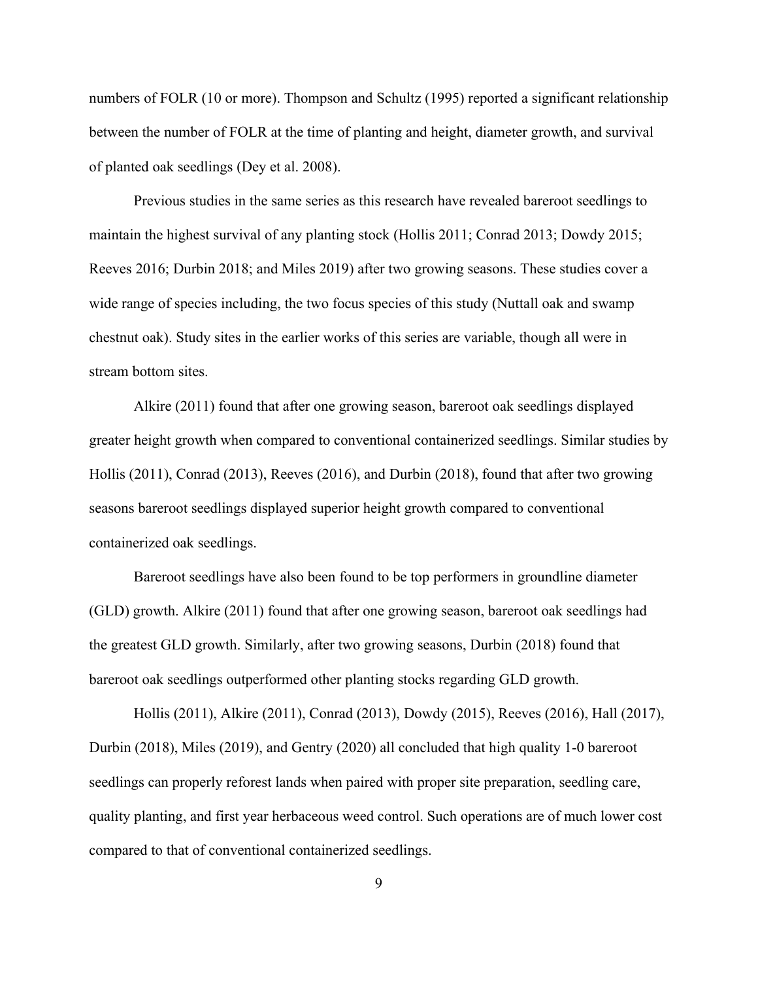numbers of FOLR (10 or more). Thompson and Schultz (1995) reported a significant relationship between the number of FOLR at the time of planting and height, diameter growth, and survival of planted oak seedlings (Dey et al. 2008).

Previous studies in the same series as this research have revealed bareroot seedlings to maintain the highest survival of any planting stock (Hollis 2011; Conrad 2013; Dowdy 2015; Reeves 2016; Durbin 2018; and Miles 2019) after two growing seasons. These studies cover a wide range of species including, the two focus species of this study (Nuttall oak and swamp chestnut oak). Study sites in the earlier works of this series are variable, though all were in stream bottom sites.

Alkire (2011) found that after one growing season, bareroot oak seedlings displayed greater height growth when compared to conventional containerized seedlings. Similar studies by Hollis (2011), Conrad (2013), Reeves (2016), and Durbin (2018), found that after two growing seasons bareroot seedlings displayed superior height growth compared to conventional containerized oak seedlings.

Bareroot seedlings have also been found to be top performers in groundline diameter (GLD) growth. Alkire (2011) found that after one growing season, bareroot oak seedlings had the greatest GLD growth. Similarly, after two growing seasons, Durbin (2018) found that bareroot oak seedlings outperformed other planting stocks regarding GLD growth.

Hollis (2011), Alkire (2011), Conrad (2013), Dowdy (2015), Reeves (2016), Hall (2017), Durbin (2018), Miles (2019), and Gentry (2020) all concluded that high quality 1-0 bareroot seedlings can properly reforest lands when paired with proper site preparation, seedling care, quality planting, and first year herbaceous weed control. Such operations are of much lower cost compared to that of conventional containerized seedlings.

9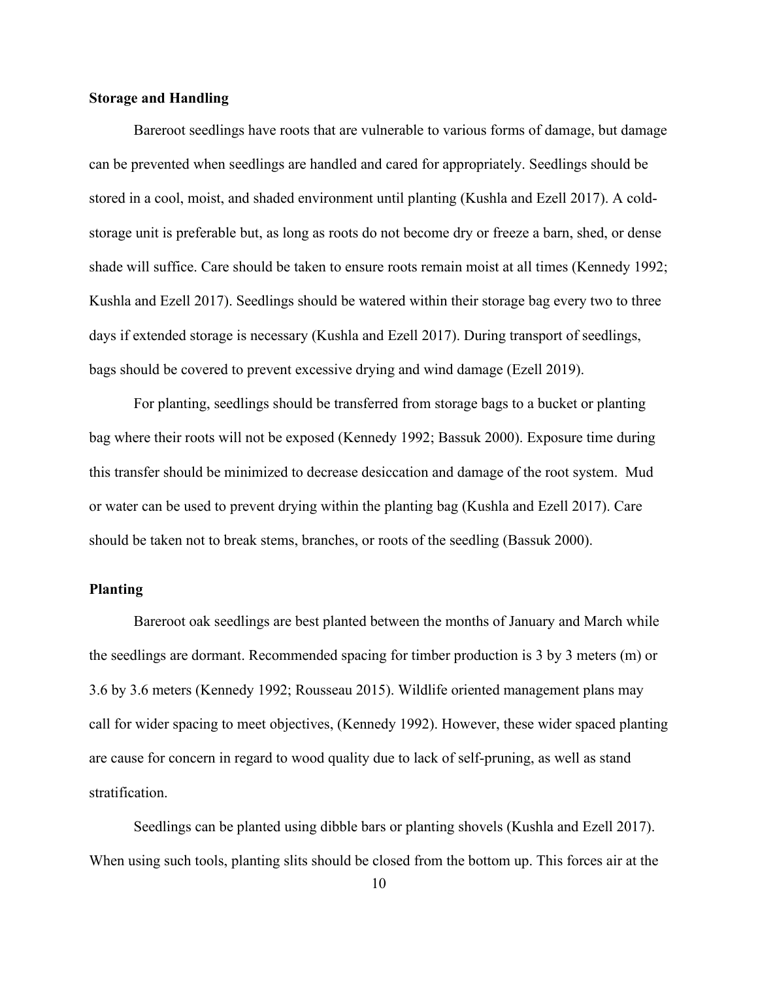#### <span id="page-22-0"></span>**Storage and Handling**

Bareroot seedlings have roots that are vulnerable to various forms of damage, but damage can be prevented when seedlings are handled and cared for appropriately. Seedlings should be stored in a cool, moist, and shaded environment until planting (Kushla and Ezell 2017). A coldstorage unit is preferable but, as long as roots do not become dry or freeze a barn, shed, or dense shade will suffice. Care should be taken to ensure roots remain moist at all times (Kennedy 1992; Kushla and Ezell 2017). Seedlings should be watered within their storage bag every two to three days if extended storage is necessary (Kushla and Ezell 2017). During transport of seedlings, bags should be covered to prevent excessive drying and wind damage (Ezell 2019).

For planting, seedlings should be transferred from storage bags to a bucket or planting bag where their roots will not be exposed (Kennedy 1992; Bassuk 2000). Exposure time during this transfer should be minimized to decrease desiccation and damage of the root system. Mud or water can be used to prevent drying within the planting bag (Kushla and Ezell 2017). Care should be taken not to break stems, branches, or roots of the seedling (Bassuk 2000).

#### <span id="page-22-1"></span>**Planting**

Bareroot oak seedlings are best planted between the months of January and March while the seedlings are dormant. Recommended spacing for timber production is 3 by 3 meters (m) or 3.6 by 3.6 meters (Kennedy 1992; Rousseau 2015). Wildlife oriented management plans may call for wider spacing to meet objectives, (Kennedy 1992). However, these wider spaced planting are cause for concern in regard to wood quality due to lack of self-pruning, as well as stand stratification.

Seedlings can be planted using dibble bars or planting shovels (Kushla and Ezell 2017). When using such tools, planting slits should be closed from the bottom up. This forces air at the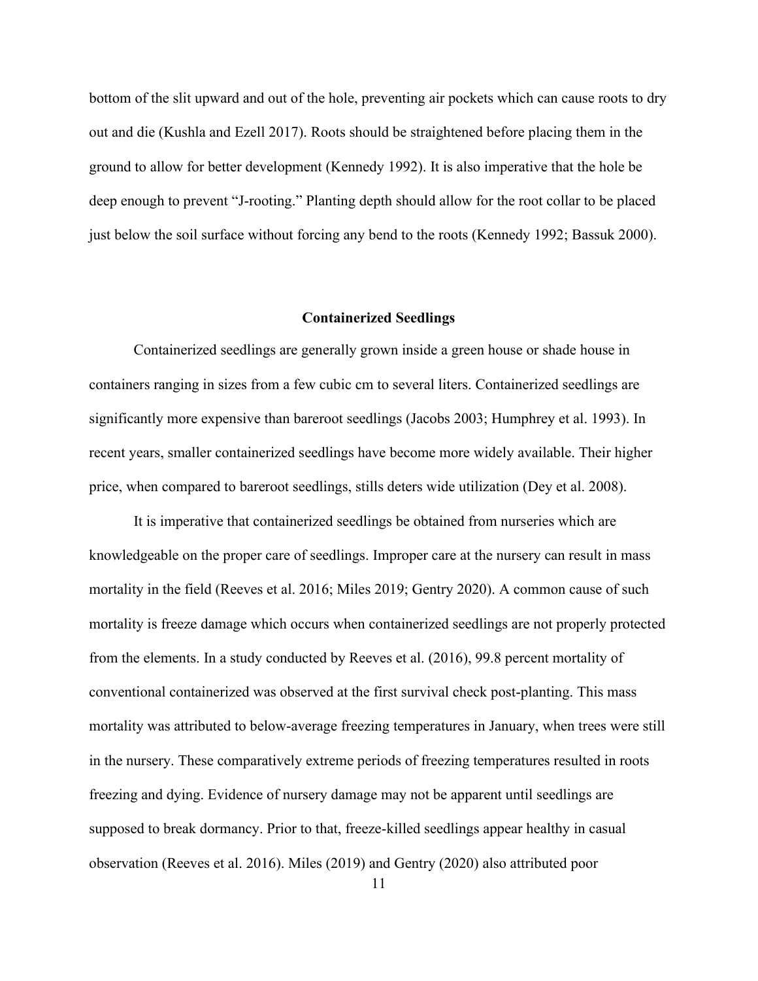bottom of the slit upward and out of the hole, preventing air pockets which can cause roots to dry out and die (Kushla and Ezell 2017). Roots should be straightened before placing them in the ground to allow for better development (Kennedy 1992). It is also imperative that the hole be deep enough to prevent "J-rooting." Planting depth should allow for the root collar to be placed just below the soil surface without forcing any bend to the roots (Kennedy 1992; Bassuk 2000).

#### **Containerized Seedlings**

<span id="page-23-0"></span>Containerized seedlings are generally grown inside a green house or shade house in containers ranging in sizes from a few cubic cm to several liters. Containerized seedlings are significantly more expensive than bareroot seedlings (Jacobs 2003; Humphrey et al. 1993). In recent years, smaller containerized seedlings have become more widely available. Their higher price, when compared to bareroot seedlings, stills deters wide utilization (Dey et al. 2008).

It is imperative that containerized seedlings be obtained from nurseries which are knowledgeable on the proper care of seedlings. Improper care at the nursery can result in mass mortality in the field (Reeves et al. 2016; Miles 2019; Gentry 2020). A common cause of such mortality is freeze damage which occurs when containerized seedlings are not properly protected from the elements. In a study conducted by Reeves et al. (2016), 99.8 percent mortality of conventional containerized was observed at the first survival check post-planting. This mass mortality was attributed to below-average freezing temperatures in January, when trees were still in the nursery. These comparatively extreme periods of freezing temperatures resulted in roots freezing and dying. Evidence of nursery damage may not be apparent until seedlings are supposed to break dormancy. Prior to that, freeze-killed seedlings appear healthy in casual observation (Reeves et al. 2016). Miles (2019) and Gentry (2020) also attributed poor

11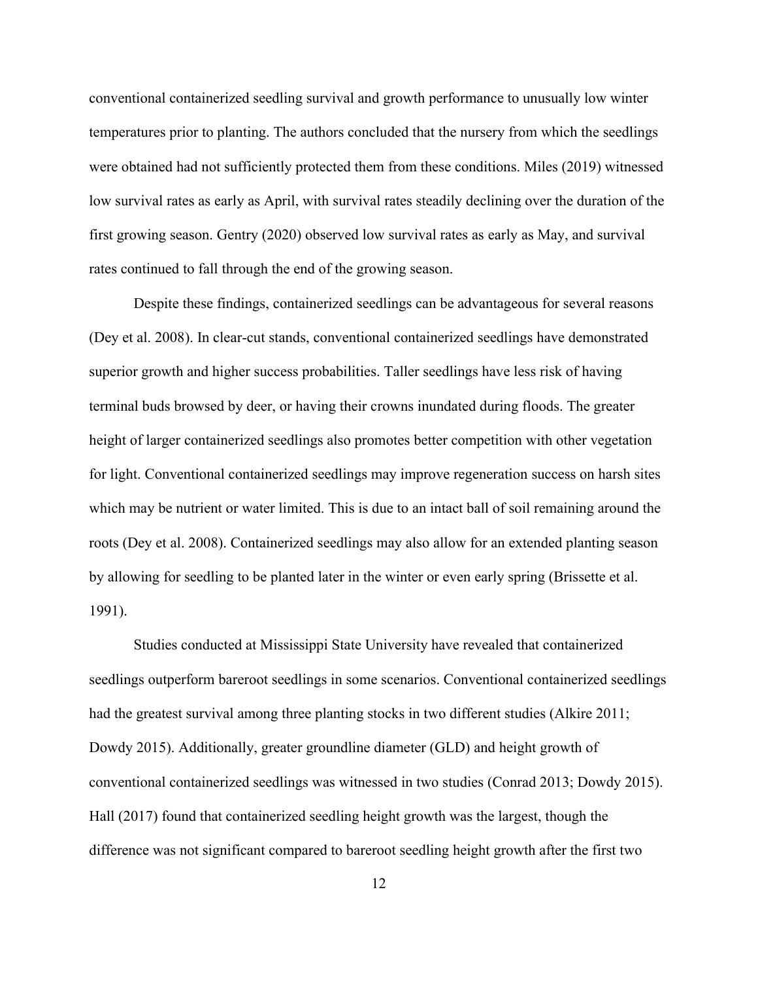conventional containerized seedling survival and growth performance to unusually low winter temperatures prior to planting. The authors concluded that the nursery from which the seedlings were obtained had not sufficiently protected them from these conditions. Miles (2019) witnessed low survival rates as early as April, with survival rates steadily declining over the duration of the first growing season. Gentry (2020) observed low survival rates as early as May, and survival rates continued to fall through the end of the growing season.

Despite these findings, containerized seedlings can be advantageous for several reasons (Dey et al. 2008). In clear-cut stands, conventional containerized seedlings have demonstrated superior growth and higher success probabilities. Taller seedlings have less risk of having terminal buds browsed by deer, or having their crowns inundated during floods. The greater height of larger containerized seedlings also promotes better competition with other vegetation for light. Conventional containerized seedlings may improve regeneration success on harsh sites which may be nutrient or water limited. This is due to an intact ball of soil remaining around the roots (Dey et al. 2008). Containerized seedlings may also allow for an extended planting season by allowing for seedling to be planted later in the winter or even early spring (Brissette et al. 1991).

Studies conducted at Mississippi State University have revealed that containerized seedlings outperform bareroot seedlings in some scenarios. Conventional containerized seedlings had the greatest survival among three planting stocks in two different studies (Alkire 2011; Dowdy 2015). Additionally, greater groundline diameter (GLD) and height growth of conventional containerized seedlings was witnessed in two studies (Conrad 2013; Dowdy 2015). Hall (2017) found that containerized seedling height growth was the largest, though the difference was not significant compared to bareroot seedling height growth after the first two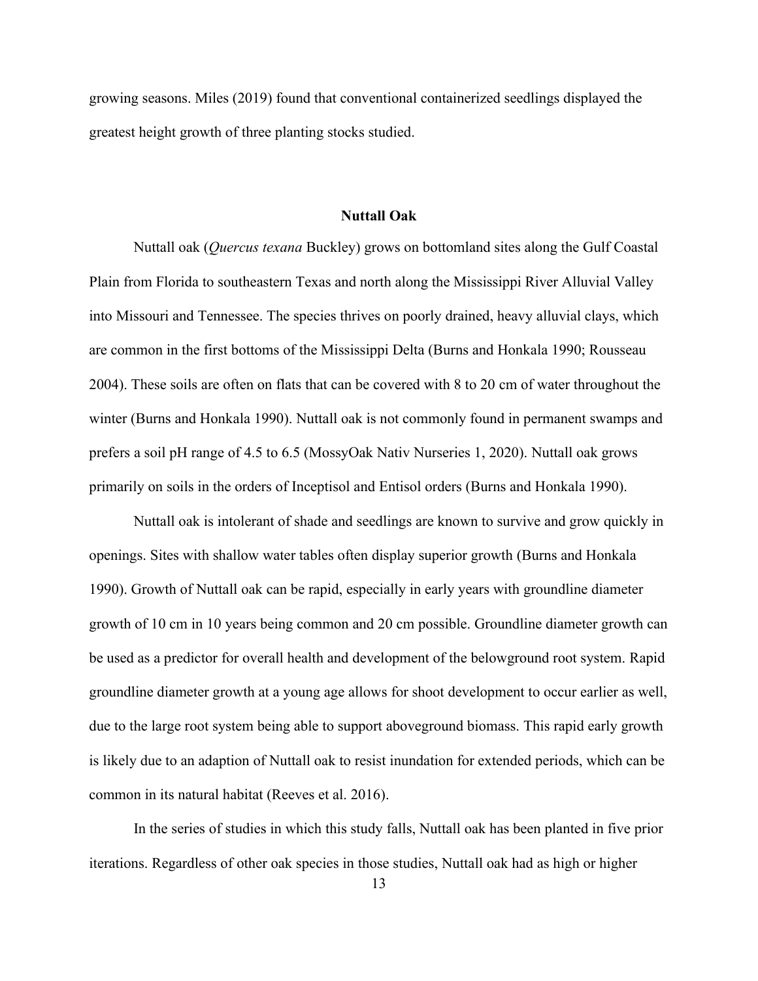growing seasons. Miles (2019) found that conventional containerized seedlings displayed the greatest height growth of three planting stocks studied.

#### **Nuttall Oak**

<span id="page-25-0"></span>Nuttall oak (*Quercus texana* Buckley) grows on bottomland sites along the Gulf Coastal Plain from Florida to southeastern Texas and north along the Mississippi River Alluvial Valley into Missouri and Tennessee. The species thrives on poorly drained, heavy alluvial clays, which are common in the first bottoms of the Mississippi Delta (Burns and Honkala 1990; Rousseau 2004). These soils are often on flats that can be covered with 8 to 20 cm of water throughout the winter (Burns and Honkala 1990). Nuttall oak is not commonly found in permanent swamps and prefers a soil pH range of 4.5 to 6.5 (MossyOak Nativ Nurseries 1, 2020). Nuttall oak grows primarily on soils in the orders of Inceptisol and Entisol orders (Burns and Honkala 1990).

Nuttall oak is intolerant of shade and seedlings are known to survive and grow quickly in openings. Sites with shallow water tables often display superior growth (Burns and Honkala 1990). Growth of Nuttall oak can be rapid, especially in early years with groundline diameter growth of 10 cm in 10 years being common and 20 cm possible. Groundline diameter growth can be used as a predictor for overall health and development of the belowground root system. Rapid groundline diameter growth at a young age allows for shoot development to occur earlier as well, due to the large root system being able to support aboveground biomass. This rapid early growth is likely due to an adaption of Nuttall oak to resist inundation for extended periods, which can be common in its natural habitat (Reeves et al. 2016).

In the series of studies in which this study falls, Nuttall oak has been planted in five prior iterations. Regardless of other oak species in those studies, Nuttall oak had as high or higher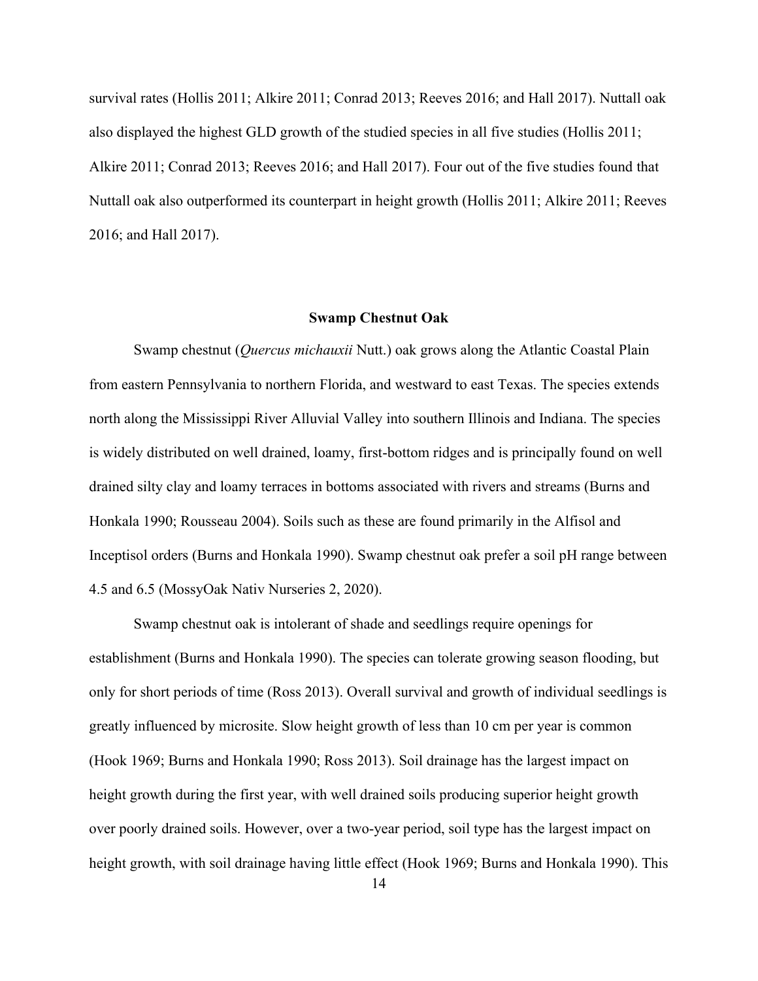survival rates (Hollis 2011; Alkire 2011; Conrad 2013; Reeves 2016; and Hall 2017). Nuttall oak also displayed the highest GLD growth of the studied species in all five studies (Hollis 2011; Alkire 2011; Conrad 2013; Reeves 2016; and Hall 2017). Four out of the five studies found that Nuttall oak also outperformed its counterpart in height growth (Hollis 2011; Alkire 2011; Reeves 2016; and Hall 2017).

#### **Swamp Chestnut Oak**

<span id="page-26-0"></span>Swamp chestnut (*Quercus michauxii* Nutt.) oak grows along the Atlantic Coastal Plain from eastern Pennsylvania to northern Florida, and westward to east Texas. The species extends north along the Mississippi River Alluvial Valley into southern Illinois and Indiana. The species is widely distributed on well drained, loamy, first-bottom ridges and is principally found on well drained silty clay and loamy terraces in bottoms associated with rivers and streams (Burns and Honkala 1990; Rousseau 2004). Soils such as these are found primarily in the Alfisol and Inceptisol orders (Burns and Honkala 1990). Swamp chestnut oak prefer a soil pH range between 4.5 and 6.5 (MossyOak Nativ Nurseries 2, 2020).

Swamp chestnut oak is intolerant of shade and seedlings require openings for establishment (Burns and Honkala 1990). The species can tolerate growing season flooding, but only for short periods of time (Ross 2013). Overall survival and growth of individual seedlings is greatly influenced by microsite. Slow height growth of less than 10 cm per year is common (Hook 1969; Burns and Honkala 1990; Ross 2013). Soil drainage has the largest impact on height growth during the first year, with well drained soils producing superior height growth over poorly drained soils. However, over a two-year period, soil type has the largest impact on height growth, with soil drainage having little effect (Hook 1969; Burns and Honkala 1990). This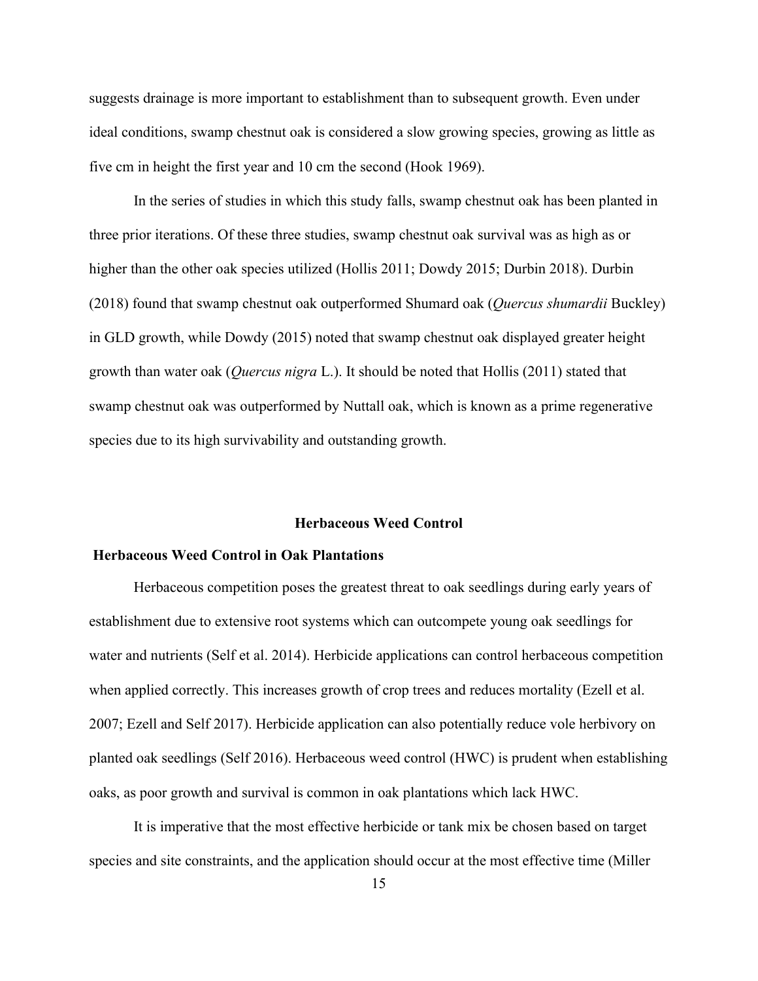suggests drainage is more important to establishment than to subsequent growth. Even under ideal conditions, swamp chestnut oak is considered a slow growing species, growing as little as five cm in height the first year and 10 cm the second (Hook 1969).

In the series of studies in which this study falls, swamp chestnut oak has been planted in three prior iterations. Of these three studies, swamp chestnut oak survival was as high as or higher than the other oak species utilized (Hollis 2011; Dowdy 2015; Durbin 2018). Durbin (2018) found that swamp chestnut oak outperformed Shumard oak (*Quercus shumardii* Buckley) in GLD growth, while Dowdy (2015) noted that swamp chestnut oak displayed greater height growth than water oak (*Quercus nigra* L.). It should be noted that Hollis (2011) stated that swamp chestnut oak was outperformed by Nuttall oak, which is known as a prime regenerative species due to its high survivability and outstanding growth.

#### **Herbaceous Weed Control**

### <span id="page-27-1"></span><span id="page-27-0"></span>**Herbaceous Weed Control in Oak Plantations**

Herbaceous competition poses the greatest threat to oak seedlings during early years of establishment due to extensive root systems which can outcompete young oak seedlings for water and nutrients (Self et al. 2014). Herbicide applications can control herbaceous competition when applied correctly. This increases growth of crop trees and reduces mortality (Ezell et al. 2007; Ezell and Self 2017). Herbicide application can also potentially reduce vole herbivory on planted oak seedlings (Self 2016). Herbaceous weed control (HWC) is prudent when establishing oaks, as poor growth and survival is common in oak plantations which lack HWC.

It is imperative that the most effective herbicide or tank mix be chosen based on target species and site constraints, and the application should occur at the most effective time (Miller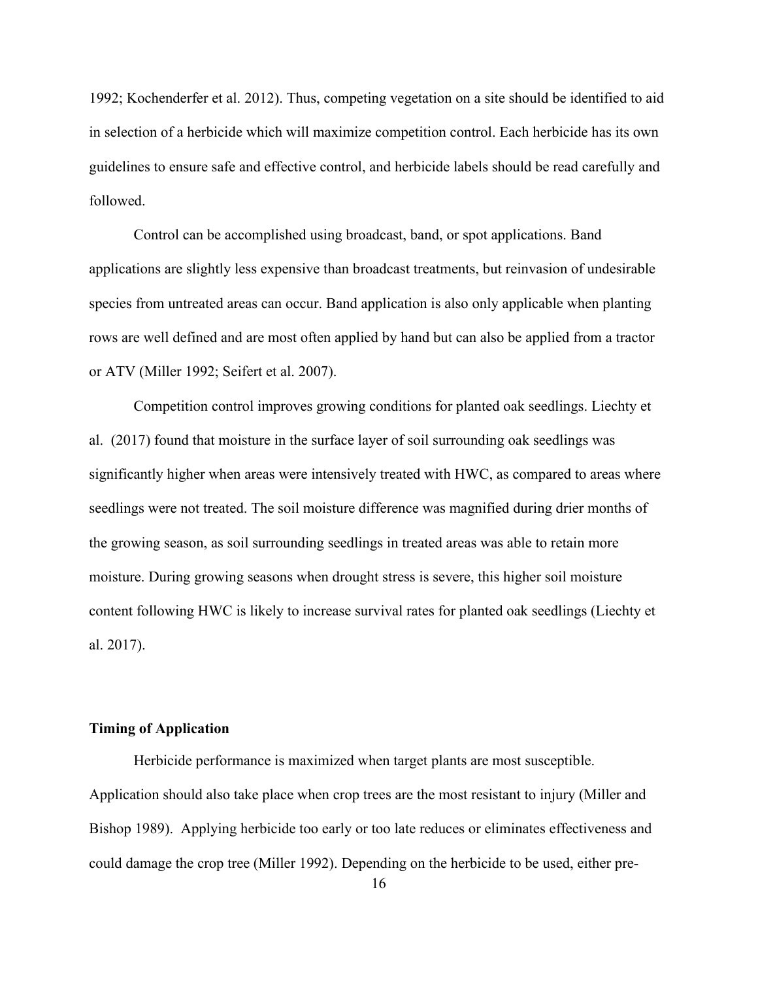1992; Kochenderfer et al. 2012). Thus, competing vegetation on a site should be identified to aid in selection of a herbicide which will maximize competition control. Each herbicide has its own guidelines to ensure safe and effective control, and herbicide labels should be read carefully and followed.

Control can be accomplished using broadcast, band, or spot applications. Band applications are slightly less expensive than broadcast treatments, but reinvasion of undesirable species from untreated areas can occur. Band application is also only applicable when planting rows are well defined and are most often applied by hand but can also be applied from a tractor or ATV (Miller 1992; Seifert et al. 2007).

Competition control improves growing conditions for planted oak seedlings. Liechty et al. (2017) found that moisture in the surface layer of soil surrounding oak seedlings was significantly higher when areas were intensively treated with HWC, as compared to areas where seedlings were not treated. The soil moisture difference was magnified during drier months of the growing season, as soil surrounding seedlings in treated areas was able to retain more moisture. During growing seasons when drought stress is severe, this higher soil moisture content following HWC is likely to increase survival rates for planted oak seedlings (Liechty et al. 2017).

#### <span id="page-28-0"></span>**Timing of Application**

Herbicide performance is maximized when target plants are most susceptible. Application should also take place when crop trees are the most resistant to injury (Miller and Bishop 1989). Applying herbicide too early or too late reduces or eliminates effectiveness and could damage the crop tree (Miller 1992). Depending on the herbicide to be used, either pre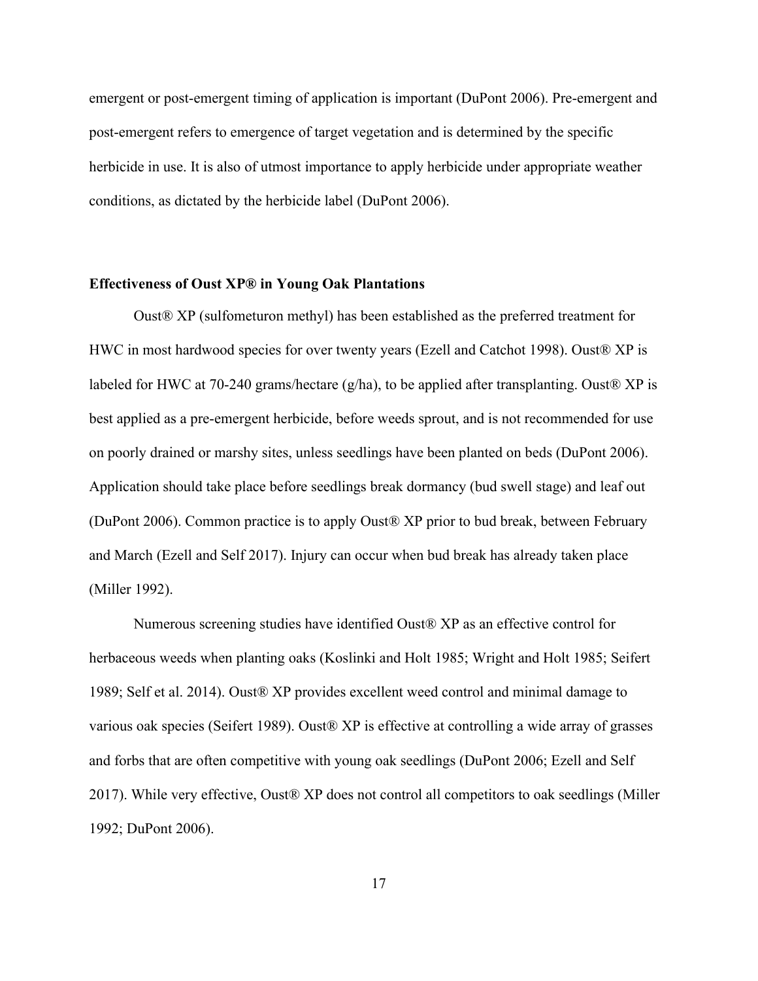emergent or post-emergent timing of application is important (DuPont 2006). Pre-emergent and post-emergent refers to emergence of target vegetation and is determined by the specific herbicide in use. It is also of utmost importance to apply herbicide under appropriate weather conditions, as dictated by the herbicide label (DuPont 2006).

#### <span id="page-29-0"></span>**Effectiveness of Oust XP® in Young Oak Plantations**

Oust® XP (sulfometuron methyl) has been established as the preferred treatment for HWC in most hardwood species for over twenty years (Ezell and Catchot 1998). Oust® XP is labeled for HWC at 70-240 grams/hectare (g/ha), to be applied after transplanting. Oust® XP is best applied as a pre-emergent herbicide, before weeds sprout, and is not recommended for use on poorly drained or marshy sites, unless seedlings have been planted on beds (DuPont 2006). Application should take place before seedlings break dormancy (bud swell stage) and leaf out (DuPont 2006). Common practice is to apply Oust® XP prior to bud break, between February and March (Ezell and Self 2017). Injury can occur when bud break has already taken place (Miller 1992).

Numerous screening studies have identified Oust® XP as an effective control for herbaceous weeds when planting oaks (Koslinki and Holt 1985; Wright and Holt 1985; Seifert 1989; Self et al. 2014). Oust® XP provides excellent weed control and minimal damage to various oak species (Seifert 1989). Oust® XP is effective at controlling a wide array of grasses and forbs that are often competitive with young oak seedlings (DuPont 2006; Ezell and Self 2017). While very effective, Oust® XP does not control all competitors to oak seedlings (Miller 1992; DuPont 2006).

17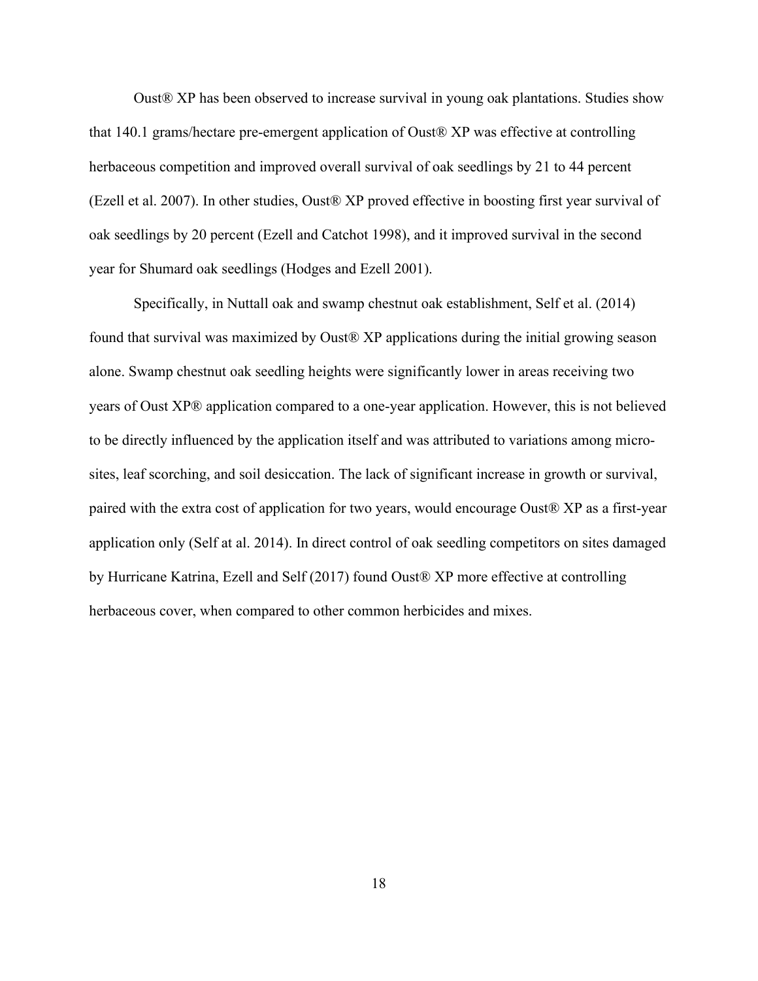Oust® XP has been observed to increase survival in young oak plantations. Studies show that 140.1 grams/hectare pre-emergent application of Oust® XP was effective at controlling herbaceous competition and improved overall survival of oak seedlings by 21 to 44 percent (Ezell et al. 2007). In other studies, Oust® XP proved effective in boosting first year survival of oak seedlings by 20 percent (Ezell and Catchot 1998), and it improved survival in the second year for Shumard oak seedlings (Hodges and Ezell 2001).

Specifically, in Nuttall oak and swamp chestnut oak establishment, Self et al. (2014) found that survival was maximized by Oust® XP applications during the initial growing season alone. Swamp chestnut oak seedling heights were significantly lower in areas receiving two years of Oust XP® application compared to a one-year application. However, this is not believed to be directly influenced by the application itself and was attributed to variations among microsites, leaf scorching, and soil desiccation. The lack of significant increase in growth or survival, paired with the extra cost of application for two years, would encourage Oust® XP as a first-year application only (Self at al. 2014). In direct control of oak seedling competitors on sites damaged by Hurricane Katrina, Ezell and Self (2017) found Oust® XP more effective at controlling herbaceous cover, when compared to other common herbicides and mixes.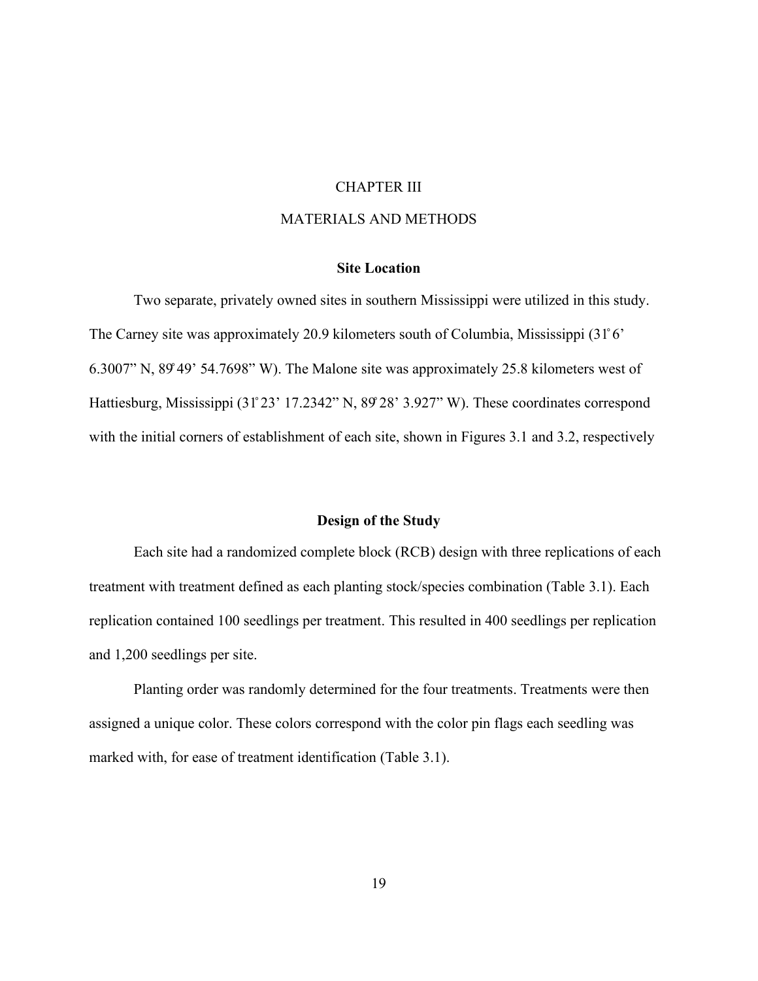#### CHAPTER III

### MATERIALS AND METHODS

#### **Site Location**

<span id="page-31-1"></span><span id="page-31-0"></span>Two separate, privately owned sites in southern Mississippi were utilized in this study. The Carney site was approximately 20.9 kilometers south of Columbia, Mississippi (31̊6' 6.3007" N, 89̊49' 54.7698" W). The Malone site was approximately 25.8 kilometers west of Hattiesburg, Mississippi (31°23' 17.2342" N, 89°28' 3.927" W). These coordinates correspond with the initial corners of establishment of each site, shown in Figures 3.1 and 3.2, respectively

### **Design of the Study**

<span id="page-31-2"></span>Each site had a randomized complete block (RCB) design with three replications of each treatment with treatment defined as each planting stock/species combination (Table 3.1). Each replication contained 100 seedlings per treatment. This resulted in 400 seedlings per replication and 1,200 seedlings per site.

Planting order was randomly determined for the four treatments. Treatments were then assigned a unique color. These colors correspond with the color pin flags each seedling was marked with, for ease of treatment identification (Table 3.1).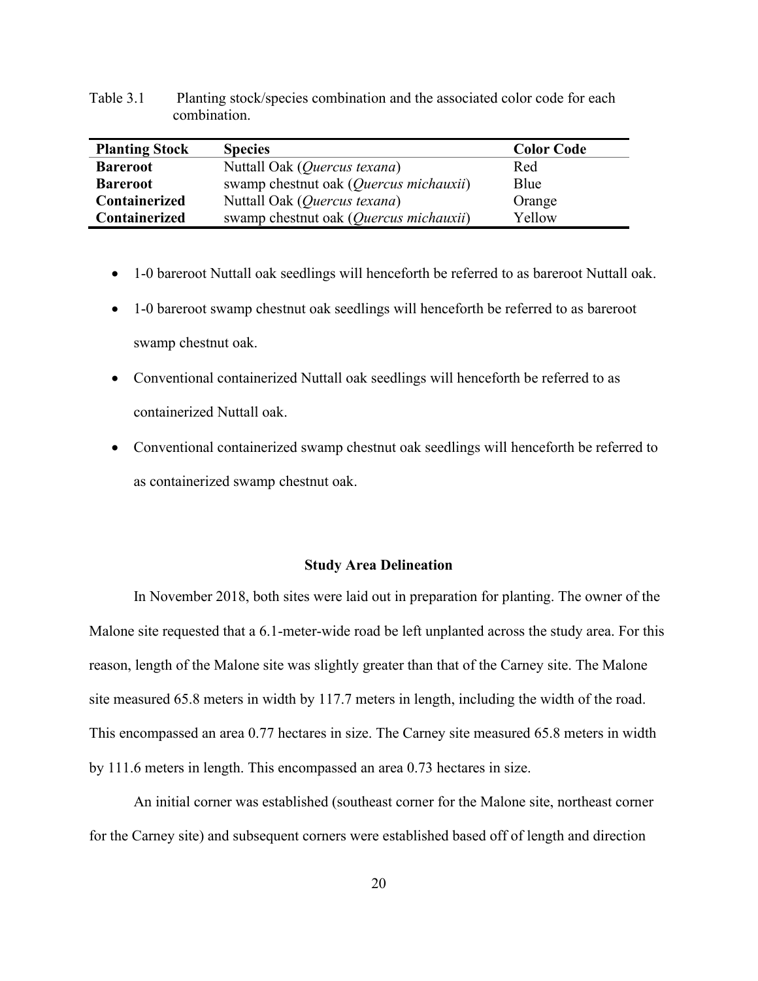|                       | combination.   |                   |
|-----------------------|----------------|-------------------|
| <b>Planting Stock</b> | <b>Species</b> | <b>Color Code</b> |
| $\mathbf{r}$          | 37.310.170     | $\blacksquare$    |

<span id="page-32-1"></span>Table 3.1 Planting stock/species combination and the associated color code for each

- 1-0 bareroot Nuttall oak seedlings will henceforth be referred to as bareroot Nuttall oak.
- 1-0 bareroot swamp chestnut oak seedlings will henceforth be referred to as bareroot swamp chestnut oak.
- Conventional containerized Nuttall oak seedlings will henceforth be referred to as containerized Nuttall oak.
- Conventional containerized swamp chestnut oak seedlings will henceforth be referred to as containerized swamp chestnut oak.

#### **Study Area Delineation**

<span id="page-32-0"></span>In November 2018, both sites were laid out in preparation for planting. The owner of the Malone site requested that a 6.1-meter-wide road be left unplanted across the study area. For this reason, length of the Malone site was slightly greater than that of the Carney site. The Malone site measured 65.8 meters in width by 117.7 meters in length, including the width of the road. This encompassed an area 0.77 hectares in size. The Carney site measured 65.8 meters in width by 111.6 meters in length. This encompassed an area 0.73 hectares in size.

An initial corner was established (southeast corner for the Malone site, northeast corner for the Carney site) and subsequent corners were established based off of length and direction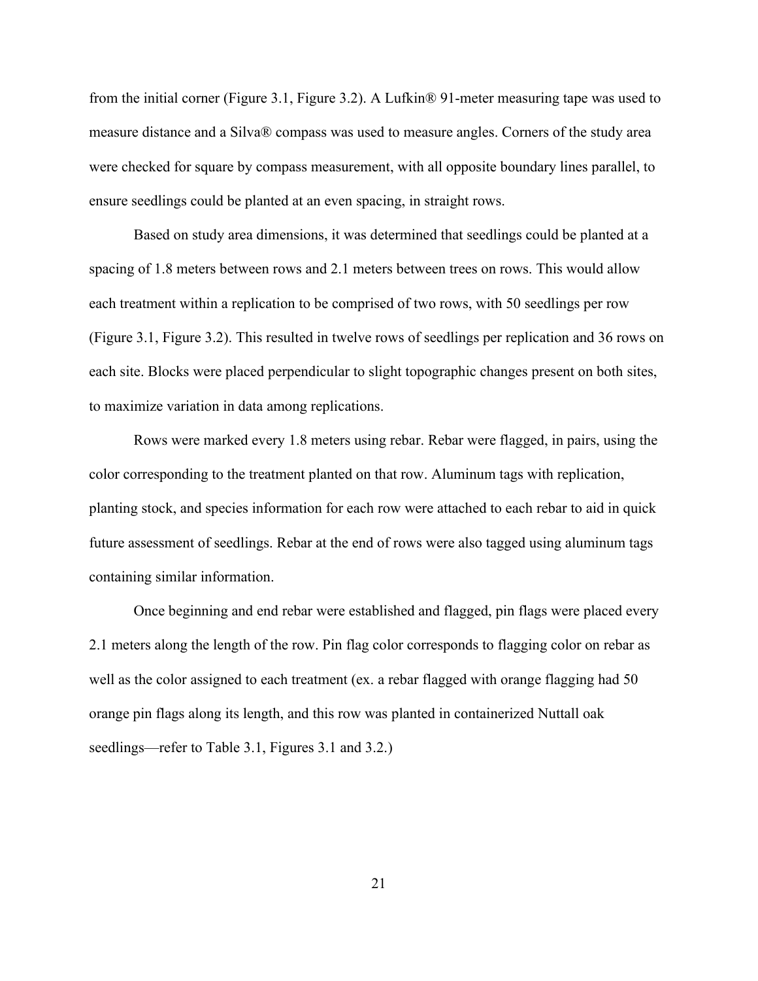from the initial corner (Figure 3.1, Figure 3.2). A Lufkin® 91-meter measuring tape was used to measure distance and a Silva® compass was used to measure angles. Corners of the study area were checked for square by compass measurement, with all opposite boundary lines parallel, to ensure seedlings could be planted at an even spacing, in straight rows.

Based on study area dimensions, it was determined that seedlings could be planted at a spacing of 1.8 meters between rows and 2.1 meters between trees on rows. This would allow each treatment within a replication to be comprised of two rows, with 50 seedlings per row (Figure 3.1, Figure 3.2). This resulted in twelve rows of seedlings per replication and 36 rows on each site. Blocks were placed perpendicular to slight topographic changes present on both sites, to maximize variation in data among replications.

Rows were marked every 1.8 meters using rebar. Rebar were flagged, in pairs, using the color corresponding to the treatment planted on that row. Aluminum tags with replication, planting stock, and species information for each row were attached to each rebar to aid in quick future assessment of seedlings. Rebar at the end of rows were also tagged using aluminum tags containing similar information.

Once beginning and end rebar were established and flagged, pin flags were placed every 2.1 meters along the length of the row. Pin flag color corresponds to flagging color on rebar as well as the color assigned to each treatment (ex. a rebar flagged with orange flagging had 50 orange pin flags along its length, and this row was planted in containerized Nuttall oak seedlings—refer to Table 3.1, Figures 3.1 and 3.2.)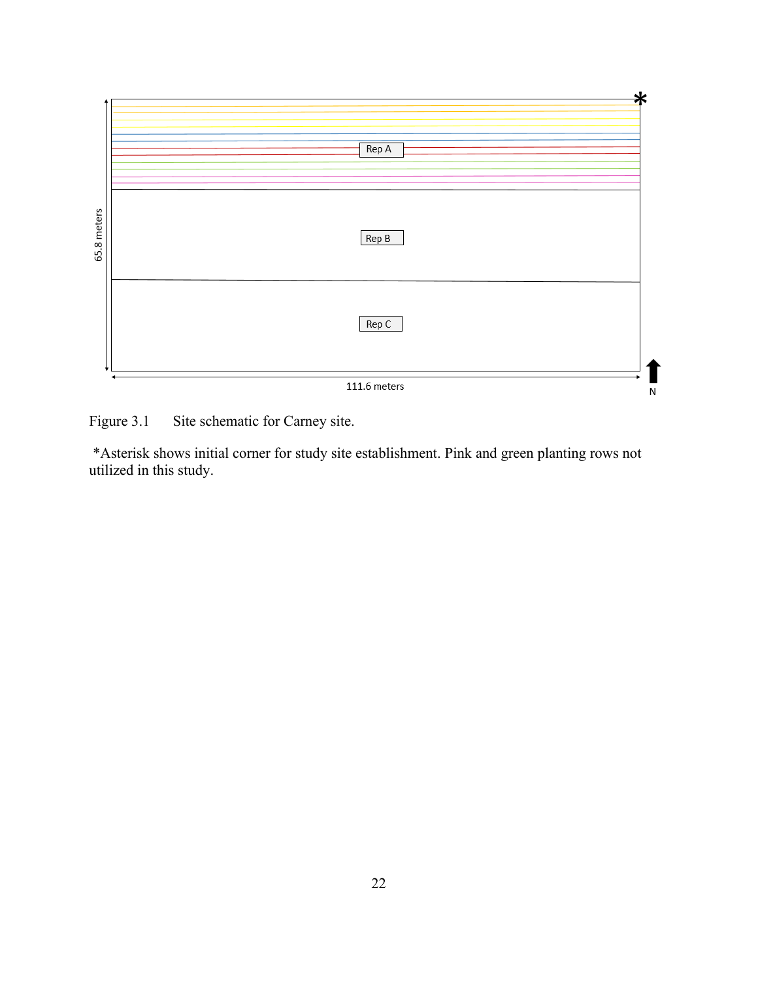

<span id="page-34-0"></span>Figure 3.1 Site schematic for Carney site.

\*Asterisk shows initial corner for study site establishment. Pink and green planting rows not utilized in this study.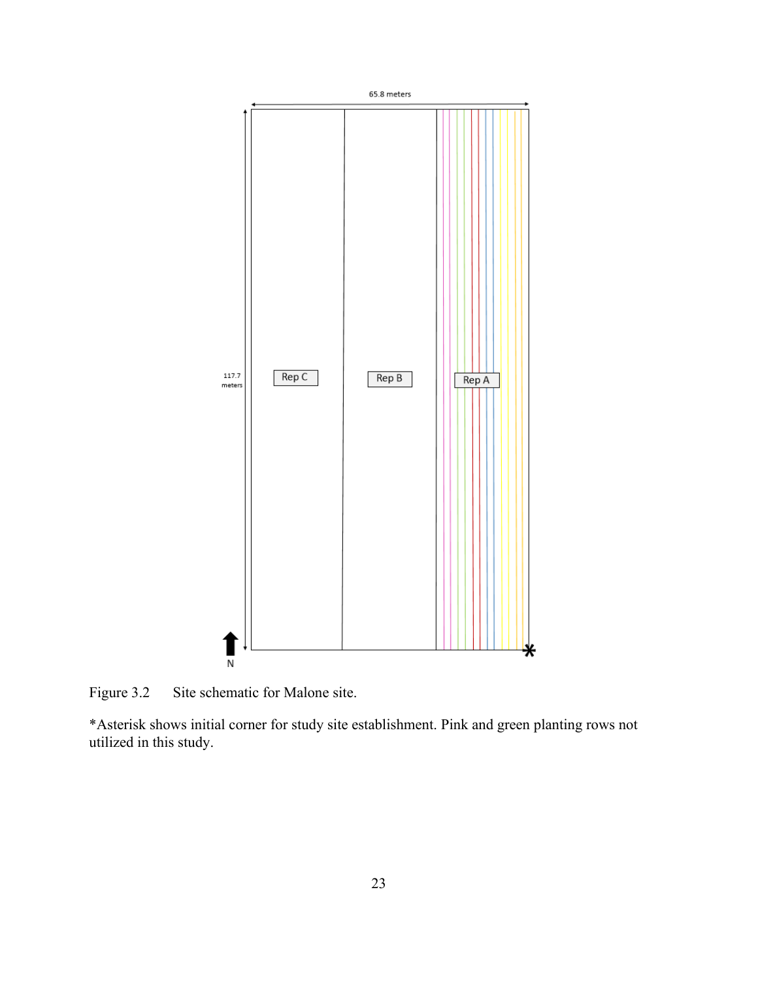

<span id="page-35-0"></span>Figure 3.2 Site schematic for Malone site.

\*Asterisk shows initial corner for study site establishment. Pink and green planting rows not utilized in this study.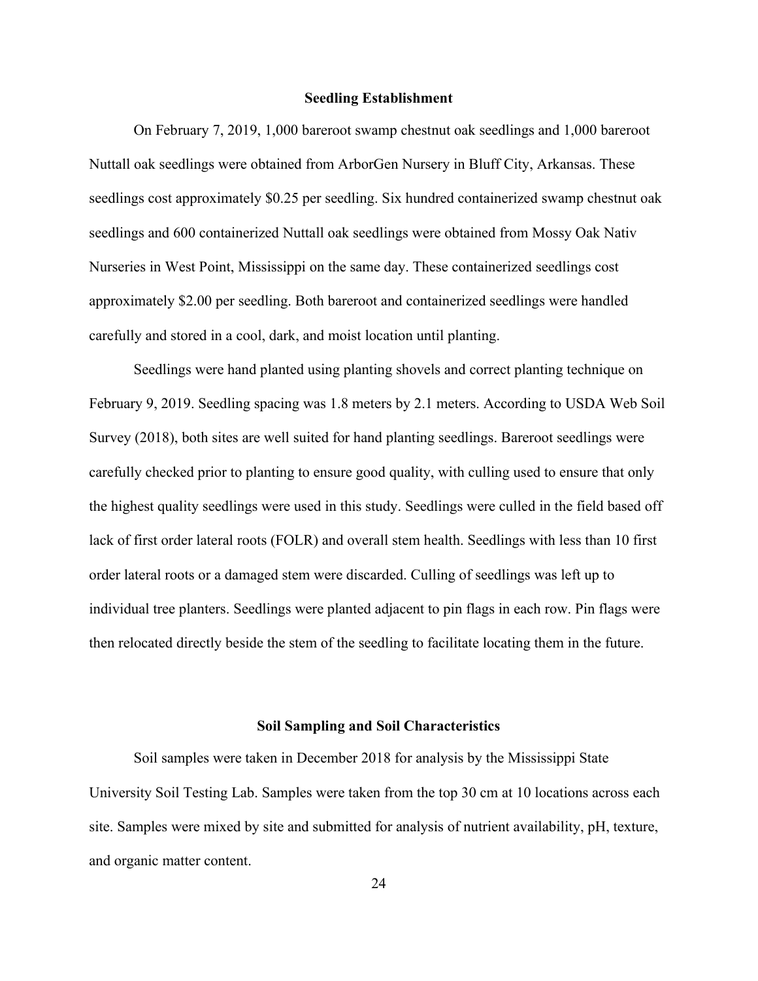# **Seedling Establishment**

On February 7, 2019, 1,000 bareroot swamp chestnut oak seedlings and 1,000 bareroot Nuttall oak seedlings were obtained from ArborGen Nursery in Bluff City, Arkansas. These seedlings cost approximately \$0.25 per seedling. Six hundred containerized swamp chestnut oak seedlings and 600 containerized Nuttall oak seedlings were obtained from Mossy Oak Nativ Nurseries in West Point, Mississippi on the same day. These containerized seedlings cost approximately \$2.00 per seedling. Both bareroot and containerized seedlings were handled carefully and stored in a cool, dark, and moist location until planting.

Seedlings were hand planted using planting shovels and correct planting technique on February 9, 2019. Seedling spacing was 1.8 meters by 2.1 meters. According to USDA Web Soil Survey (2018), both sites are well suited for hand planting seedlings. Bareroot seedlings were carefully checked prior to planting to ensure good quality, with culling used to ensure that only the highest quality seedlings were used in this study. Seedlings were culled in the field based off lack of first order lateral roots (FOLR) and overall stem health. Seedlings with less than 10 first order lateral roots or a damaged stem were discarded. Culling of seedlings was left up to individual tree planters. Seedlings were planted adjacent to pin flags in each row. Pin flags were then relocated directly beside the stem of the seedling to facilitate locating them in the future.

### **Soil Sampling and Soil Characteristics**

Soil samples were taken in December 2018 for analysis by the Mississippi State University Soil Testing Lab. Samples were taken from the top 30 cm at 10 locations across each site. Samples were mixed by site and submitted for analysis of nutrient availability, pH, texture, and organic matter content.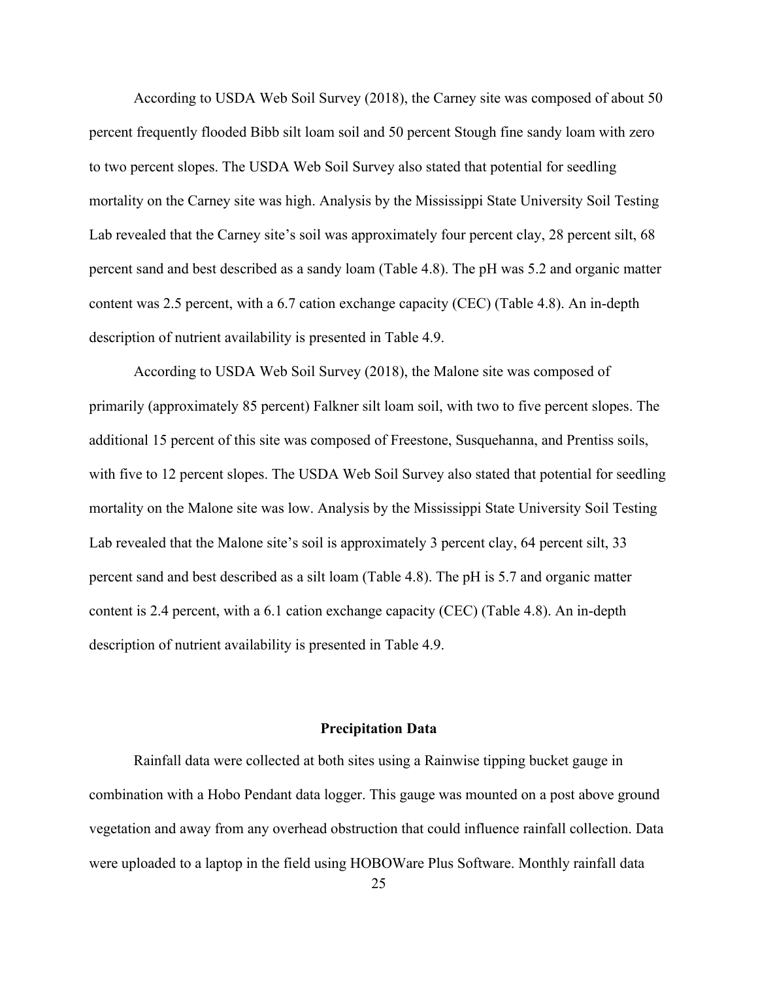According to USDA Web Soil Survey (2018), the Carney site was composed of about 50 percent frequently flooded Bibb silt loam soil and 50 percent Stough fine sandy loam with zero to two percent slopes. The USDA Web Soil Survey also stated that potential for seedling mortality on the Carney site was high. Analysis by the Mississippi State University Soil Testing Lab revealed that the Carney site's soil was approximately four percent clay, 28 percent silt, 68 percent sand and best described as a sandy loam (Table 4.8). The pH was 5.2 and organic matter content was 2.5 percent, with a 6.7 cation exchange capacity (CEC) (Table 4.8). An in-depth description of nutrient availability is presented in Table 4.9.

According to USDA Web Soil Survey (2018), the Malone site was composed of primarily (approximately 85 percent) Falkner silt loam soil, with two to five percent slopes. The additional 15 percent of this site was composed of Freestone, Susquehanna, and Prentiss soils, with five to 12 percent slopes. The USDA Web Soil Survey also stated that potential for seedling mortality on the Malone site was low. Analysis by the Mississippi State University Soil Testing Lab revealed that the Malone site's soil is approximately 3 percent clay, 64 percent silt, 33 percent sand and best described as a silt loam (Table 4.8). The pH is 5.7 and organic matter content is 2.4 percent, with a 6.1 cation exchange capacity (CEC) (Table 4.8). An in-depth description of nutrient availability is presented in Table 4.9.

# **Precipitation Data**

Rainfall data were collected at both sites using a Rainwise tipping bucket gauge in combination with a Hobo Pendant data logger. This gauge was mounted on a post above ground vegetation and away from any overhead obstruction that could influence rainfall collection. Data were uploaded to a laptop in the field using HOBOWare Plus Software. Monthly rainfall data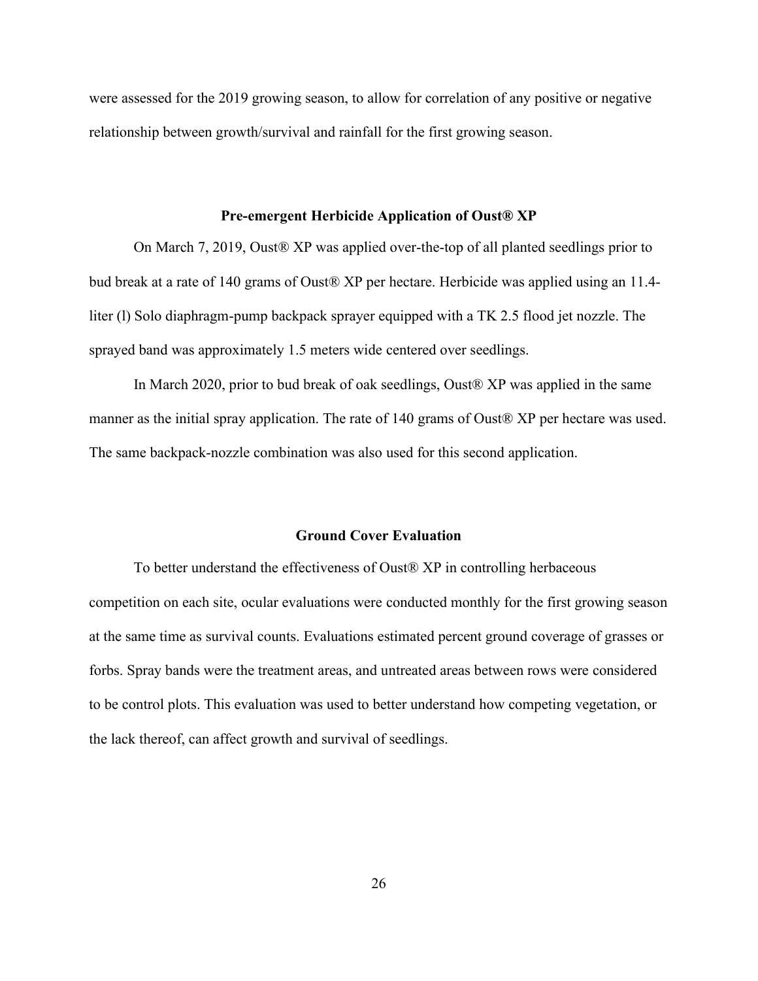were assessed for the 2019 growing season, to allow for correlation of any positive or negative relationship between growth/survival and rainfall for the first growing season.

#### **Pre-emergent Herbicide Application of Oust® XP**

On March 7, 2019, Oust® XP was applied over-the-top of all planted seedlings prior to bud break at a rate of 140 grams of Oust® XP per hectare. Herbicide was applied using an 11.4 liter (l) Solo diaphragm-pump backpack sprayer equipped with a TK 2.5 flood jet nozzle. The sprayed band was approximately 1.5 meters wide centered over seedlings.

In March 2020, prior to bud break of oak seedlings, Oust® XP was applied in the same manner as the initial spray application. The rate of 140 grams of Oust® XP per hectare was used. The same backpack-nozzle combination was also used for this second application.

# **Ground Cover Evaluation**

To better understand the effectiveness of Oust® XP in controlling herbaceous competition on each site, ocular evaluations were conducted monthly for the first growing season at the same time as survival counts. Evaluations estimated percent ground coverage of grasses or forbs. Spray bands were the treatment areas, and untreated areas between rows were considered to be control plots. This evaluation was used to better understand how competing vegetation, or the lack thereof, can affect growth and survival of seedlings.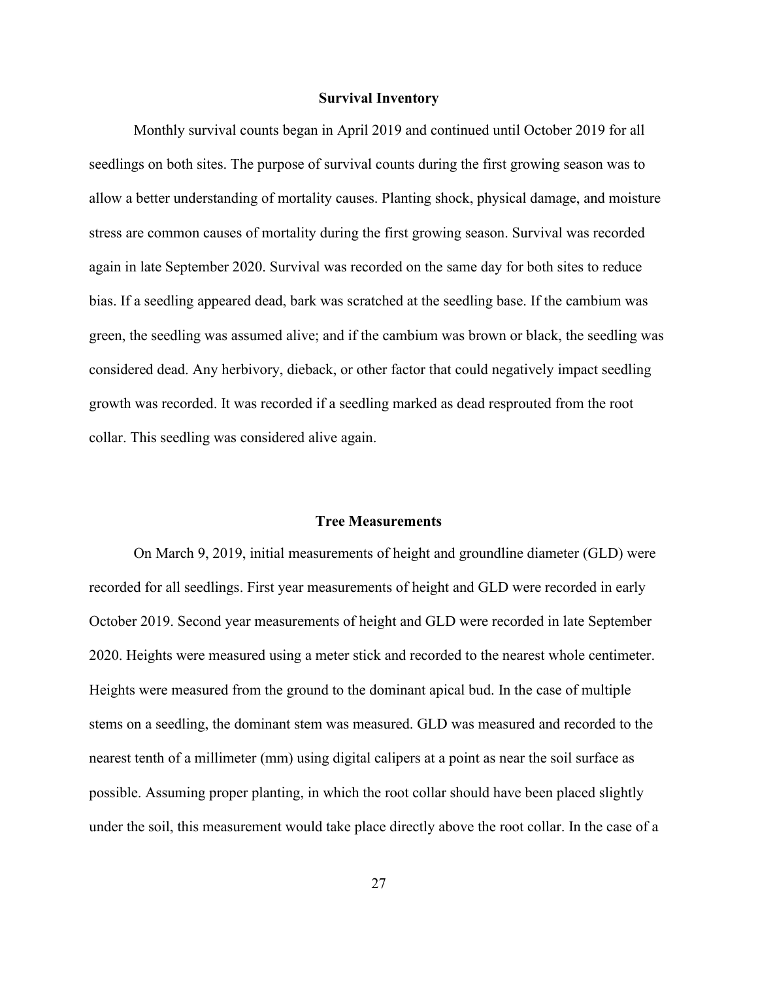### **Survival Inventory**

Monthly survival counts began in April 2019 and continued until October 2019 for all seedlings on both sites. The purpose of survival counts during the first growing season was to allow a better understanding of mortality causes. Planting shock, physical damage, and moisture stress are common causes of mortality during the first growing season. Survival was recorded again in late September 2020. Survival was recorded on the same day for both sites to reduce bias. If a seedling appeared dead, bark was scratched at the seedling base. If the cambium was green, the seedling was assumed alive; and if the cambium was brown or black, the seedling was considered dead. Any herbivory, dieback, or other factor that could negatively impact seedling growth was recorded. It was recorded if a seedling marked as dead resprouted from the root collar. This seedling was considered alive again.

#### **Tree Measurements**

On March 9, 2019, initial measurements of height and groundline diameter (GLD) were recorded for all seedlings. First year measurements of height and GLD were recorded in early October 2019. Second year measurements of height and GLD were recorded in late September 2020. Heights were measured using a meter stick and recorded to the nearest whole centimeter. Heights were measured from the ground to the dominant apical bud. In the case of multiple stems on a seedling, the dominant stem was measured. GLD was measured and recorded to the nearest tenth of a millimeter (mm) using digital calipers at a point as near the soil surface as possible. Assuming proper planting, in which the root collar should have been placed slightly under the soil, this measurement would take place directly above the root collar. In the case of a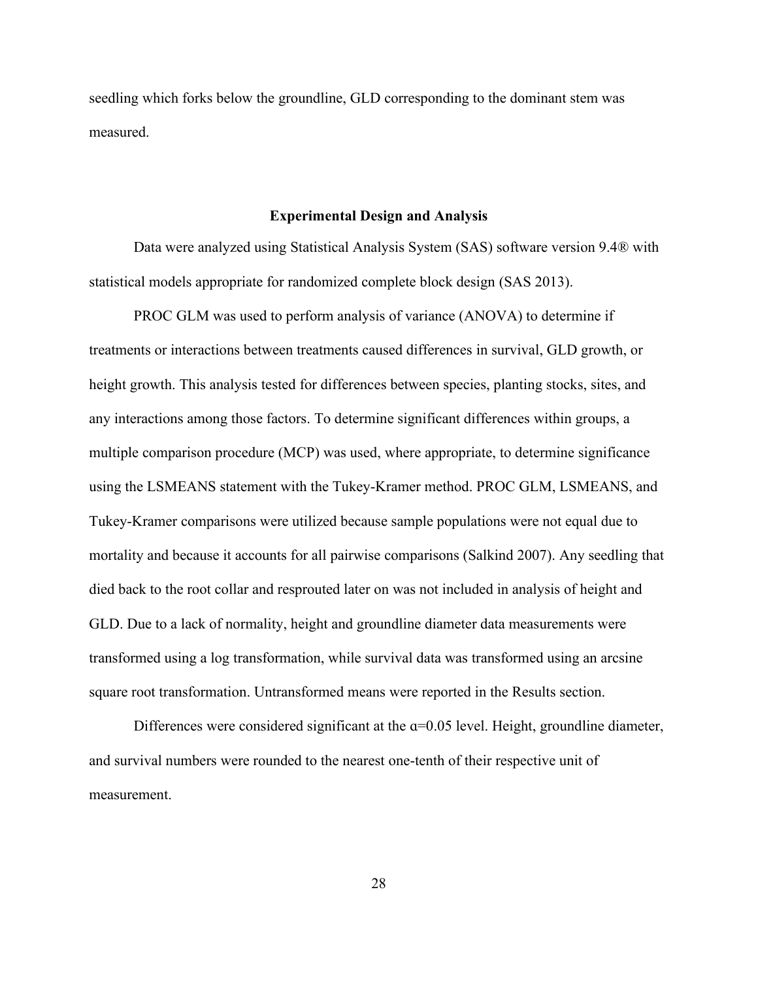seedling which forks below the groundline, GLD corresponding to the dominant stem was measured.

#### **Experimental Design and Analysis**

Data were analyzed using Statistical Analysis System (SAS) software version 9.4® with statistical models appropriate for randomized complete block design (SAS 2013).

PROC GLM was used to perform analysis of variance (ANOVA) to determine if treatments or interactions between treatments caused differences in survival, GLD growth, or height growth. This analysis tested for differences between species, planting stocks, sites, and any interactions among those factors. To determine significant differences within groups, a multiple comparison procedure (MCP) was used, where appropriate, to determine significance using the LSMEANS statement with the Tukey-Kramer method. PROC GLM, LSMEANS, and Tukey-Kramer comparisons were utilized because sample populations were not equal due to mortality and because it accounts for all pairwise comparisons (Salkind 2007). Any seedling that died back to the root collar and resprouted later on was not included in analysis of height and GLD. Due to a lack of normality, height and groundline diameter data measurements were transformed using a log transformation, while survival data was transformed using an arcsine square root transformation. Untransformed means were reported in the Results section.

Differences were considered significant at the  $\alpha$ =0.05 level. Height, groundline diameter, and survival numbers were rounded to the nearest one-tenth of their respective unit of measurement.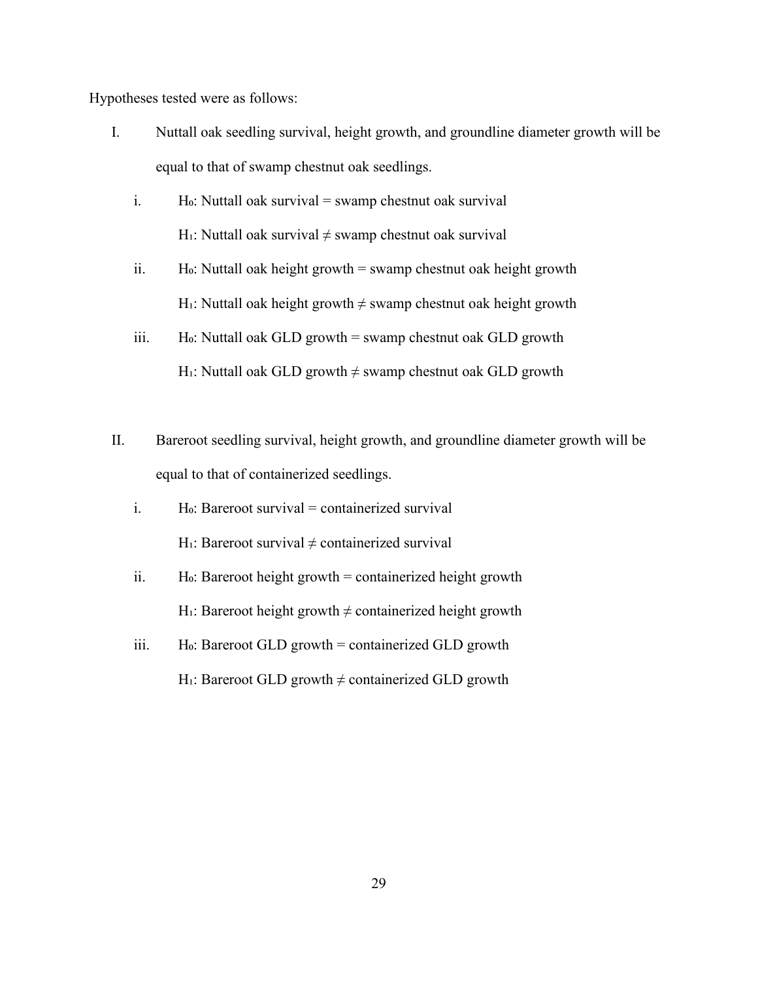Hypotheses tested were as follows:

- I. Nuttall oak seedling survival, height growth, and groundline diameter growth will be equal to that of swamp chestnut oak seedlings.
	- i.  $\qquad$  H<sub>0</sub>: Nuttall oak survival = swamp chestnut oak survival H<sub>1</sub>: Nuttall oak survival  $\neq$  swamp chestnut oak survival
	- ii. H $\alpha$ : Nuttall oak height growth = swamp chestnut oak height growth H<sub>1</sub>: Nuttall oak height growth  $\neq$  swamp chestnut oak height growth
	- iii. Ho: Nuttall oak GLD growth = swamp chestnut oak GLD growth H<sub>1</sub>: Nuttall oak GLD growth  $\neq$  swamp chestnut oak GLD growth
- II. Bareroot seedling survival, height growth, and groundline diameter growth will be equal to that of containerized seedlings.
	- i. Ho: Bareroot survival = containerized survival H $\cdot$ : Bareroot survival  $\neq$  containerized survival
	- ii. Ho: Bareroot height growth = containerized height growth H<sub>1</sub>: Bareroot height growth  $\neq$  containerized height growth
	- iii. Ho: Bareroot GLD growth = containerized GLD growth H<sub>1</sub>: Bareroot GLD growth  $\neq$  containerized GLD growth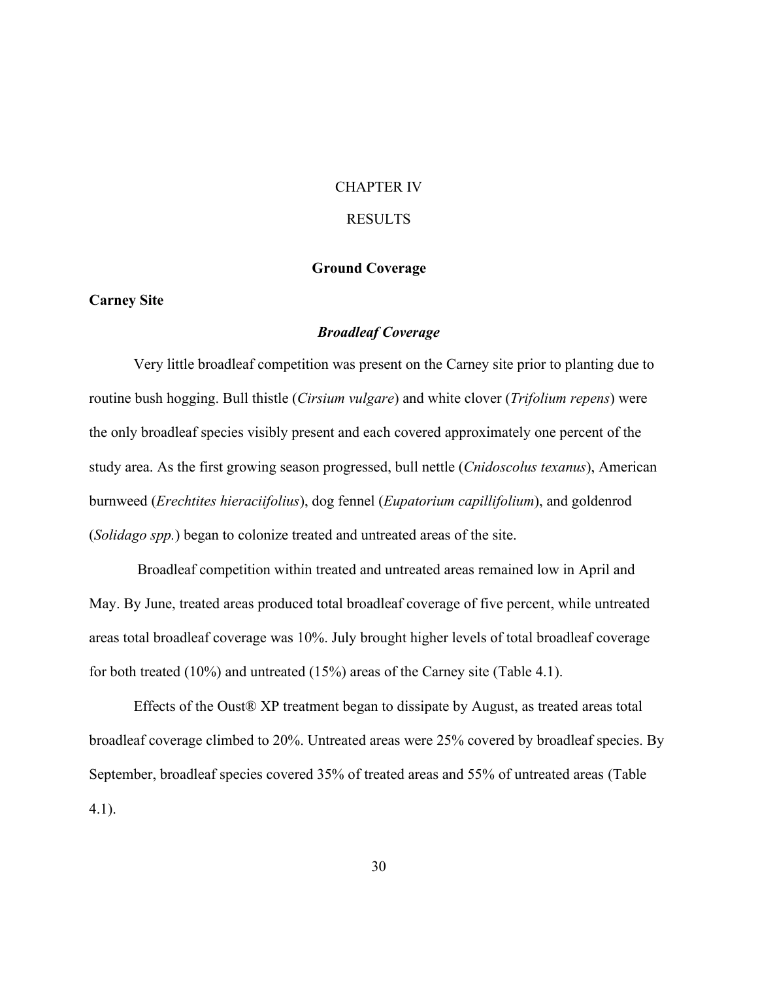# CHAPTER IV RESULTS

# **Ground Coverage**

# **Carney Site**

#### *Broadleaf Coverage*

Very little broadleaf competition was present on the Carney site prior to planting due to routine bush hogging. Bull thistle (*Cirsium vulgare*) and white clover (*Trifolium repens*) were the only broadleaf species visibly present and each covered approximately one percent of the study area. As the first growing season progressed, bull nettle (*Cnidoscolus texanus*), American burnweed (*Erechtites hieraciifolius*), dog fennel (*Eupatorium capillifolium*), and goldenrod (*Solidago spp.*) began to colonize treated and untreated areas of the site.

Broadleaf competition within treated and untreated areas remained low in April and May. By June, treated areas produced total broadleaf coverage of five percent, while untreated areas total broadleaf coverage was 10%. July brought higher levels of total broadleaf coverage for both treated (10%) and untreated (15%) areas of the Carney site (Table 4.1).

Effects of the Oust® XP treatment began to dissipate by August, as treated areas total broadleaf coverage climbed to 20%. Untreated areas were 25% covered by broadleaf species. By September, broadleaf species covered 35% of treated areas and 55% of untreated areas (Table 4.1).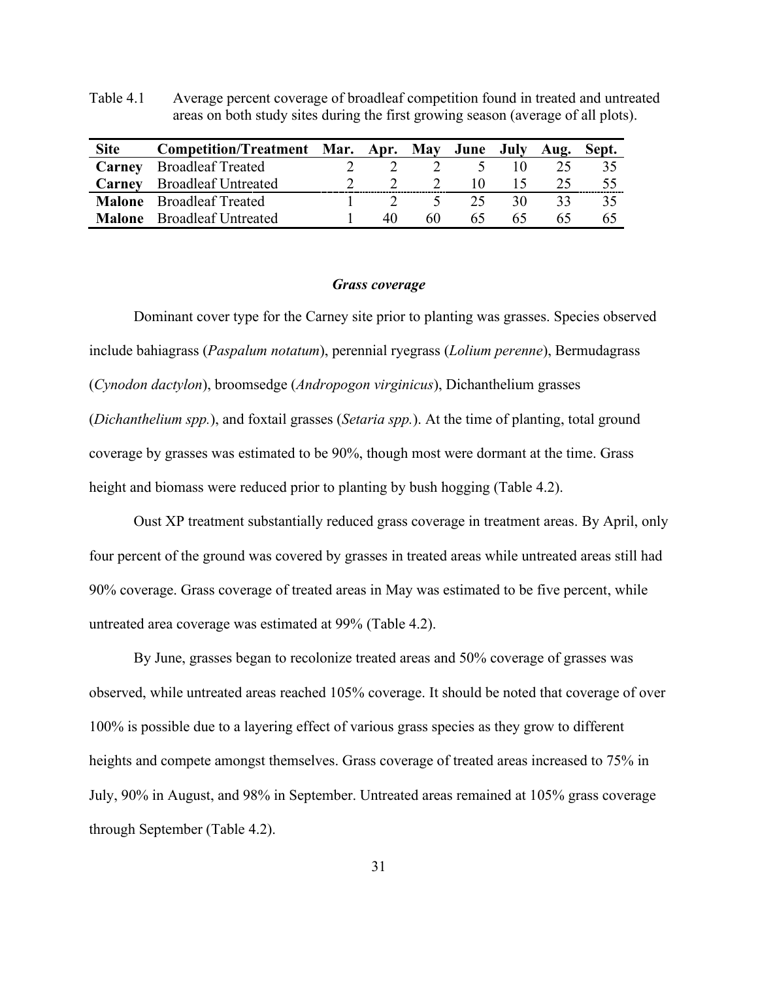Table 4.1 Average percent coverage of broadleaf competition found in treated and untreated areas on both study sites during the first growing season (average of all plots).

| <b>Site</b> | Competition/Treatment Mar. Apr. May June July Aug. |    |               |                          |                | Sept. |
|-------------|----------------------------------------------------|----|---------------|--------------------------|----------------|-------|
| Carney      | <b>Broadleaf Treated</b>                           |    |               | $\mathcal{L}$            |                |       |
|             | <b>Carney</b> Broadleaf Untreated                  |    | $\mathcal{D}$ | $\mathbf{I}(\mathbf{I})$ | $\overline{5}$ |       |
|             | <b>Malone</b> Broadleaf Treated                    |    | $\sim$        | 25                       | 30             |       |
|             | <b>Malone</b> Broadleaf Untreated                  | 40 | 60            | 6D.                      | 65             |       |

#### *Grass coverage*

Dominant cover type for the Carney site prior to planting was grasses. Species observed include bahiagrass (*Paspalum notatum*), perennial ryegrass (*Lolium perenne*), Bermudagrass (*Cynodon dactylon*), broomsedge (*Andropogon virginicus*), Dichanthelium grasses (*Dichanthelium spp.*), and foxtail grasses (*Setaria spp.*). At the time of planting, total ground coverage by grasses was estimated to be 90%, though most were dormant at the time. Grass height and biomass were reduced prior to planting by bush hogging (Table 4.2).

Oust XP treatment substantially reduced grass coverage in treatment areas. By April, only four percent of the ground was covered by grasses in treated areas while untreated areas still had 90% coverage. Grass coverage of treated areas in May was estimated to be five percent, while untreated area coverage was estimated at 99% (Table 4.2).

By June, grasses began to recolonize treated areas and 50% coverage of grasses was observed, while untreated areas reached 105% coverage. It should be noted that coverage of over 100% is possible due to a layering effect of various grass species as they grow to different heights and compete amongst themselves. Grass coverage of treated areas increased to 75% in July, 90% in August, and 98% in September. Untreated areas remained at 105% grass coverage through September (Table 4.2).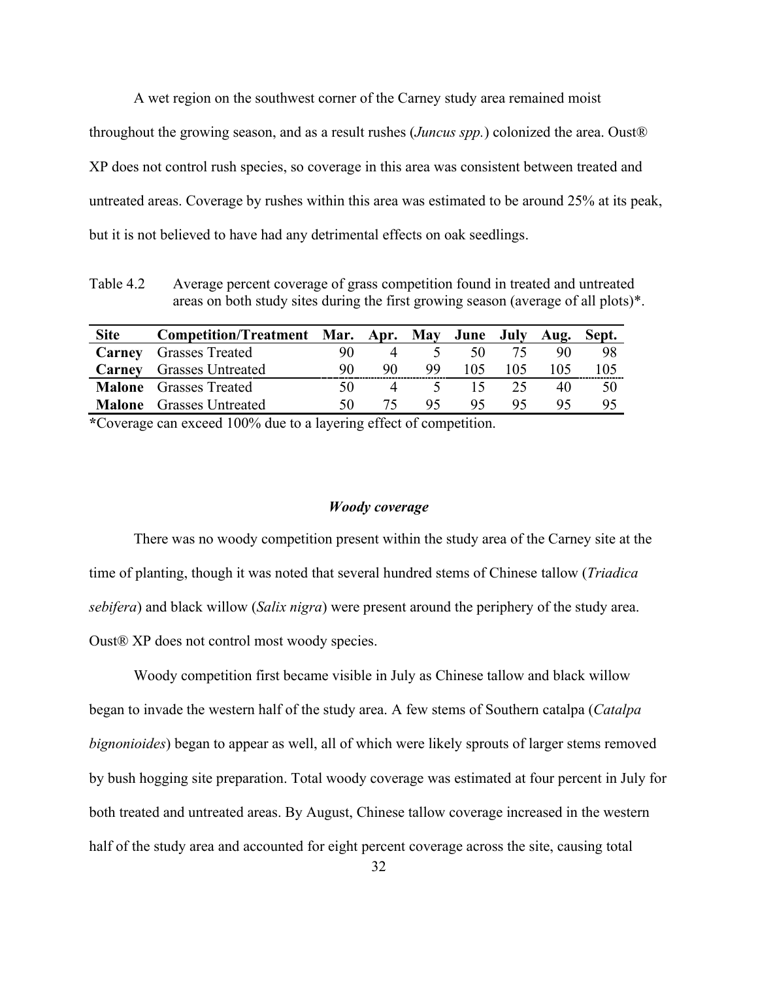A wet region on the southwest corner of the Carney study area remained moist throughout the growing season, and as a result rushes (*Juncus spp.*) colonized the area. Oust® XP does not control rush species, so coverage in this area was consistent between treated and untreated areas. Coverage by rushes within this area was estimated to be around 25% at its peak, but it is not believed to have had any detrimental effects on oak seedlings.

Table 4.2 Average percent coverage of grass competition found in treated and untreated areas on both study sites during the first growing season (average of all plots)\*.

| <b>Site</b> | Competition/Treatment Mar. Apr. May June July Aug. Sept. |    |    |     |              |     |     |     |
|-------------|----------------------------------------------------------|----|----|-----|--------------|-----|-----|-----|
|             | <b>Carney</b> Grasses Treated                            |    |    |     | 50           |     | 90  | 98  |
|             | <b>Carney</b> Grasses Untreated                          | 90 | 90 | -99 | 105          | 105 | 105 | 105 |
|             | <b>Malone</b> Grasses Treated                            |    |    |     | $\mathsf{L}$ | 25  | 40  | 50  |
|             | <b>Malone</b> Grasses Untreated                          | 50 | 75 | 95  | 95           |     |     | 95  |

**\***Coverage can exceed 100% due to a layering effect of competition.

#### *Woody coverage*

There was no woody competition present within the study area of the Carney site at the time of planting, though it was noted that several hundred stems of Chinese tallow (*Triadica sebifera*) and black willow (*Salix nigra*) were present around the periphery of the study area. Oust® XP does not control most woody species.

Woody competition first became visible in July as Chinese tallow and black willow began to invade the western half of the study area. A few stems of Southern catalpa (*Catalpa bignonioides*) began to appear as well, all of which were likely sprouts of larger stems removed by bush hogging site preparation. Total woody coverage was estimated at four percent in July for both treated and untreated areas. By August, Chinese tallow coverage increased in the western half of the study area and accounted for eight percent coverage across the site, causing total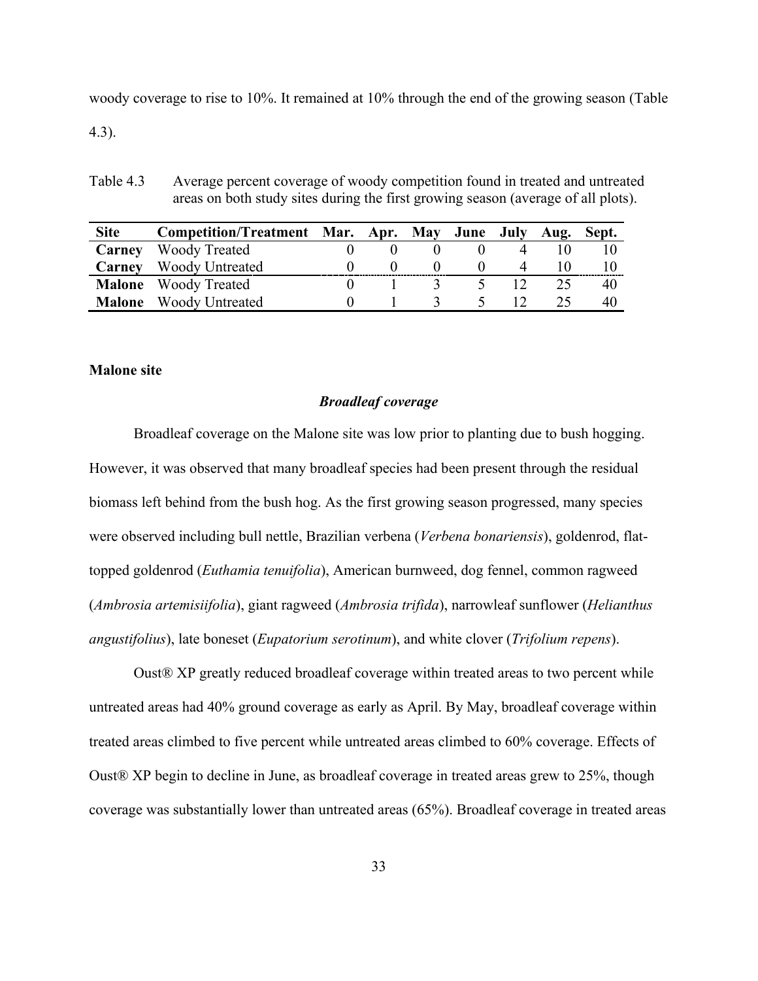woody coverage to rise to 10%. It remained at 10% through the end of the growing season (Table

4.3).

Table 4.3 Average percent coverage of woody competition found in treated and untreated areas on both study sites during the first growing season (average of all plots).

| <b>Site</b> | Competition/Treatment Mar. Apr. May June July Aug. Sept. |  |          |   |    |
|-------------|----------------------------------------------------------|--|----------|---|----|
|             | <b>Carney</b> Woody Treated                              |  |          |   |    |
|             | Carney Woody Untreated                                   |  |          | 4 |    |
|             | <b>Malone</b> Woody Treated                              |  | $\gamma$ |   | 40 |
|             | <b>Malone</b> Woody Untreated                            |  |          |   | 40 |

# **Malone site**

# *Broadleaf coverage*

Broadleaf coverage on the Malone site was low prior to planting due to bush hogging. However, it was observed that many broadleaf species had been present through the residual biomass left behind from the bush hog. As the first growing season progressed, many species were observed including bull nettle, Brazilian verbena (*Verbena bonariensis*), goldenrod, flattopped goldenrod (*Euthamia tenuifolia*), American burnweed, dog fennel, common ragweed (*Ambrosia artemisiifolia*), giant ragweed (*Ambrosia trifida*), narrowleaf sunflower (*Helianthus angustifolius*), late boneset (*Eupatorium serotinum*), and white clover (*Trifolium repens*).

Oust® XP greatly reduced broadleaf coverage within treated areas to two percent while untreated areas had 40% ground coverage as early as April. By May, broadleaf coverage within treated areas climbed to five percent while untreated areas climbed to 60% coverage. Effects of Oust® XP begin to decline in June, as broadleaf coverage in treated areas grew to 25%, though coverage was substantially lower than untreated areas (65%). Broadleaf coverage in treated areas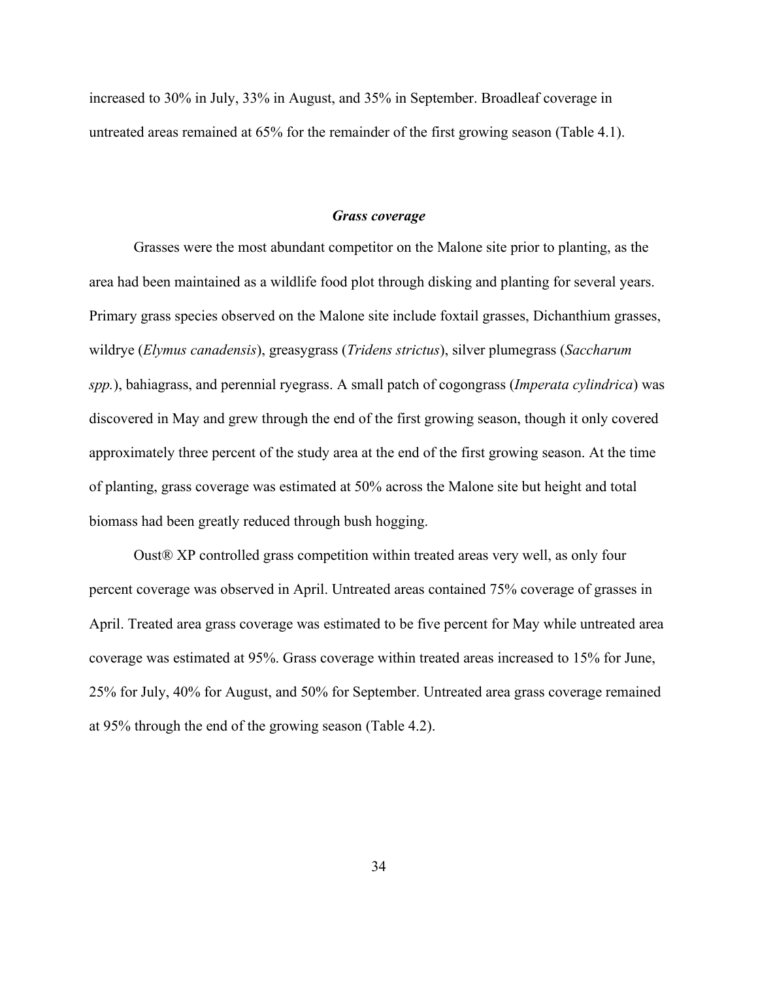increased to 30% in July, 33% in August, and 35% in September. Broadleaf coverage in untreated areas remained at 65% for the remainder of the first growing season (Table 4.1).

#### *Grass coverage*

Grasses were the most abundant competitor on the Malone site prior to planting, as the area had been maintained as a wildlife food plot through disking and planting for several years. Primary grass species observed on the Malone site include foxtail grasses, Dichanthium grasses, wildrye (*Elymus canadensis*), greasygrass (*Tridens strictus*), silver plumegrass (*Saccharum spp.*), bahiagrass, and perennial ryegrass. A small patch of cogongrass (*Imperata cylindrica*) was discovered in May and grew through the end of the first growing season, though it only covered approximately three percent of the study area at the end of the first growing season. At the time of planting, grass coverage was estimated at 50% across the Malone site but height and total biomass had been greatly reduced through bush hogging.

Oust® XP controlled grass competition within treated areas very well, as only four percent coverage was observed in April. Untreated areas contained 75% coverage of grasses in April. Treated area grass coverage was estimated to be five percent for May while untreated area coverage was estimated at 95%. Grass coverage within treated areas increased to 15% for June, 25% for July, 40% for August, and 50% for September. Untreated area grass coverage remained at 95% through the end of the growing season (Table 4.2).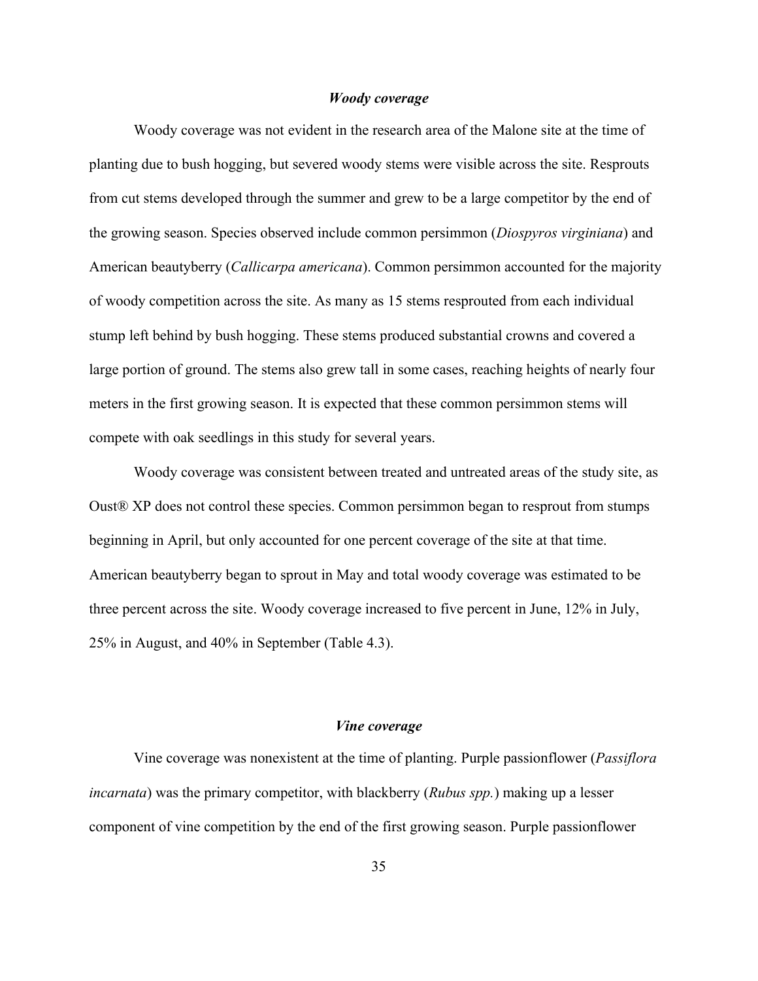### *Woody coverage*

Woody coverage was not evident in the research area of the Malone site at the time of planting due to bush hogging, but severed woody stems were visible across the site. Resprouts from cut stems developed through the summer and grew to be a large competitor by the end of the growing season. Species observed include common persimmon (*Diospyros virginiana*) and American beautyberry (*Callicarpa americana*). Common persimmon accounted for the majority of woody competition across the site. As many as 15 stems resprouted from each individual stump left behind by bush hogging. These stems produced substantial crowns and covered a large portion of ground. The stems also grew tall in some cases, reaching heights of nearly four meters in the first growing season. It is expected that these common persimmon stems will compete with oak seedlings in this study for several years.

Woody coverage was consistent between treated and untreated areas of the study site, as Oust® XP does not control these species. Common persimmon began to resprout from stumps beginning in April, but only accounted for one percent coverage of the site at that time. American beautyberry began to sprout in May and total woody coverage was estimated to be three percent across the site. Woody coverage increased to five percent in June, 12% in July, 25% in August, and 40% in September (Table 4.3).

#### *Vine coverage*

Vine coverage was nonexistent at the time of planting. Purple passionflower (*Passiflora incarnata*) was the primary competitor, with blackberry (*Rubus spp.*) making up a lesser component of vine competition by the end of the first growing season. Purple passionflower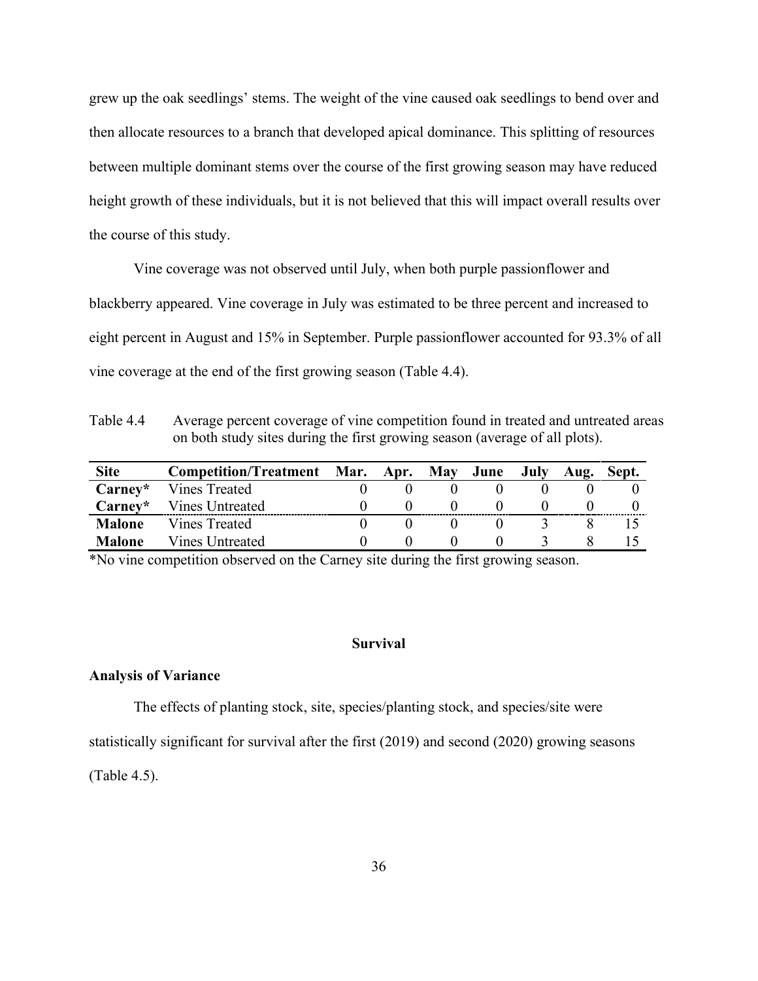grew up the oak seedlings' stems. The weight of the vine caused oak seedlings to bend over and then allocate resources to a branch that developed apical dominance. This splitting of resources between multiple dominant stems over the course of the first growing season may have reduced height growth of these individuals, but it is not believed that this will impact overall results over the course of this study.

Vine coverage was not observed until July, when both purple passionflower and blackberry appeared. Vine coverage in July was estimated to be three percent and increased to eight percent in August and 15% in September. Purple passionflower accounted for 93.3% of all vine coverage at the end of the first growing season (Table 4.4).

Table 4.4 Average percent coverage of vine competition found in treated and untreated areas on both study sites during the first growing season (average of all plots).

| <b>Site</b>   | <b>Competition/Treatment</b> | Mar. Apr. | <b>May</b> | June | July | Aug. | Sept. |
|---------------|------------------------------|-----------|------------|------|------|------|-------|
| Carney*       | Vines Treated                |           |            |      |      |      |       |
| Carney*       | Vines Untreated              |           |            |      |      |      |       |
| <b>Malone</b> | Vines Treated                |           |            |      |      |      |       |
| <b>Malone</b> | Vines Untreated              |           |            |      |      |      |       |

\*No vine competition observed on the Carney site during the first growing season.

#### **Survival**

### **Analysis of Variance**

The effects of planting stock, site, species/planting stock, and species/site were statistically significant for survival after the first (2019) and second (2020) growing seasons

(Table 4.5).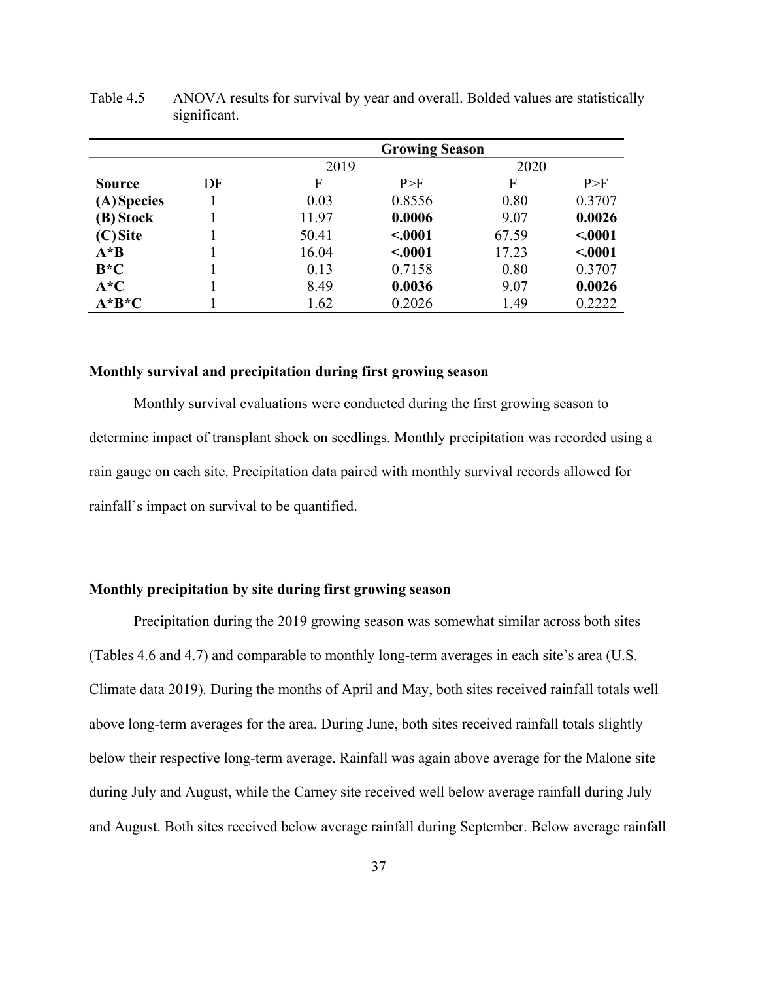|               |    |       | <b>Growing Season</b> |       |         |
|---------------|----|-------|-----------------------|-------|---------|
|               |    | 2019  |                       | 2020  |         |
| <b>Source</b> | DF | F     | P>F                   | F     | P>F     |
| (A) Species   |    | 0.03  | 0.8556                | 0.80  | 0.3707  |
| (B) Stock     |    | 11.97 | 0.0006                | 9.07  | 0.0026  |
| $(C)$ Site    |    | 50.41 | < .0001               | 67.59 | < .0001 |
| $A * B$       |    | 16.04 | < .0001               | 17.23 | < .0001 |
| $B*C$         |    | 0.13  | 0.7158                | 0.80  | 0.3707  |
| $A^*C$        |    | 8.49  | 0.0036                | 9.07  | 0.0026  |
| $A^*B^*C$     |    | 1.62  | 0.2026                | 1.49  | 0.2222  |

Table 4.5 ANOVA results for survival by year and overall. Bolded values are statistically significant.

#### **Monthly survival and precipitation during first growing season**

Monthly survival evaluations were conducted during the first growing season to determine impact of transplant shock on seedlings. Monthly precipitation was recorded using a rain gauge on each site. Precipitation data paired with monthly survival records allowed for rainfall's impact on survival to be quantified.

# **Monthly precipitation by site during first growing season**

Precipitation during the 2019 growing season was somewhat similar across both sites (Tables 4.6 and 4.7) and comparable to monthly long-term averages in each site's area (U.S. Climate data 2019). During the months of April and May, both sites received rainfall totals well above long-term averages for the area. During June, both sites received rainfall totals slightly below their respective long-term average. Rainfall was again above average for the Malone site during July and August, while the Carney site received well below average rainfall during July and August. Both sites received below average rainfall during September. Below average rainfall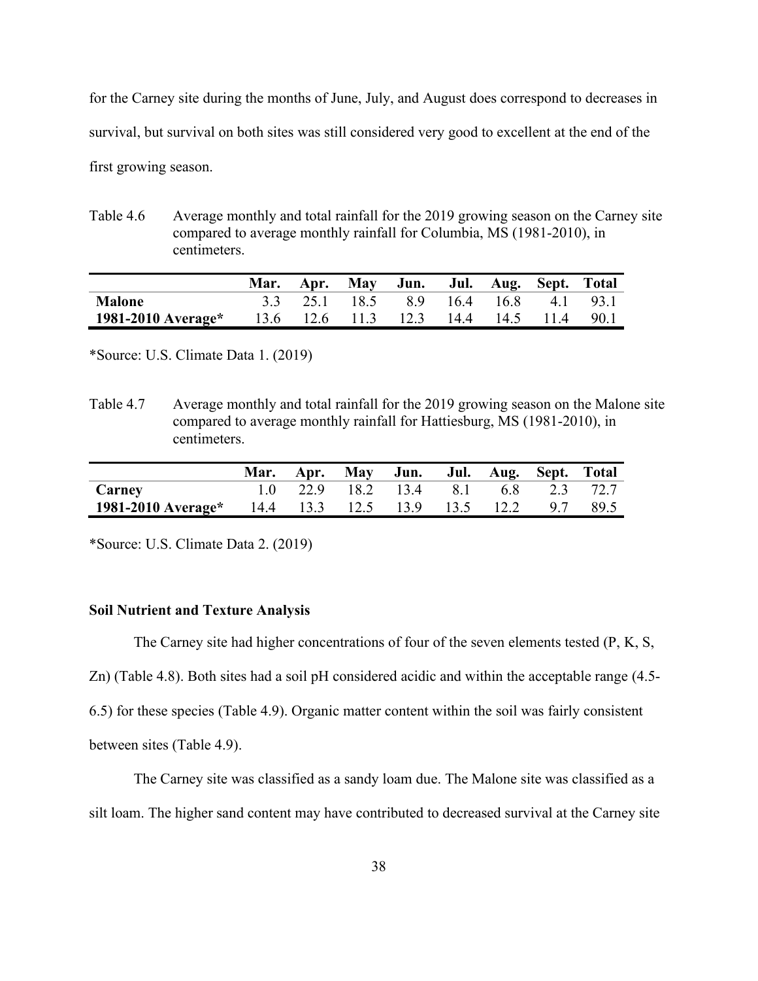for the Carney site during the months of June, July, and August does correspond to decreases in survival, but survival on both sites was still considered very good to excellent at the end of the first growing season.

Table 4.6 Average monthly and total rainfall for the 2019 growing season on the Carney site compared to average monthly rainfall for Columbia, MS (1981-2010), in centimeters.

|                                                                   |  | Mar. Apr. May Jun. Jul. Aug. Sept. Total |  |  |
|-------------------------------------------------------------------|--|------------------------------------------|--|--|
| Malone                                                            |  | 3.3 25.1 18.5 8.9 16.4 16.8 4.1 93.1     |  |  |
| <b>1981-2010 Average*</b> 13.6 12.6 11.3 12.3 14.4 14.5 11.4 90.1 |  |                                          |  |  |

\*Source: U.S. Climate Data 1. (2019)

Table 4.7 Average monthly and total rainfall for the 2019 growing season on the Malone site compared to average monthly rainfall for Hattiesburg, MS (1981-2010), in centimeters.

|                                                                  |  | Mar. Apr. May Jun. Jul. Aug. Sept. Total |  |  |  |
|------------------------------------------------------------------|--|------------------------------------------|--|--|--|
| <b>Carney</b>                                                    |  | $1.0$ 22.9 18.2 13.4 8.1 6.8 2.3 72.7    |  |  |  |
| <b>1981-2010 Average*</b> 14.4 13.3 12.5 13.9 13.5 12.2 9.7 89.5 |  |                                          |  |  |  |

\*Source: U.S. Climate Data 2. (2019)

# **Soil Nutrient and Texture Analysis**

The Carney site had higher concentrations of four of the seven elements tested (P, K, S,

Zn) (Table 4.8). Both sites had a soil pH considered acidic and within the acceptable range (4.5-

6.5) for these species (Table 4.9). Organic matter content within the soil was fairly consistent

between sites (Table 4.9).

The Carney site was classified as a sandy loam due. The Malone site was classified as a silt loam. The higher sand content may have contributed to decreased survival at the Carney site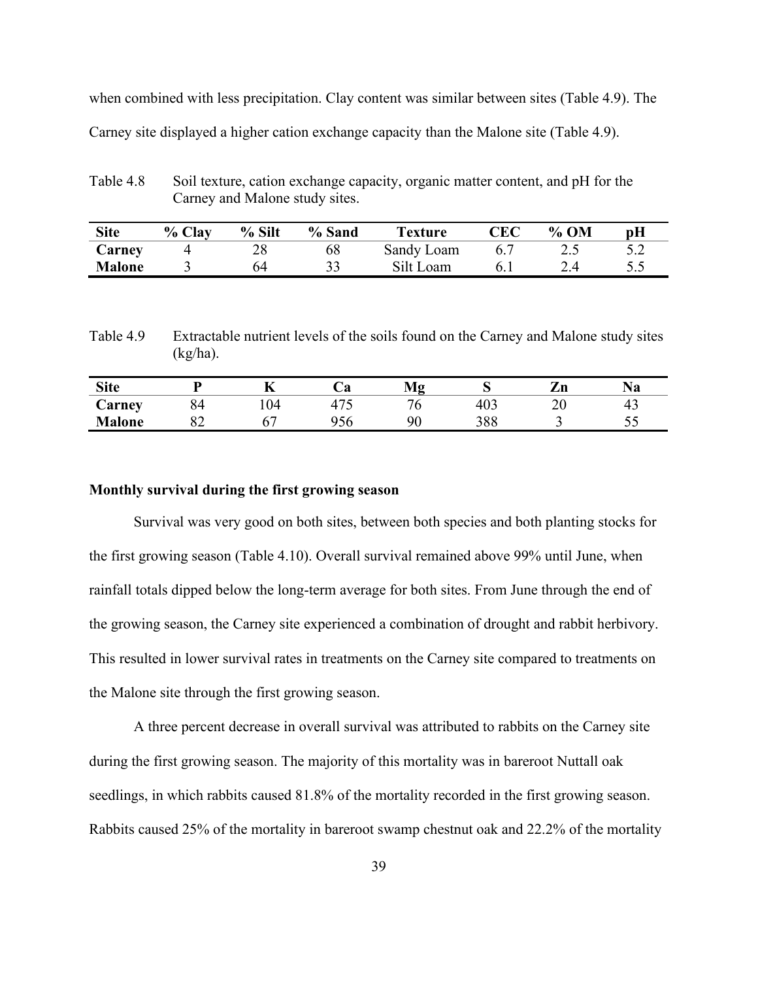when combined with less precipitation. Clay content was similar between sites (Table 4.9). The Carney site displayed a higher cation exchange capacity than the Malone site (Table 4.9).

Table 4.8 Soil texture, cation exchange capacity, organic matter content, and pH for the Carney and Malone study sites.

| <b>Site</b>   | % Clay | % Silt | % Sand | <b>Texture</b> | CEC | $%$ OM | $\mathbf{p}$ H |
|---------------|--------|--------|--------|----------------|-----|--------|----------------|
| Carney        |        | 28     | 68     | Sandy Loam     |     | ∠.     | ے . ر          |
| <b>Malone</b> |        | 64     |        | Silt Loam      |     | 2.4    | ن ک            |

Table 4.9 Extractable nutrient levels of the soils found on the Carney and Malone study sites  $(kg/ha)$ .

| <b>Site</b>   |          |    | $\bm{\mathsf{\omega}}$ u | $\sim$<br>.7<br>17.LG |            | 7<br>ப   | та |
|---------------|----------|----|--------------------------|-----------------------|------------|----------|----|
| Carney        | 84       | 04 | $\overline{a}$           | N                     | 403        | nη<br>∠∪ | 4. |
| <b>Malone</b> | ∩∩<br>ےں |    | $\sim$ $\sim$<br>DО      | ۵c                    | 200<br>200 |          | ັັ |

### **Monthly survival during the first growing season**

Survival was very good on both sites, between both species and both planting stocks for the first growing season (Table 4.10). Overall survival remained above 99% until June, when rainfall totals dipped below the long-term average for both sites. From June through the end of the growing season, the Carney site experienced a combination of drought and rabbit herbivory. This resulted in lower survival rates in treatments on the Carney site compared to treatments on the Malone site through the first growing season.

A three percent decrease in overall survival was attributed to rabbits on the Carney site during the first growing season. The majority of this mortality was in bareroot Nuttall oak seedlings, in which rabbits caused 81.8% of the mortality recorded in the first growing season. Rabbits caused 25% of the mortality in bareroot swamp chestnut oak and 22.2% of the mortality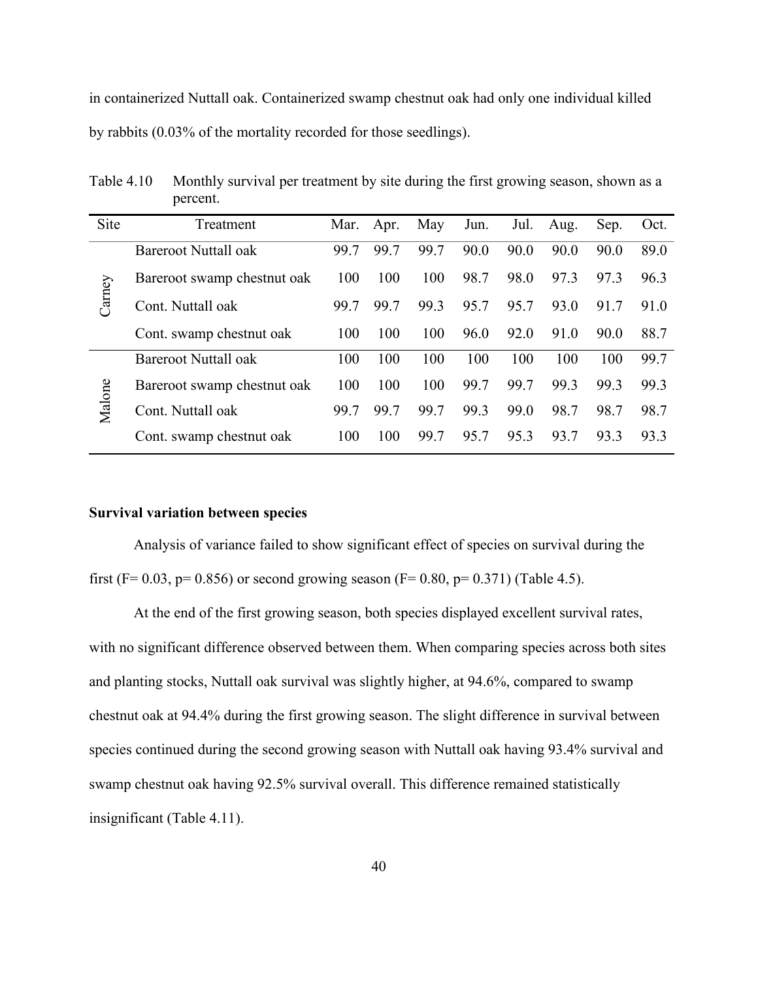in containerized Nuttall oak. Containerized swamp chestnut oak had only one individual killed by rabbits (0.03% of the mortality recorded for those seedlings).

| Treatment                   | Mar. | Apr. | May  | Jun. | Jul. | Aug. | Sep. | Oct. |
|-----------------------------|------|------|------|------|------|------|------|------|
| <b>Bareroot Nuttall oak</b> | 99.7 | 99.7 | 99.7 | 90.0 | 90.0 | 90.0 | 90.0 | 89.0 |
| Bareroot swamp chestnut oak | 100  | 100  | 100  | 98.7 | 98.0 | 97.3 | 97.3 | 96.3 |
| Cont. Nuttall oak           | 99.7 | 99.7 | 99.3 | 95.7 | 95.7 | 93.0 | 91.7 | 91.0 |
| Cont. swamp chestnut oak    | 100  | 100  | 100  | 96.0 | 92.0 | 91.0 | 90.0 | 88.7 |
| <b>Bareroot Nuttall oak</b> | 100  | 100  | 100  | 100  | 100  | 100  | 100  | 99.7 |
| Bareroot swamp chestnut oak | 100  | 100  | 100  | 99.7 | 99.7 | 99.3 | 99.3 | 99.3 |
| Cont. Nuttall oak           | 99.7 | 99.7 | 99.7 | 99.3 | 99.0 | 98.7 | 98.7 | 98.7 |
| Cont. swamp chestnut oak    | 100  | 100  | 99.7 | 95.7 | 95.3 | 93.7 | 93.3 | 93.3 |
|                             |      |      |      |      |      |      |      |      |

Table 4.10 Monthly survival per treatment by site during the first growing season, shown as a percent.

### **Survival variation between species**

Analysis of variance failed to show significant effect of species on survival during the first (F= 0.03, p= 0.856) or second growing season (F= 0.80, p= 0.371) (Table 4.5).

At the end of the first growing season, both species displayed excellent survival rates, with no significant difference observed between them. When comparing species across both sites and planting stocks, Nuttall oak survival was slightly higher, at 94.6%, compared to swamp chestnut oak at 94.4% during the first growing season. The slight difference in survival between species continued during the second growing season with Nuttall oak having 93.4% survival and swamp chestnut oak having 92.5% survival overall. This difference remained statistically insignificant (Table 4.11).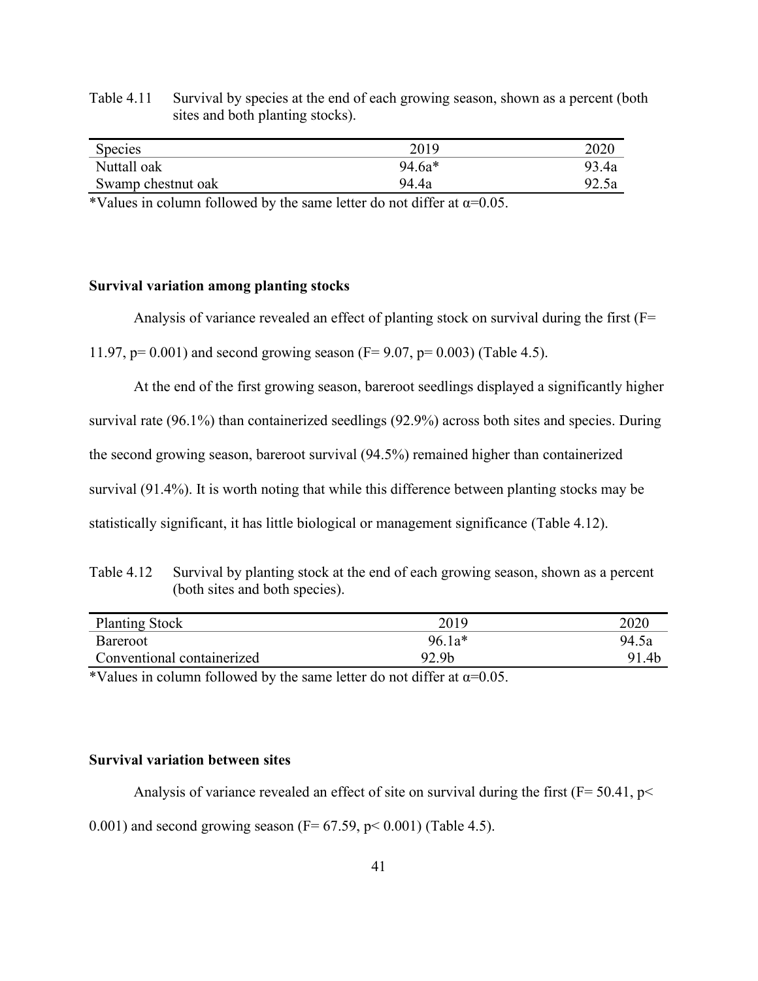| Species            | 2019     | 2020  |
|--------------------|----------|-------|
| Nuttall oak        | $94.6a*$ | 93.4a |
| Swamp chestnut oak | 94.4a    | 92.5a |

Table 4.11 Survival by species at the end of each growing season, shown as a percent (both sites and both planting stocks).

\*Values in column followed by the same letter do not differ at  $\alpha$ =0.05.

# **Survival variation among planting stocks**

Analysis of variance revealed an effect of planting stock on survival during the first  $(F=$ 

11.97, p= 0.001) and second growing season (F= 9.07, p= 0.003) (Table 4.5).

At the end of the first growing season, bareroot seedlings displayed a significantly higher survival rate (96.1%) than containerized seedlings (92.9%) across both sites and species. During the second growing season, bareroot survival (94.5%) remained higher than containerized survival (91.4%). It is worth noting that while this difference between planting stocks may be statistically significant, it has little biological or management significance (Table 4.12).

Table 4.12 Survival by planting stock at the end of each growing season, shown as a percent (both sites and both species).

| 2020  | <b>Planting Stock</b>      |
|-------|----------------------------|
| 94.5a | Bareroot                   |
| 91.4b | Conventional containerized |
|       |                            |

\*Values in column followed by the same letter do not differ at  $\alpha$ =0.05.

# **Survival variation between sites**

Analysis of variance revealed an effect of site on survival during the first ( $F = 50.41$ ,  $p <$ 0.001) and second growing season ( $F = 67.59$ ,  $p < 0.001$ ) (Table 4.5).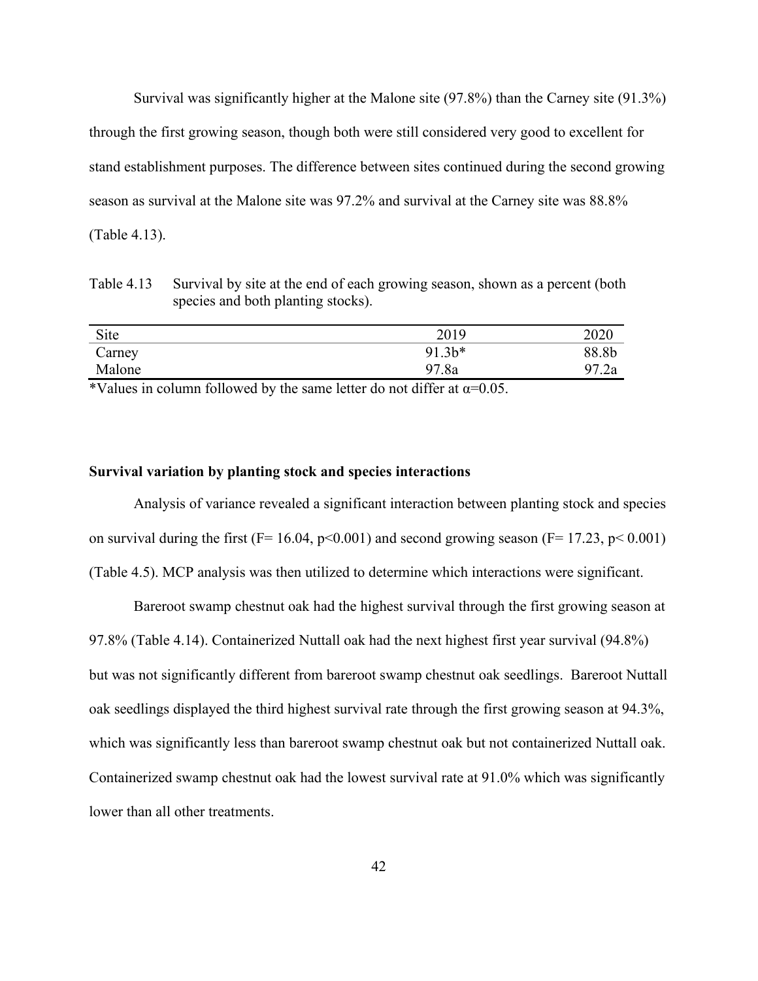Survival was significantly higher at the Malone site (97.8%) than the Carney site (91.3%) through the first growing season, though both were still considered very good to excellent for stand establishment purposes. The difference between sites continued during the second growing season as survival at the Malone site was 97.2% and survival at the Carney site was 88.8% (Table 4.13).

Table 4.13 Survival by site at the end of each growing season, shown as a percent (both species and both planting stocks).

| Site   | 2019   | 2020  |
|--------|--------|-------|
| Carney | 91.3b* | 88.8b |
| Malone | 97.8a  | 97.2a |

\*Values in column followed by the same letter do not differ at  $\alpha$ =0.05.

#### **Survival variation by planting stock and species interactions**

Analysis of variance revealed a significant interaction between planting stock and species on survival during the first ( $F= 16.04$ ,  $p<0.001$ ) and second growing season ( $F= 17.23$ ,  $p<0.001$ ) (Table 4.5). MCP analysis was then utilized to determine which interactions were significant.

Bareroot swamp chestnut oak had the highest survival through the first growing season at 97.8% (Table 4.14). Containerized Nuttall oak had the next highest first year survival (94.8%) but was not significantly different from bareroot swamp chestnut oak seedlings. Bareroot Nuttall oak seedlings displayed the third highest survival rate through the first growing season at 94.3%, which was significantly less than bareroot swamp chestnut oak but not containerized Nuttall oak. Containerized swamp chestnut oak had the lowest survival rate at 91.0% which was significantly lower than all other treatments.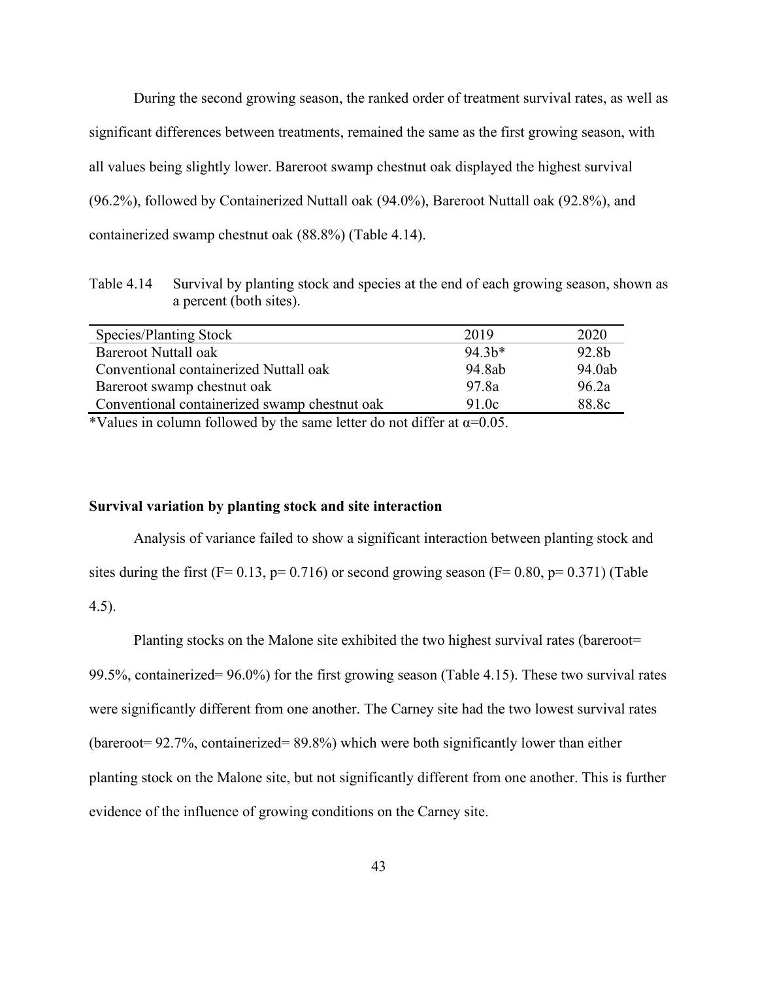During the second growing season, the ranked order of treatment survival rates, as well as significant differences between treatments, remained the same as the first growing season, with all values being slightly lower. Bareroot swamp chestnut oak displayed the highest survival (96.2%), followed by Containerized Nuttall oak (94.0%), Bareroot Nuttall oak (92.8%), and containerized swamp chestnut oak (88.8%) (Table 4.14).

Table 4.14 Survival by planting stock and species at the end of each growing season, shown as a percent (both sites).

| Species/Planting Stock                        | 2019    | 2020   |
|-----------------------------------------------|---------|--------|
| Bareroot Nuttall oak                          | $94.3*$ | 92.8b  |
| Conventional containerized Nuttall oak        | 94.8ab  | 94.0ab |
| Bareroot swamp chestnut oak                   | 97.8a   | 96.2a  |
| Conventional containerized swamp chestnut oak | 91.0c   | 88.8c  |
|                                               |         |        |

\*Values in column followed by the same letter do not differ at  $\alpha$ =0.05.

# **Survival variation by planting stock and site interaction**

Analysis of variance failed to show a significant interaction between planting stock and sites during the first (F= 0.13, p= 0.716) or second growing season (F= 0.80, p= 0.371) (Table 4.5).

Planting stocks on the Malone site exhibited the two highest survival rates (bareroot= 99.5%, containerized= 96.0%) for the first growing season (Table 4.15). These two survival rates were significantly different from one another. The Carney site had the two lowest survival rates (bareroot= 92.7%, containerized= 89.8%) which were both significantly lower than either planting stock on the Malone site, but not significantly different from one another. This is further evidence of the influence of growing conditions on the Carney site.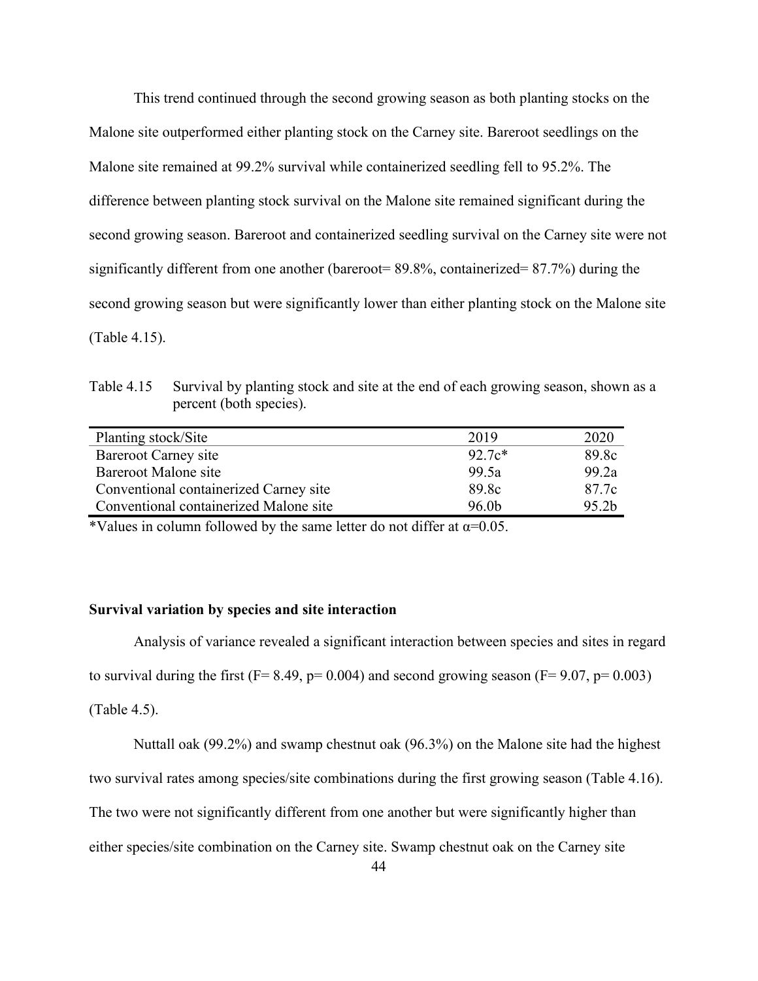This trend continued through the second growing season as both planting stocks on the Malone site outperformed either planting stock on the Carney site. Bareroot seedlings on the Malone site remained at 99.2% survival while containerized seedling fell to 95.2%. The difference between planting stock survival on the Malone site remained significant during the second growing season. Bareroot and containerized seedling survival on the Carney site were not significantly different from one another (bareroot= 89.8%, containerized= 87.7%) during the second growing season but were significantly lower than either planting stock on the Malone site (Table 4.15).

Table 4.15 Survival by planting stock and site at the end of each growing season, shown as a percent (both species).

| Planting stock/Site                    | 2019              | 2020              |
|----------------------------------------|-------------------|-------------------|
| Bareroot Carney site                   | $92.7c*$          | 89.8c             |
| Bareroot Malone site                   | 99.5a             | 99.2a             |
| Conventional containerized Carney site | 89.8c             | 87.7c             |
| Conventional containerized Malone site | 96.0 <sub>b</sub> | 95.2 <sub>b</sub> |

\*Values in column followed by the same letter do not differ at  $\alpha$ =0.05.

# **Survival variation by species and site interaction**

Analysis of variance revealed a significant interaction between species and sites in regard to survival during the first ( $F = 8.49$ ,  $p = 0.004$ ) and second growing season ( $F = 9.07$ ,  $p = 0.003$ ) (Table 4.5).

Nuttall oak (99.2%) and swamp chestnut oak (96.3%) on the Malone site had the highest

two survival rates among species/site combinations during the first growing season (Table 4.16).

The two were not significantly different from one another but were significantly higher than

either species/site combination on the Carney site. Swamp chestnut oak on the Carney site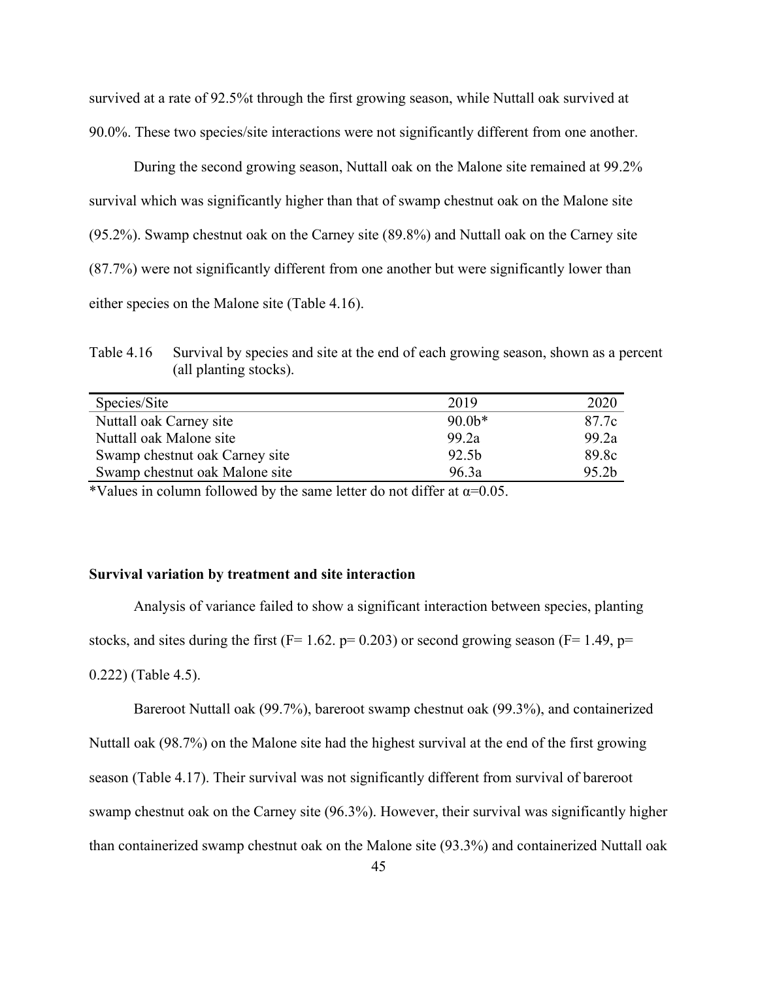survived at a rate of 92.5%t through the first growing season, while Nuttall oak survived at 90.0%. These two species/site interactions were not significantly different from one another.

During the second growing season, Nuttall oak on the Malone site remained at 99.2% survival which was significantly higher than that of swamp chestnut oak on the Malone site (95.2%). Swamp chestnut oak on the Carney site (89.8%) and Nuttall oak on the Carney site (87.7%) were not significantly different from one another but were significantly lower than either species on the Malone site (Table 4.16).

Table 4.16 Survival by species and site at the end of each growing season, shown as a percent (all planting stocks).

| Species/Site                   | 2019             | 2020  |
|--------------------------------|------------------|-------|
| Nuttall oak Carney site        | $90.0*$          | 87.7c |
| Nuttall oak Malone site        | 99.2a            | 99.2a |
| Swamp chestnut oak Carney site | 92.5b            | 89.8c |
| Swamp chestnut oak Malone site | 96.3a            | 95.2b |
|                                | $\cdots$<br>---- |       |

\*Values in column followed by the same letter do not differ at  $\alpha$ =0.05.

#### **Survival variation by treatment and site interaction**

Analysis of variance failed to show a significant interaction between species, planting stocks, and sites during the first (F= 1.62.  $p= 0.203$ ) or second growing season (F= 1.49,  $p=$ 0.222) (Table 4.5).

Bareroot Nuttall oak (99.7%), bareroot swamp chestnut oak (99.3%), and containerized

Nuttall oak (98.7%) on the Malone site had the highest survival at the end of the first growing

season (Table 4.17). Their survival was not significantly different from survival of bareroot

swamp chestnut oak on the Carney site (96.3%). However, their survival was significantly higher

than containerized swamp chestnut oak on the Malone site (93.3%) and containerized Nuttall oak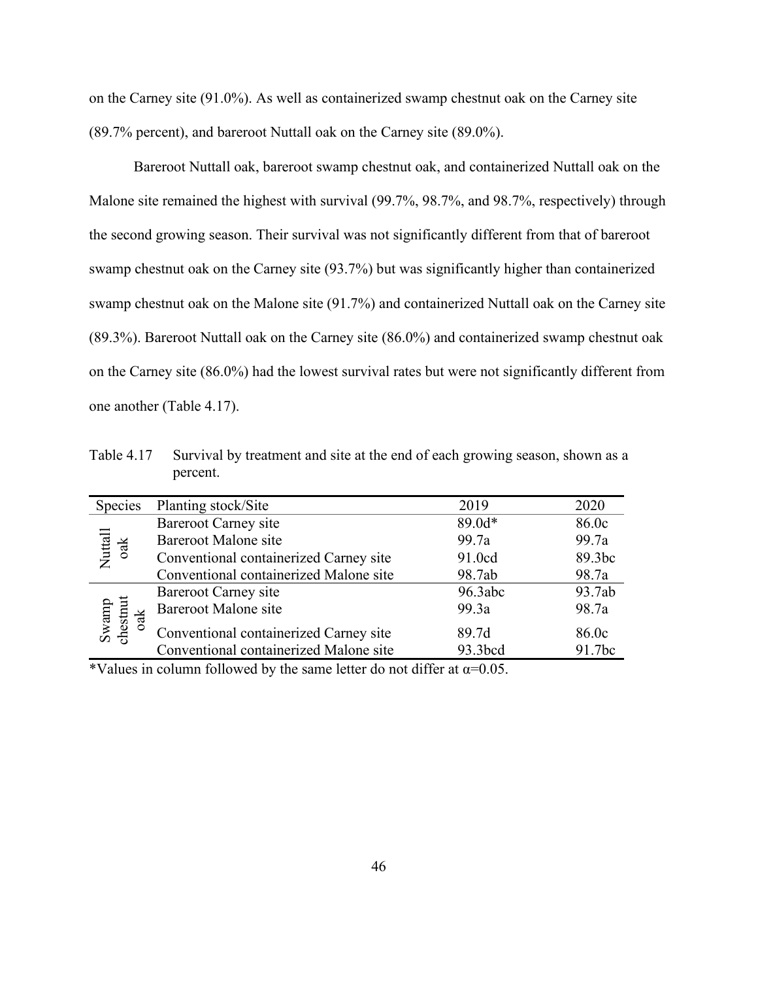on the Carney site (91.0%). As well as containerized swamp chestnut oak on the Carney site (89.7% percent), and bareroot Nuttall oak on the Carney site (89.0%).

Bareroot Nuttall oak, bareroot swamp chestnut oak, and containerized Nuttall oak on the Malone site remained the highest with survival (99.7%, 98.7%, and 98.7%, respectively) through the second growing season. Their survival was not significantly different from that of bareroot swamp chestnut oak on the Carney site (93.7%) but was significantly higher than containerized swamp chestnut oak on the Malone site (91.7%) and containerized Nuttall oak on the Carney site (89.3%). Bareroot Nuttall oak on the Carney site (86.0%) and containerized swamp chestnut oak on the Carney site (86.0%) had the lowest survival rates but were not significantly different from one another (Table 4.17).

Table 4.17 Survival by treatment and site at the end of each growing season, shown as a percent.

| Species                     | Planting stock/Site                    | 2019    | 2020   |
|-----------------------------|----------------------------------------|---------|--------|
|                             | <b>Bareroot Carney site</b>            | 89.0d*  | 86.0c  |
|                             | <b>Bareroot Malone site</b>            | 99.7a   | 99.7a  |
| $\frac{Nutall}{\text{oak}}$ | Conventional containerized Carney site | 91.0cd  | 89.3bc |
|                             | Conventional containerized Malone site | 98.7ab  | 98.7a  |
|                             | Bareroot Carney site                   | 96.3abc | 93.7ab |
| $\frac{1}{2}$               | <b>Bareroot Malone site</b>            | 99.3a   | 98.7a  |
| Swamp<br>chestnut           | Conventional containerized Carney site | 89.7d   | 86.0c  |
|                             | Conventional containerized Malone site | 93.3bcd | 91.7bc |

\*Values in column followed by the same letter do not differ at  $\alpha$ =0.05.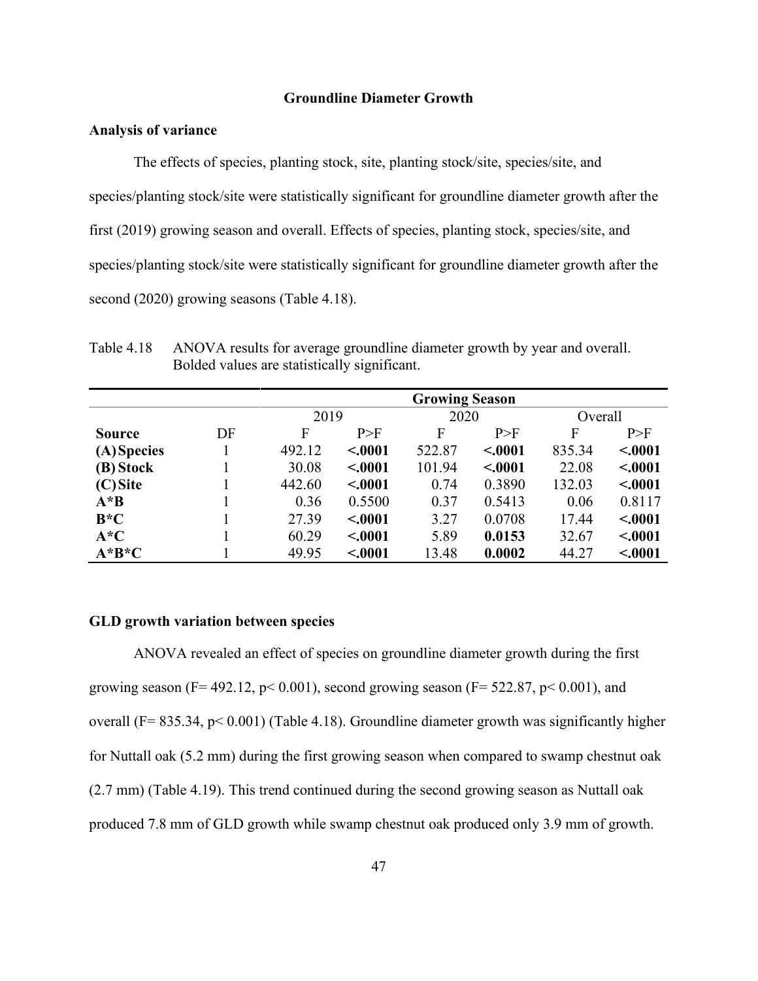#### **Groundline Diameter Growth**

# **Analysis of variance**

The effects of species, planting stock, site, planting stock/site, species/site, and species/planting stock/site were statistically significant for groundline diameter growth after the first (2019) growing season and overall. Effects of species, planting stock, species/site, and species/planting stock/site were statistically significant for groundline diameter growth after the second (2020) growing seasons (Table 4.18).

Table 4.18 ANOVA results for average groundline diameter growth by year and overall. Bolded values are statistically significant.

|               | <b>Growing Season</b> |        |         |        |         |         |         |
|---------------|-----------------------|--------|---------|--------|---------|---------|---------|
|               |                       | 2019   |         | 2020   |         | Overall |         |
| <b>Source</b> | DF                    | F      | P>F     | F      | P>F     | F       | P>F     |
| (A) Species   |                       | 492.12 | < .0001 | 522.87 | < .0001 | 835.34  | < .0001 |
| (B) Stock     |                       | 30.08  | < .0001 | 101.94 | < .0001 | 22.08   | < .0001 |
| $(C)$ Site    |                       | 442.60 | < .0001 | 0.74   | 0.3890  | 132.03  | < .0001 |
| $A^*B$        |                       | 0.36   | 0.5500  | 0.37   | 0.5413  | 0.06    | 0.8117  |
| $B*C$         |                       | 27.39  | < .0001 | 3.27   | 0.0708  | 17.44   | < .0001 |
| $A*C$         |                       | 60.29  | < .0001 | 5.89   | 0.0153  | 32.67   | < .0001 |
| $A^*B^*C$     |                       | 49.95  | < .0001 | 13.48  | 0.0002  | 44.27   | < .0001 |

### **GLD growth variation between species**

ANOVA revealed an effect of species on groundline diameter growth during the first growing season (F= 492.12,  $p$ < 0.001), second growing season (F= 522.87,  $p$ < 0.001), and overall (F= 835.34, p< 0.001) (Table 4.18). Groundline diameter growth was significantly higher for Nuttall oak (5.2 mm) during the first growing season when compared to swamp chestnut oak (2.7 mm) (Table 4.19). This trend continued during the second growing season as Nuttall oak produced 7.8 mm of GLD growth while swamp chestnut oak produced only 3.9 mm of growth.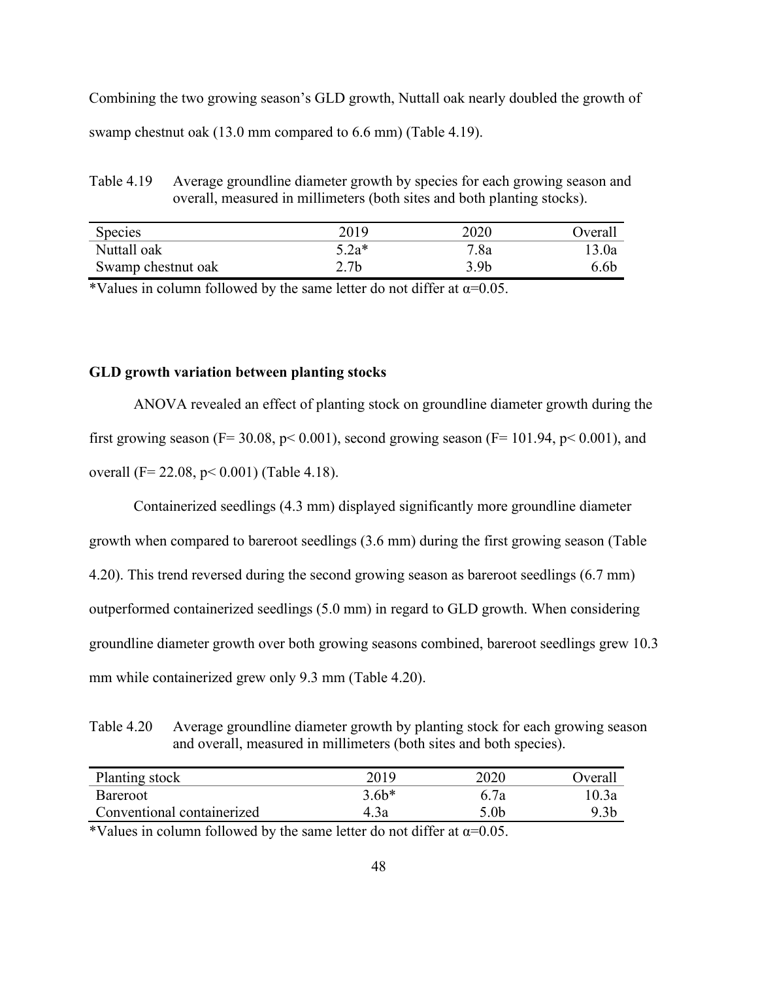Combining the two growing season's GLD growth, Nuttall oak nearly doubled the growth of swamp chestnut oak (13.0 mm compared to 6.6 mm) (Table 4.19).

Table 4.19 Average groundline diameter growth by species for each growing season and overall, measured in millimeters (both sites and both planting stocks).

| <b>Species</b>     | 2019    | 2020 | <b>Dverall</b> |
|--------------------|---------|------|----------------|
| Nuttall oak        | $5.2a*$ | 7.8a | 13.0a          |
| Swamp chestnut oak | 2.7b    | 3.9b | 6.6b           |

\*Values in column followed by the same letter do not differ at  $\alpha$ =0.05.

### **GLD growth variation between planting stocks**

ANOVA revealed an effect of planting stock on groundline diameter growth during the first growing season (F= 30.08, p< 0.001), second growing season (F= 101.94, p< 0.001), and overall (F= 22.08, p< 0.001) (Table 4.18).

Containerized seedlings (4.3 mm) displayed significantly more groundline diameter

growth when compared to bareroot seedlings (3.6 mm) during the first growing season (Table

4.20). This trend reversed during the second growing season as bareroot seedlings (6.7 mm)

outperformed containerized seedlings (5.0 mm) in regard to GLD growth. When considering

groundline diameter growth over both growing seasons combined, bareroot seedlings grew 10.3

mm while containerized grew only 9.3 mm (Table 4.20).

Table 4.20 Average groundline diameter growth by planting stock for each growing season and overall, measured in millimeters (both sites and both species).

| Planting stock             | 2019    | 2020 | <b>J</b> veral |
|----------------------------|---------|------|----------------|
| <b>Bareroot</b>            | $3.6b*$ | 6.7a | 10.3a          |
| Conventional containerized | 4.3a    | 5.0b | 9.3b           |

\*Values in column followed by the same letter do not differ at  $\alpha$ =0.05.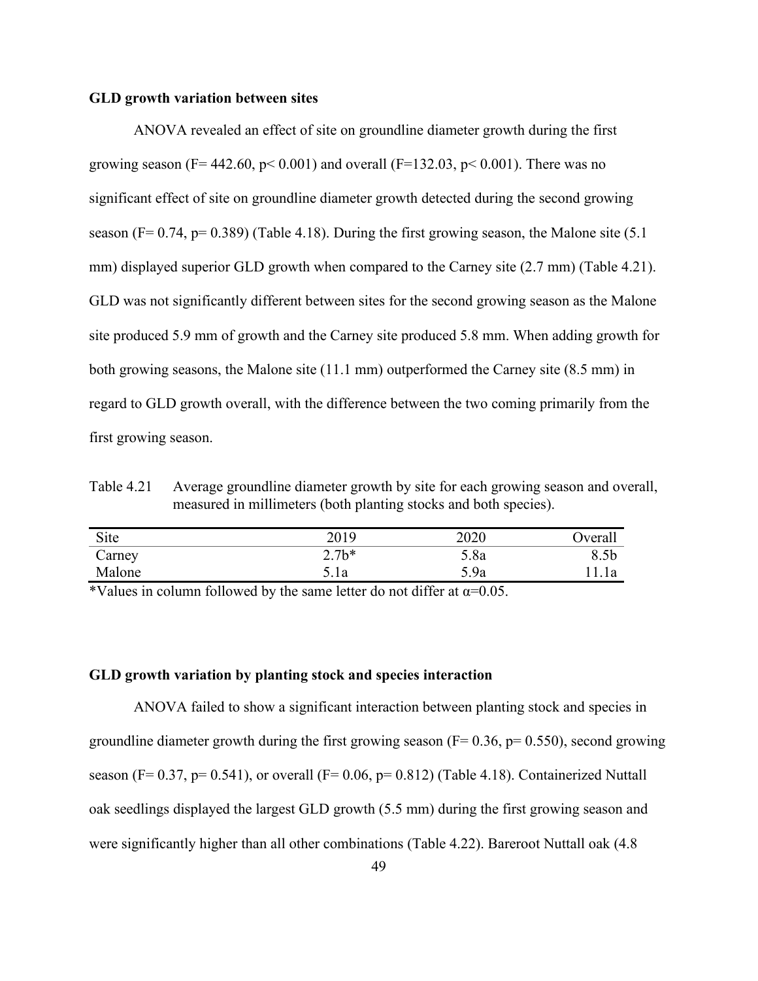#### **GLD growth variation between sites**

ANOVA revealed an effect of site on groundline diameter growth during the first growing season (F= 442.60,  $p < 0.001$ ) and overall (F=132.03,  $p < 0.001$ ). There was no significant effect of site on groundline diameter growth detected during the second growing season (F=  $0.74$ , p=  $0.389$ ) (Table 4.18). During the first growing season, the Malone site (5.1) mm) displayed superior GLD growth when compared to the Carney site (2.7 mm) (Table 4.21). GLD was not significantly different between sites for the second growing season as the Malone site produced 5.9 mm of growth and the Carney site produced 5.8 mm. When adding growth for both growing seasons, the Malone site (11.1 mm) outperformed the Carney site (8.5 mm) in regard to GLD growth overall, with the difference between the two coming primarily from the first growing season.

Table 4.21 Average groundline diameter growth by site for each growing season and overall, measured in millimeters (both planting stocks and both species).

| Site                                                            |               | 2019   | 2020                                    | Overall |
|-----------------------------------------------------------------|---------------|--------|-----------------------------------------|---------|
| Carney                                                          |               | $2.7*$ | 5.8a                                    | 8.5b    |
| Malone                                                          |               | 5.la   | 5.9a                                    | . l a   |
| $\mathbf{1} \cdot \mathbf{1} \cdot \mathbf{1} \cdot \mathbf{1}$ | $\sim$ $\sim$ |        | $\cdots$<br>$\sim$ $\sim$ $\sim$ $\sim$ |         |

\*Values in column followed by the same letter do not differ at  $\alpha$ =0.05.

# **GLD growth variation by planting stock and species interaction**

ANOVA failed to show a significant interaction between planting stock and species in groundline diameter growth during the first growing season ( $F = 0.36$ ,  $p = 0.550$ ), second growing season (F=  $0.37$ , p=  $0.541$ ), or overall (F=  $0.06$ , p=  $0.812$ ) (Table 4.18). Containerized Nuttall oak seedlings displayed the largest GLD growth (5.5 mm) during the first growing season and were significantly higher than all other combinations (Table 4.22). Bareroot Nuttall oak (4.8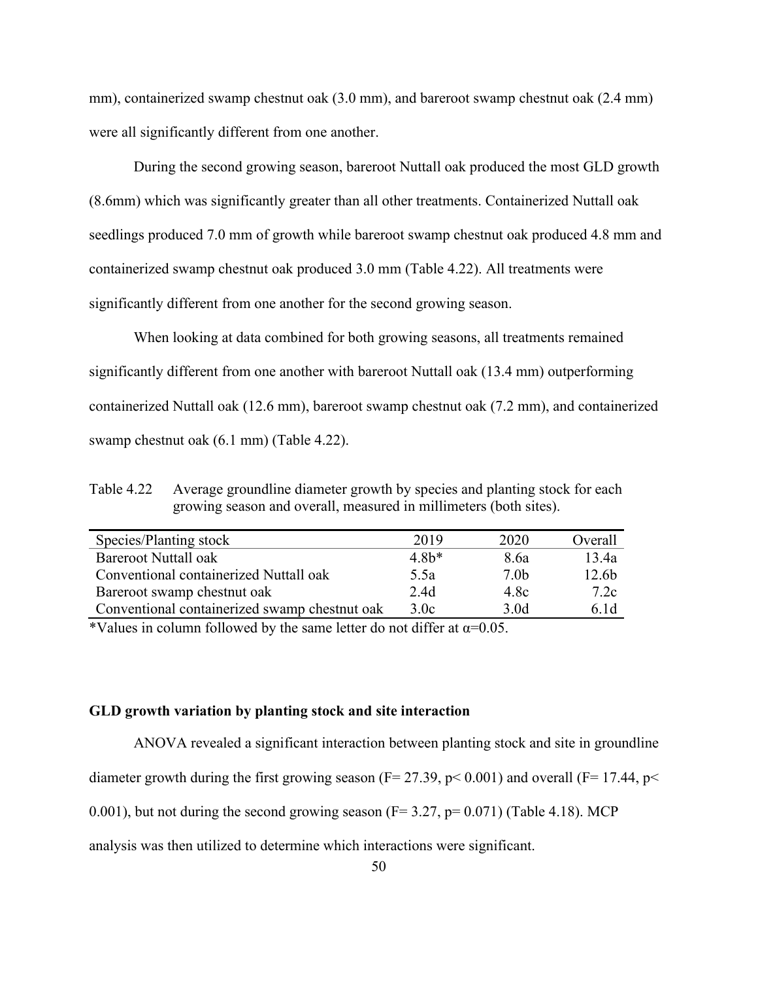mm), containerized swamp chestnut oak (3.0 mm), and bareroot swamp chestnut oak (2.4 mm) were all significantly different from one another.

During the second growing season, bareroot Nuttall oak produced the most GLD growth (8.6mm) which was significantly greater than all other treatments. Containerized Nuttall oak seedlings produced 7.0 mm of growth while bareroot swamp chestnut oak produced 4.8 mm and containerized swamp chestnut oak produced 3.0 mm (Table 4.22). All treatments were significantly different from one another for the second growing season.

When looking at data combined for both growing seasons, all treatments remained significantly different from one another with bareroot Nuttall oak (13.4 mm) outperforming containerized Nuttall oak (12.6 mm), bareroot swamp chestnut oak (7.2 mm), and containerized swamp chestnut oak (6.1 mm) (Table 4.22).

Table 4.22 Average groundline diameter growth by species and planting stock for each growing season and overall, measured in millimeters (both sites).

| Species/Planting stock                        | 2019   | 2020             | Overall           |
|-----------------------------------------------|--------|------------------|-------------------|
| <b>Bareroot Nuttall oak</b>                   | $4.8*$ | 8.6a             | 13.4a             |
| Conventional containerized Nuttall oak        | 5.5a   | 7.0 <sub>b</sub> | 12.6 <sub>b</sub> |
| Bareroot swamp chestnut oak                   | 2.4d   | 4.8c             | 7.2c              |
| Conventional containerized swamp chestnut oak | 3.0c   | 3.0d             | 6.1d              |

\*Values in column followed by the same letter do not differ at  $\alpha$ =0.05.

# **GLD growth variation by planting stock and site interaction**

ANOVA revealed a significant interaction between planting stock and site in groundline diameter growth during the first growing season ( $F = 27.39$ ,  $p < 0.001$ ) and overall ( $F = 17.44$ ,  $p <$ 

0.001), but not during the second growing season ( $F= 3.27$ ,  $p= 0.071$ ) (Table 4.18). MCP

analysis was then utilized to determine which interactions were significant.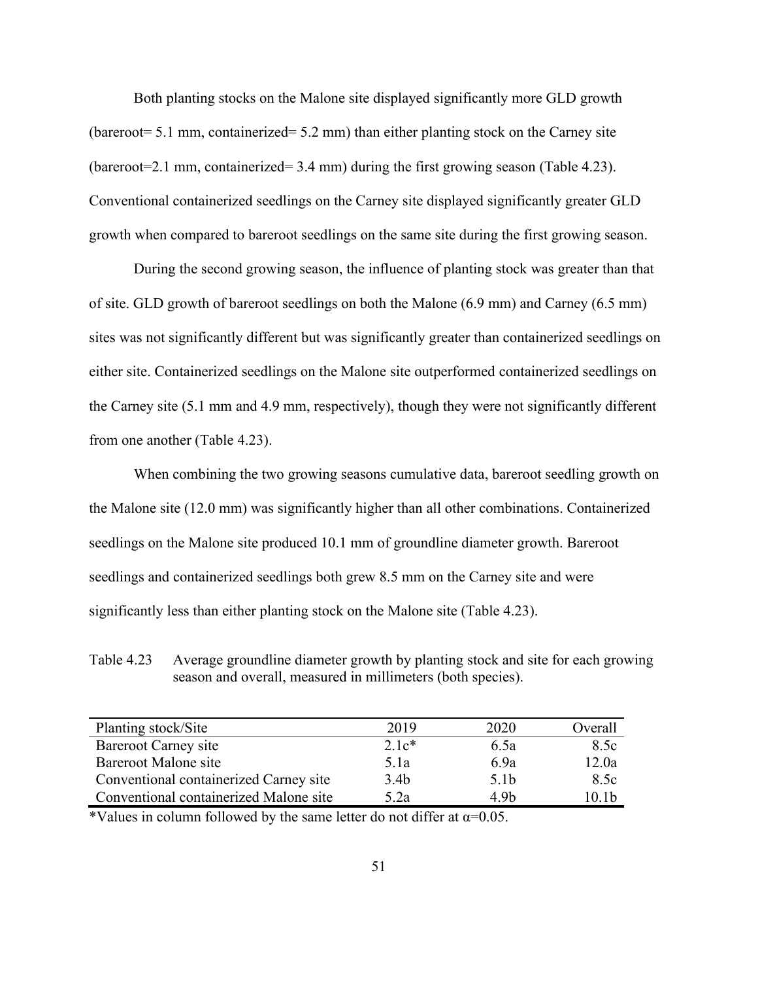Both planting stocks on the Malone site displayed significantly more GLD growth (bareroot= 5.1 mm, containerized= 5.2 mm) than either planting stock on the Carney site (bareroot=2.1 mm, containerized= 3.4 mm) during the first growing season (Table 4.23). Conventional containerized seedlings on the Carney site displayed significantly greater GLD growth when compared to bareroot seedlings on the same site during the first growing season.

During the second growing season, the influence of planting stock was greater than that of site. GLD growth of bareroot seedlings on both the Malone (6.9 mm) and Carney (6.5 mm) sites was not significantly different but was significantly greater than containerized seedlings on either site. Containerized seedlings on the Malone site outperformed containerized seedlings on the Carney site (5.1 mm and 4.9 mm, respectively), though they were not significantly different from one another (Table 4.23).

When combining the two growing seasons cumulative data, bareroot seedling growth on the Malone site (12.0 mm) was significantly higher than all other combinations. Containerized seedlings on the Malone site produced 10.1 mm of groundline diameter growth. Bareroot seedlings and containerized seedlings both grew 8.5 mm on the Carney site and were significantly less than either planting stock on the Malone site (Table 4.23).

Table 4.23 Average groundline diameter growth by planting stock and site for each growing season and overall, measured in millimeters (both species).

| Planting stock/Site                    | 2019             | 2020             | Overall |
|----------------------------------------|------------------|------------------|---------|
| Bareroot Carney site                   | $2.1c*$          | 6.5a             | 8.5c    |
| Bareroot Malone site                   | 5.1a             | 6.9a             | 12.0a   |
| Conventional containerized Carney site | 3.4 <sub>b</sub> | 5.1 <sub>b</sub> | 8.5c    |
| Conventional containerized Malone site | 5.2a             | 4.9h             | 10.1h   |

\*Values in column followed by the same letter do not differ at  $\alpha$ =0.05.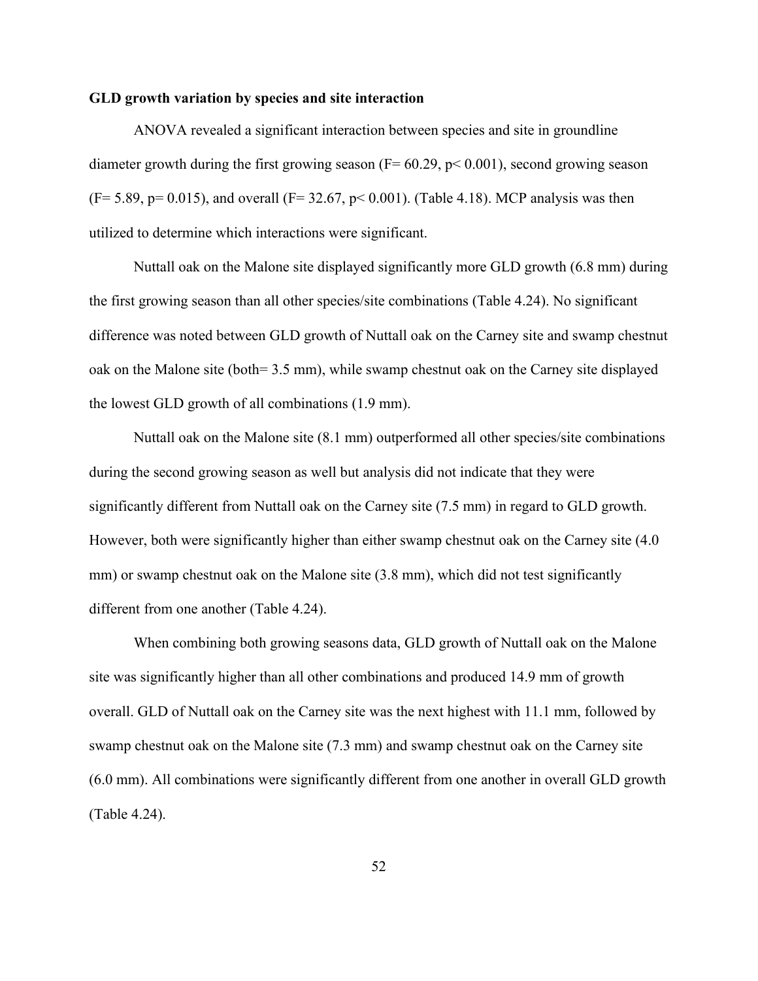### **GLD growth variation by species and site interaction**

ANOVA revealed a significant interaction between species and site in groundline diameter growth during the first growing season ( $F = 60.29$ ,  $p < 0.001$ ), second growing season  $(F= 5.89, p= 0.015)$ , and overall  $(F= 32.67, p< 0.001)$ . (Table 4.18). MCP analysis was then utilized to determine which interactions were significant.

Nuttall oak on the Malone site displayed significantly more GLD growth (6.8 mm) during the first growing season than all other species/site combinations (Table 4.24). No significant difference was noted between GLD growth of Nuttall oak on the Carney site and swamp chestnut oak on the Malone site (both= 3.5 mm), while swamp chestnut oak on the Carney site displayed the lowest GLD growth of all combinations (1.9 mm).

Nuttall oak on the Malone site (8.1 mm) outperformed all other species/site combinations during the second growing season as well but analysis did not indicate that they were significantly different from Nuttall oak on the Carney site (7.5 mm) in regard to GLD growth. However, both were significantly higher than either swamp chestnut oak on the Carney site (4.0) mm) or swamp chestnut oak on the Malone site (3.8 mm), which did not test significantly different from one another (Table 4.24).

When combining both growing seasons data, GLD growth of Nuttall oak on the Malone site was significantly higher than all other combinations and produced 14.9 mm of growth overall. GLD of Nuttall oak on the Carney site was the next highest with 11.1 mm, followed by swamp chestnut oak on the Malone site (7.3 mm) and swamp chestnut oak on the Carney site (6.0 mm). All combinations were significantly different from one another in overall GLD growth (Table 4.24).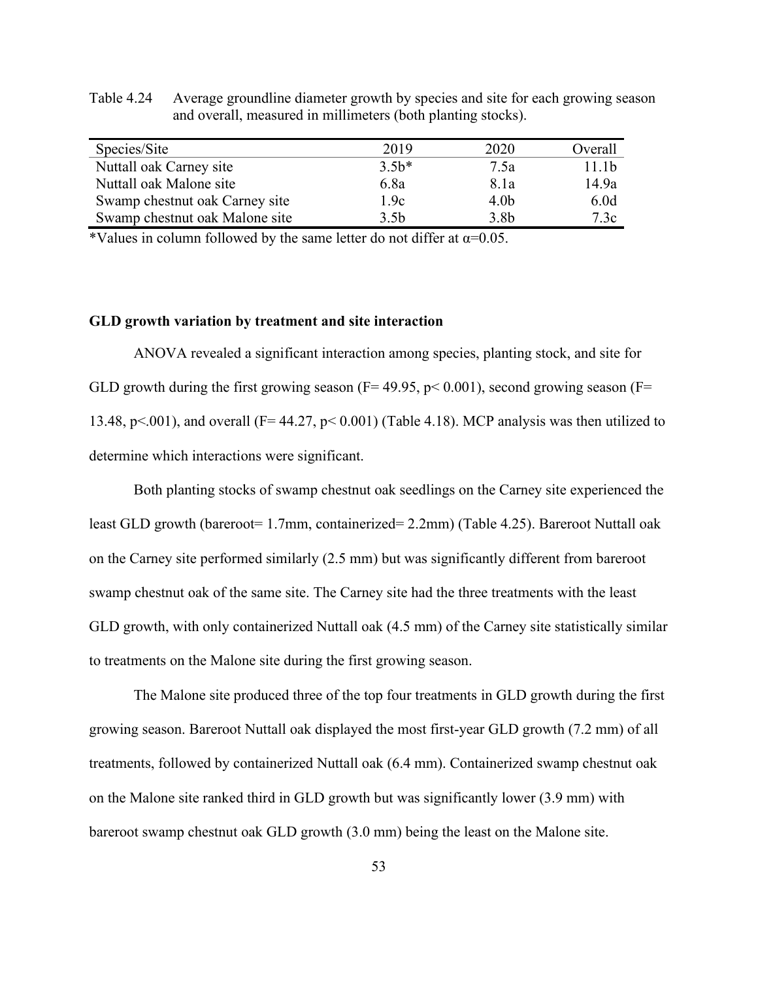| Species/Site                   | 2019    | 2020             | Overall |
|--------------------------------|---------|------------------|---------|
| Nuttall oak Carney site        | $3.5b*$ | 7.5a             | 11.1b   |
| Nuttall oak Malone site        | 6.8a    | 8.1a             | 14.9a   |
| Swamp chestnut oak Carney site | 1.9c    | 4.0 <sub>b</sub> | 6.0d    |
| Swamp chestnut oak Malone site | 3.5b    | 3.8 <sub>b</sub> | 7.3c    |

Table 4.24 Average groundline diameter growth by species and site for each growing season and overall, measured in millimeters (both planting stocks).

\*Values in column followed by the same letter do not differ at  $\alpha$ =0.05.

# **GLD growth variation by treatment and site interaction**

ANOVA revealed a significant interaction among species, planting stock, and site for GLD growth during the first growing season ( $F= 49.95$ ,  $p< 0.001$ ), second growing season ( $F=$ 13.48, p<.001), and overall ( $F= 44.27$ , p< 0.001) (Table 4.18). MCP analysis was then utilized to determine which interactions were significant.

Both planting stocks of swamp chestnut oak seedlings on the Carney site experienced the least GLD growth (bareroot= 1.7mm, containerized= 2.2mm) (Table 4.25). Bareroot Nuttall oak on the Carney site performed similarly (2.5 mm) but was significantly different from bareroot swamp chestnut oak of the same site. The Carney site had the three treatments with the least GLD growth, with only containerized Nuttall oak (4.5 mm) of the Carney site statistically similar to treatments on the Malone site during the first growing season.

The Malone site produced three of the top four treatments in GLD growth during the first growing season. Bareroot Nuttall oak displayed the most first-year GLD growth (7.2 mm) of all treatments, followed by containerized Nuttall oak (6.4 mm). Containerized swamp chestnut oak on the Malone site ranked third in GLD growth but was significantly lower (3.9 mm) with bareroot swamp chestnut oak GLD growth (3.0 mm) being the least on the Malone site.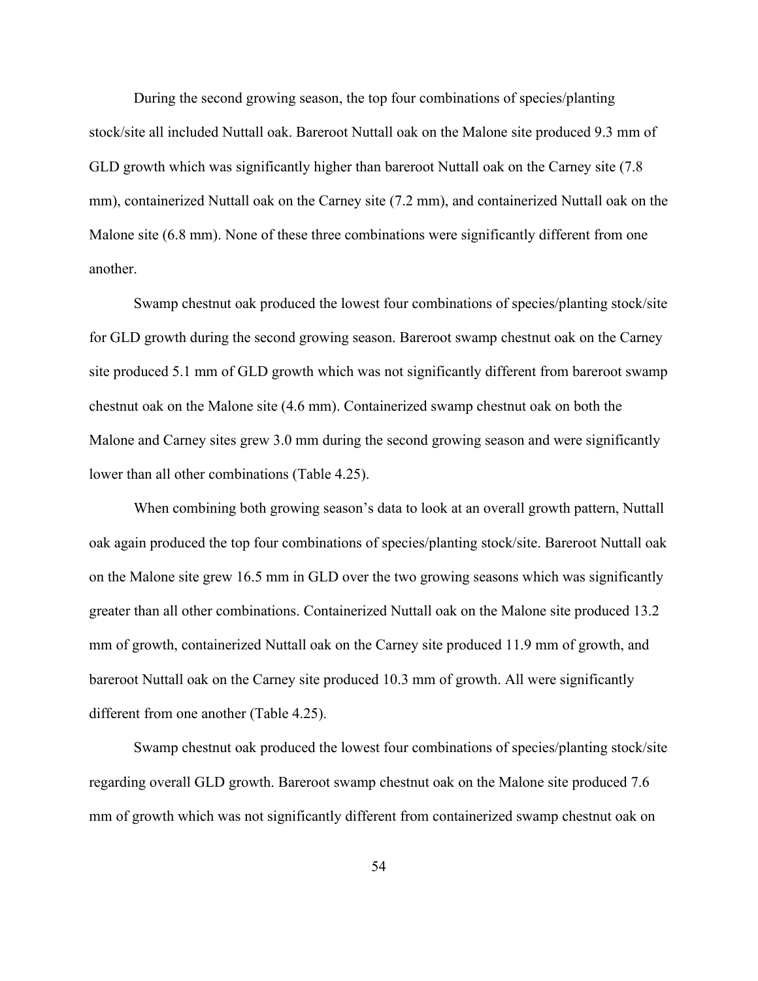During the second growing season, the top four combinations of species/planting stock/site all included Nuttall oak. Bareroot Nuttall oak on the Malone site produced 9.3 mm of GLD growth which was significantly higher than bareroot Nuttall oak on the Carney site (7.8 mm), containerized Nuttall oak on the Carney site (7.2 mm), and containerized Nuttall oak on the Malone site (6.8 mm). None of these three combinations were significantly different from one another.

Swamp chestnut oak produced the lowest four combinations of species/planting stock/site for GLD growth during the second growing season. Bareroot swamp chestnut oak on the Carney site produced 5.1 mm of GLD growth which was not significantly different from bareroot swamp chestnut oak on the Malone site (4.6 mm). Containerized swamp chestnut oak on both the Malone and Carney sites grew 3.0 mm during the second growing season and were significantly lower than all other combinations (Table 4.25).

When combining both growing season's data to look at an overall growth pattern, Nuttall oak again produced the top four combinations of species/planting stock/site. Bareroot Nuttall oak on the Malone site grew 16.5 mm in GLD over the two growing seasons which was significantly greater than all other combinations. Containerized Nuttall oak on the Malone site produced 13.2 mm of growth, containerized Nuttall oak on the Carney site produced 11.9 mm of growth, and bareroot Nuttall oak on the Carney site produced 10.3 mm of growth. All were significantly different from one another (Table 4.25).

Swamp chestnut oak produced the lowest four combinations of species/planting stock/site regarding overall GLD growth. Bareroot swamp chestnut oak on the Malone site produced 7.6 mm of growth which was not significantly different from containerized swamp chestnut oak on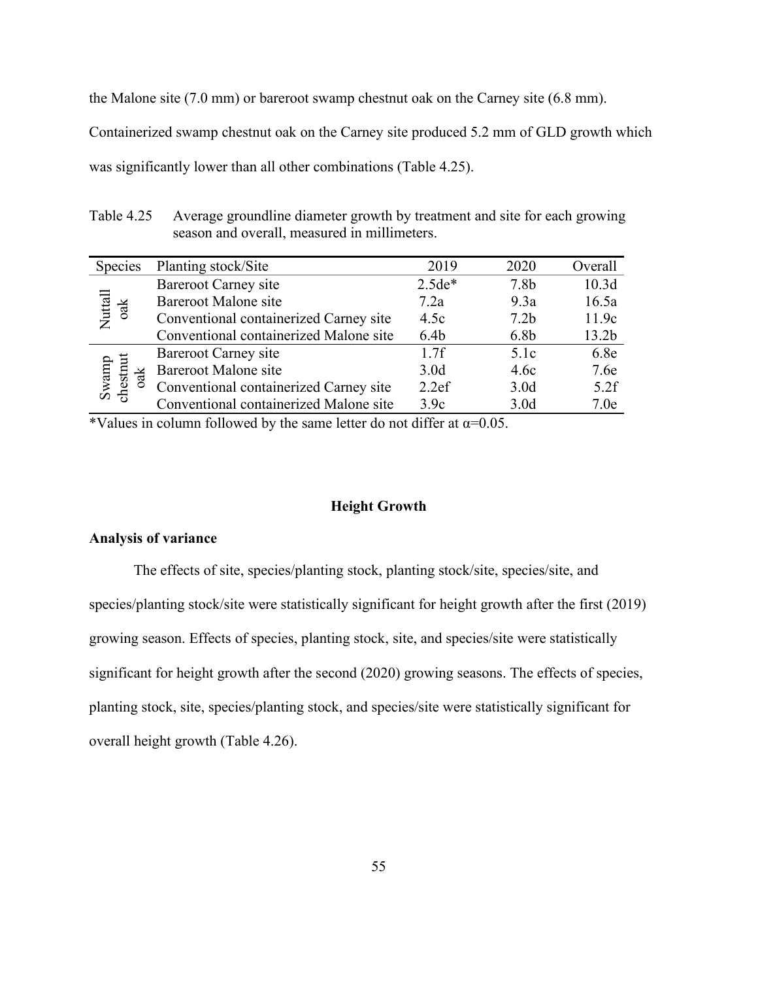the Malone site (7.0 mm) or bareroot swamp chestnut oak on the Carney site (6.8 mm).

Containerized swamp chestnut oak on the Carney site produced 5.2 mm of GLD growth which

was significantly lower than all other combinations (Table 4.25).

Table 4.25 Average groundline diameter growth by treatment and site for each growing season and overall, measured in millimeters.

| <b>Species</b>              | Planting stock/Site                    | 2019             | 2020             | Overall |
|-----------------------------|----------------------------------------|------------------|------------------|---------|
| $\frac{Nutall}{\text{oak}}$ | <b>Bareroot Carney site</b>            | $2.5de*$         | 7.8 <sub>b</sub> | 10.3d   |
|                             | Bareroot Malone site                   | 7.2a             | 9.3a             | 16.5a   |
|                             | Conventional containerized Carney site | 4.5c             | 7.2 <sub>b</sub> | 11.9c   |
|                             | Conventional containerized Malone site | 6.4 <sub>b</sub> | 6.8 <sub>b</sub> | 13.2b   |
| Swamp<br>chestnut<br>ਰੇਂ    | Bareroot Carney site                   | 1.7f             | 5.1c             | 6.8e    |
|                             | <b>Bareroot Malone site</b>            | 3.0 <sub>d</sub> | 4.6c             | 7.6e    |
|                             | Conventional containerized Carney site | 2.2ef            | 3.0 <sub>d</sub> | 5.2f    |
|                             | Conventional containerized Malone site | 3.9c             | 3.0 <sub>d</sub> | 7.0e    |

\*Values in column followed by the same letter do not differ at  $\alpha$ =0.05.

#### **Height Growth**

# **Analysis of variance**

The effects of site, species/planting stock, planting stock/site, species/site, and species/planting stock/site were statistically significant for height growth after the first (2019) growing season. Effects of species, planting stock, site, and species/site were statistically significant for height growth after the second (2020) growing seasons. The effects of species, planting stock, site, species/planting stock, and species/site were statistically significant for overall height growth (Table 4.26).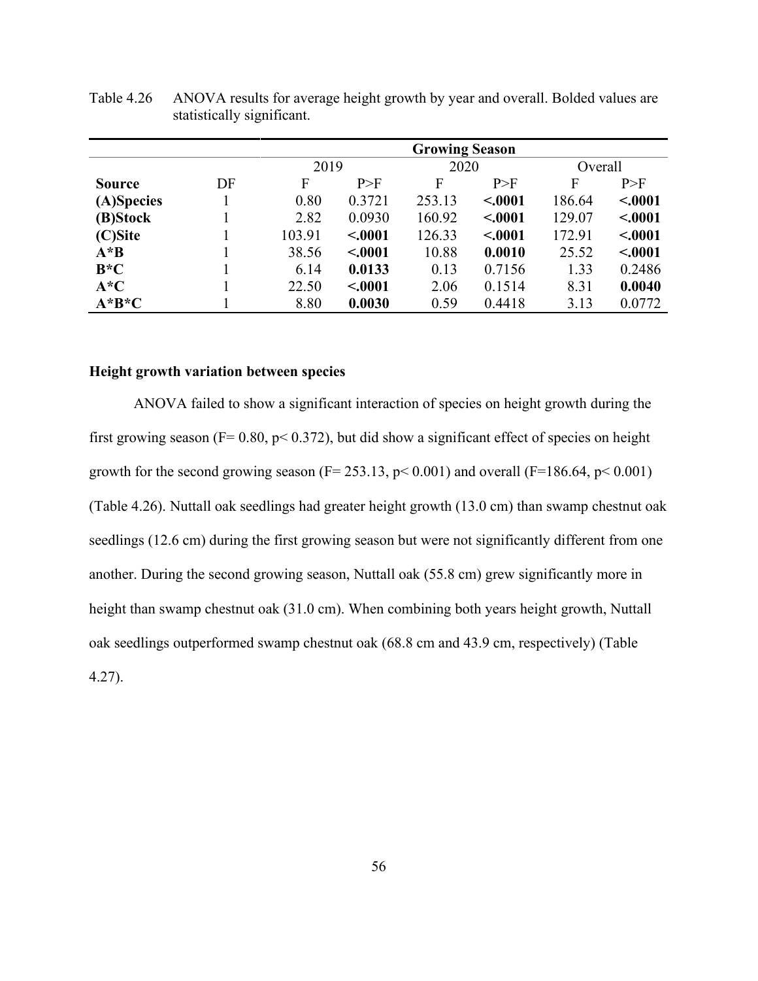|               |    | <b>Growing Season</b> |         |        |         |        |         |  |
|---------------|----|-----------------------|---------|--------|---------|--------|---------|--|
|               |    | 2019                  |         |        | 2020    |        | Overall |  |
| <b>Source</b> | DF | F                     | P>F     | F      | P>F     | F      | P>F     |  |
| (A)Species    |    | 0.80                  | 0.3721  | 253.13 | < .0001 | 186.64 | < .0001 |  |
| (B)Stock      |    | 2.82                  | 0.0930  | 160.92 | < .0001 | 129.07 | < .0001 |  |
| (C)Site       |    | 103.91                | < .0001 | 126.33 | < .0001 | 172.91 | < .0001 |  |
| $A^*B$        |    | 38.56                 | < .0001 | 10.88  | 0.0010  | 25.52  | < .0001 |  |
| $B*C$         |    | 6.14                  | 0.0133  | 0.13   | 0.7156  | 1.33   | 0.2486  |  |
| $A^*C$        |    | 22.50                 | < .0001 | 2.06   | 0.1514  | 8.31   | 0.0040  |  |
| $A^*B^*C$     |    | 8.80                  | 0.0030  | 0.59   | 0.4418  | 3.13   | 0.0772  |  |

Table 4.26 ANOVA results for average height growth by year and overall. Bolded values are statistically significant.

# **Height growth variation between species**

ANOVA failed to show a significant interaction of species on height growth during the first growing season ( $F = 0.80$ ,  $p < 0.372$ ), but did show a significant effect of species on height growth for the second growing season ( $F = 253.13$ ,  $p < 0.001$ ) and overall ( $F = 186.64$ ,  $p < 0.001$ ) (Table 4.26). Nuttall oak seedlings had greater height growth (13.0 cm) than swamp chestnut oak seedlings (12.6 cm) during the first growing season but were not significantly different from one another. During the second growing season, Nuttall oak (55.8 cm) grew significantly more in height than swamp chestnut oak (31.0 cm). When combining both years height growth, Nuttall oak seedlings outperformed swamp chestnut oak (68.8 cm and 43.9 cm, respectively) (Table 4.27).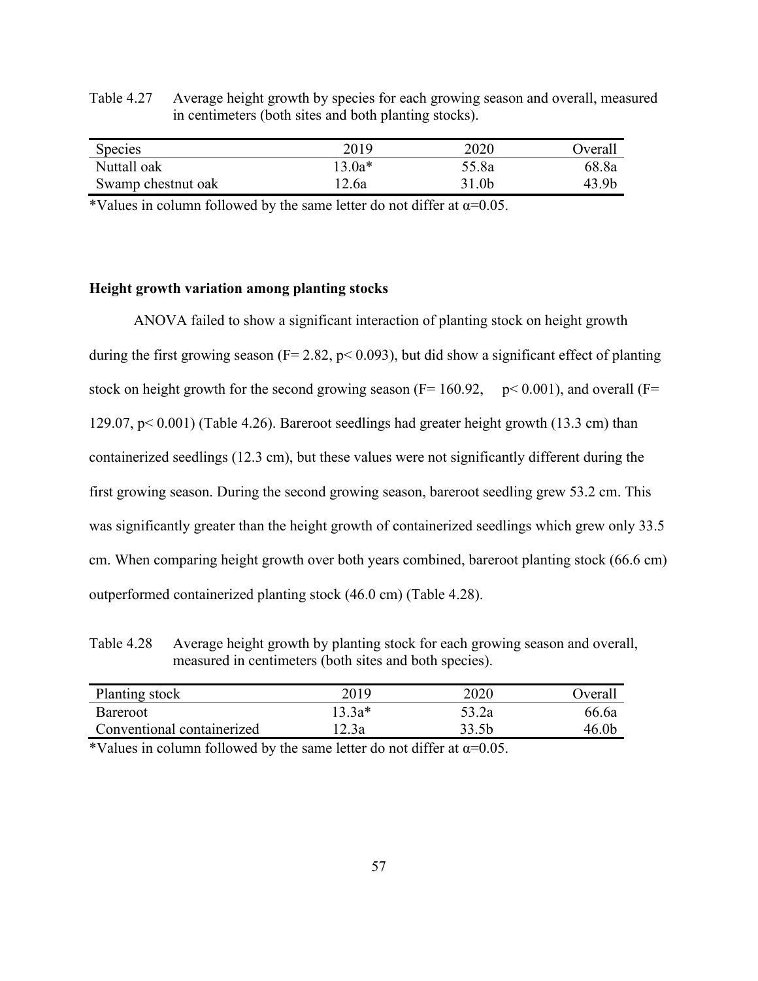Table 4.27 Average height growth by species for each growing season and overall, measured in centimeters (both sites and both planting stocks).

| <b>Species</b>     | 2019   | 2020  | <b>J</b> verall |
|--------------------|--------|-------|-----------------|
| Nuttall oak        | 13.0a* | 55.8a | 68.8a           |
| Swamp chestnut oak | ' 2.6a | 31.0b | 43.9b           |

\*Values in column followed by the same letter do not differ at  $\alpha$ =0.05.

### **Height growth variation among planting stocks**

ANOVA failed to show a significant interaction of planting stock on height growth during the first growing season ( $F = 2.82$ ,  $p < 0.093$ ), but did show a significant effect of planting stock on height growth for the second growing season ( $F= 160.92$ ,  $p< 0.001$ ), and overall ( $F=$ 129.07, p< 0.001) (Table 4.26). Bareroot seedlings had greater height growth (13.3 cm) than containerized seedlings (12.3 cm), but these values were not significantly different during the first growing season. During the second growing season, bareroot seedling grew 53.2 cm. This was significantly greater than the height growth of containerized seedlings which grew only 33.5 cm. When comparing height growth over both years combined, bareroot planting stock (66.6 cm) outperformed containerized planting stock (46.0 cm) (Table 4.28).

Table 4.28 Average height growth by planting stock for each growing season and overall, measured in centimeters (both sites and both species).

| Planting stock             | 2019   | 2020  | <b>T</b> <i>d y</i> erall |
|----------------------------|--------|-------|---------------------------|
| <b>Bareroot</b>            | 13.3a* | 53.2a | 66.6a                     |
| Conventional containerized | 2.3a   |       | 46 OF                     |

\*Values in column followed by the same letter do not differ at  $\alpha$ =0.05.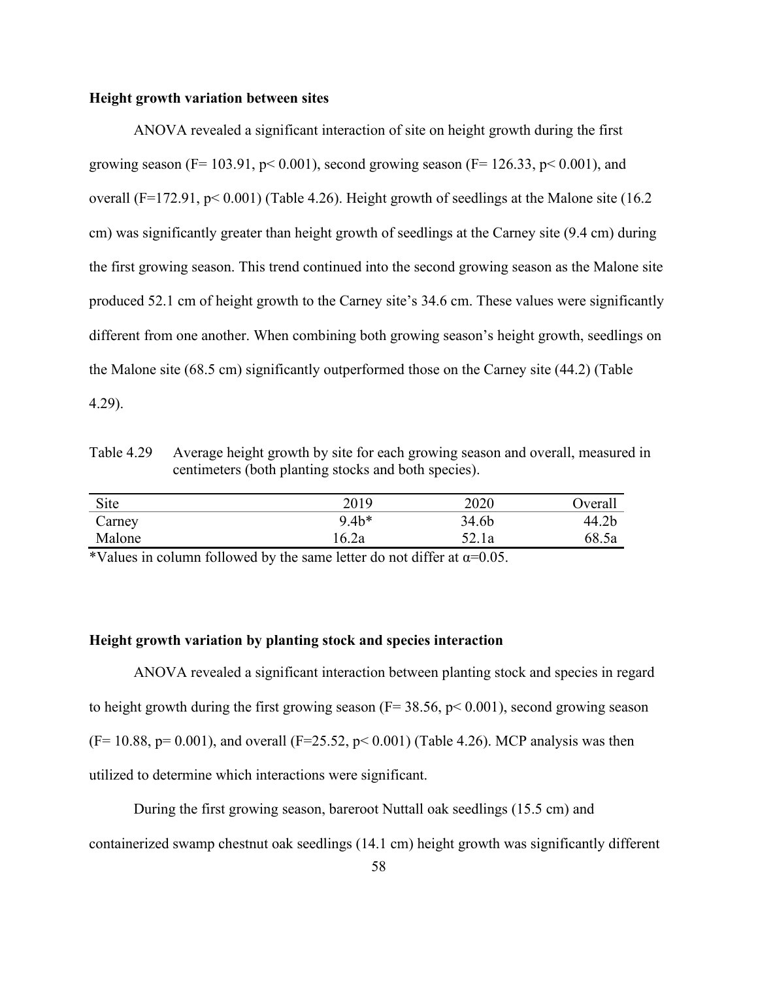### **Height growth variation between sites**

ANOVA revealed a significant interaction of site on height growth during the first growing season (F= 103.91, p< 0.001), second growing season (F= 126.33, p< 0.001), and overall (F=172.91, p< 0.001) (Table 4.26). Height growth of seedlings at the Malone site (16.2 cm) was significantly greater than height growth of seedlings at the Carney site (9.4 cm) during the first growing season. This trend continued into the second growing season as the Malone site produced 52.1 cm of height growth to the Carney site's 34.6 cm. These values were significantly different from one another. When combining both growing season's height growth, seedlings on the Malone site (68.5 cm) significantly outperformed those on the Carney site (44.2) (Table 4.29).

Table 4.29 Average height growth by site for each growing season and overall, measured in centimeters (both planting stocks and both species).

| Site   | 2019   | 2020  | <b>Dverall</b> |
|--------|--------|-------|----------------|
| Carney | $9.4*$ | 34.6b | 44.2b          |
| Malone | 16.2a  | 52.1a | 68.5a          |

\*Values in column followed by the same letter do not differ at  $\alpha$ =0.05.

# **Height growth variation by planting stock and species interaction**

ANOVA revealed a significant interaction between planting stock and species in regard to height growth during the first growing season ( $F = 38.56$ ,  $p < 0.001$ ), second growing season  $(F= 10.88, p= 0.001)$ , and overall  $(F=25.52, p< 0.001)$  (Table 4.26). MCP analysis was then utilized to determine which interactions were significant.

During the first growing season, bareroot Nuttall oak seedlings (15.5 cm) and containerized swamp chestnut oak seedlings (14.1 cm) height growth was significantly different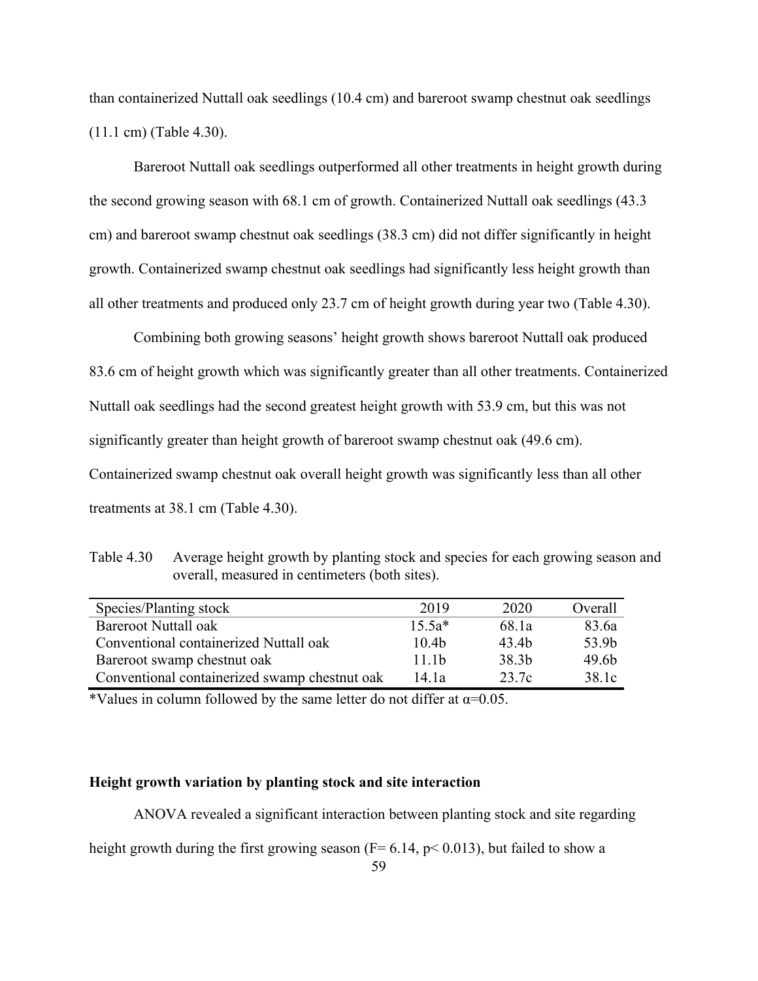than containerized Nuttall oak seedlings (10.4 cm) and bareroot swamp chestnut oak seedlings (11.1 cm) (Table 4.30).

Bareroot Nuttall oak seedlings outperformed all other treatments in height growth during the second growing season with 68.1 cm of growth. Containerized Nuttall oak seedlings (43.3 cm) and bareroot swamp chestnut oak seedlings (38.3 cm) did not differ significantly in height growth. Containerized swamp chestnut oak seedlings had significantly less height growth than all other treatments and produced only 23.7 cm of height growth during year two (Table 4.30).

Combining both growing seasons' height growth shows bareroot Nuttall oak produced 83.6 cm of height growth which was significantly greater than all other treatments. Containerized Nuttall oak seedlings had the second greatest height growth with 53.9 cm, but this was not significantly greater than height growth of bareroot swamp chestnut oak (49.6 cm). Containerized swamp chestnut oak overall height growth was significantly less than all other treatments at 38.1 cm (Table 4.30).

Table 4.30 Average height growth by planting stock and species for each growing season and overall, measured in centimeters (both sites).

| Species/Planting stock                        | 2019              | 2020  | Overall           |
|-----------------------------------------------|-------------------|-------|-------------------|
| <b>Bareroot Nuttall oak</b>                   | $15.5a*$          | 68.1a | 83.6a             |
| Conventional containerized Nuttall oak        | 10.4 <sub>b</sub> | 43.4b | 53.9b             |
| Bareroot swamp chestnut oak                   | 11.1 <sub>b</sub> | 38.3b | 49.6 <sub>b</sub> |
| Conventional containerized swamp chestnut oak | 14.1a             | 23.7c | 38.1c             |

\*Values in column followed by the same letter do not differ at  $\alpha$ =0.05.

# **Height growth variation by planting stock and site interaction**

ANOVA revealed a significant interaction between planting stock and site regarding

height growth during the first growing season ( $F= 6.14$ ,  $p< 0.013$ ), but failed to show a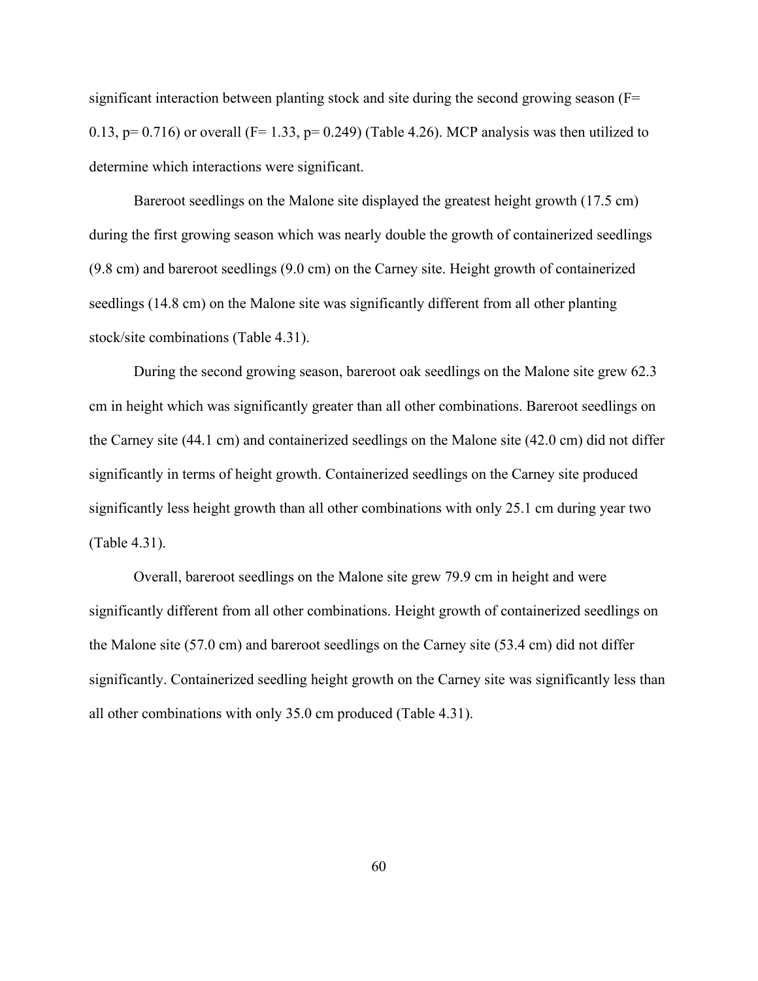significant interaction between planting stock and site during the second growing season  $(F=$ 0.13,  $p= 0.716$ ) or overall (F= 1.33,  $p= 0.249$ ) (Table 4.26). MCP analysis was then utilized to determine which interactions were significant.

Bareroot seedlings on the Malone site displayed the greatest height growth (17.5 cm) during the first growing season which was nearly double the growth of containerized seedlings (9.8 cm) and bareroot seedlings (9.0 cm) on the Carney site. Height growth of containerized seedlings (14.8 cm) on the Malone site was significantly different from all other planting stock/site combinations (Table 4.31).

During the second growing season, bareroot oak seedlings on the Malone site grew 62.3 cm in height which was significantly greater than all other combinations. Bareroot seedlings on the Carney site (44.1 cm) and containerized seedlings on the Malone site (42.0 cm) did not differ significantly in terms of height growth. Containerized seedlings on the Carney site produced significantly less height growth than all other combinations with only 25.1 cm during year two (Table 4.31).

Overall, bareroot seedlings on the Malone site grew 79.9 cm in height and were significantly different from all other combinations. Height growth of containerized seedlings on the Malone site (57.0 cm) and bareroot seedlings on the Carney site (53.4 cm) did not differ significantly. Containerized seedling height growth on the Carney site was significantly less than all other combinations with only 35.0 cm produced (Table 4.31).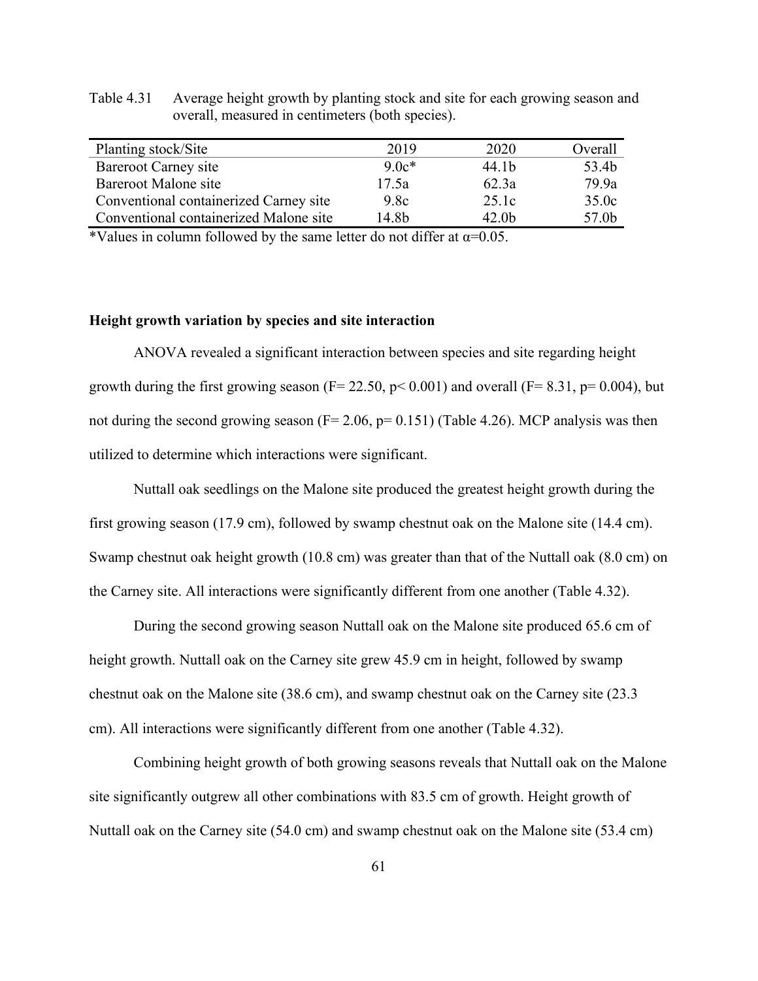| Planting stock/Site                    | 2019    | 2020              | Overall |
|----------------------------------------|---------|-------------------|---------|
| <b>Bareroot Carney site</b>            | $9.0c*$ | 44.1b             | 53.4b   |
| Bareroot Malone site                   | 17.5a   | 62.3a             | 79.9a   |
| Conventional containerized Carney site | 9.8c    | 25.1c             | 35.0c   |
| Conventional containerized Malone site | 14.8b   | 42.0 <sub>b</sub> | 57.0b   |

Table 4.31 Average height growth by planting stock and site for each growing season and overall, measured in centimeters (both species).

\*Values in column followed by the same letter do not differ at  $\alpha$ =0.05.

# **Height growth variation by species and site interaction**

ANOVA revealed a significant interaction between species and site regarding height growth during the first growing season ( $F = 22.50$ ,  $p < 0.001$ ) and overall ( $F = 8.31$ ,  $p = 0.004$ ), but not during the second growing season ( $F= 2.06$ ,  $p= 0.151$ ) (Table 4.26). MCP analysis was then utilized to determine which interactions were significant.

Nuttall oak seedlings on the Malone site produced the greatest height growth during the first growing season (17.9 cm), followed by swamp chestnut oak on the Malone site (14.4 cm). Swamp chestnut oak height growth (10.8 cm) was greater than that of the Nuttall oak (8.0 cm) on the Carney site. All interactions were significantly different from one another (Table 4.32).

During the second growing season Nuttall oak on the Malone site produced 65.6 cm of height growth. Nuttall oak on the Carney site grew 45.9 cm in height, followed by swamp chestnut oak on the Malone site (38.6 cm), and swamp chestnut oak on the Carney site (23.3 cm). All interactions were significantly different from one another (Table 4.32).

Combining height growth of both growing seasons reveals that Nuttall oak on the Malone site significantly outgrew all other combinations with 83.5 cm of growth. Height growth of Nuttall oak on the Carney site (54.0 cm) and swamp chestnut oak on the Malone site (53.4 cm)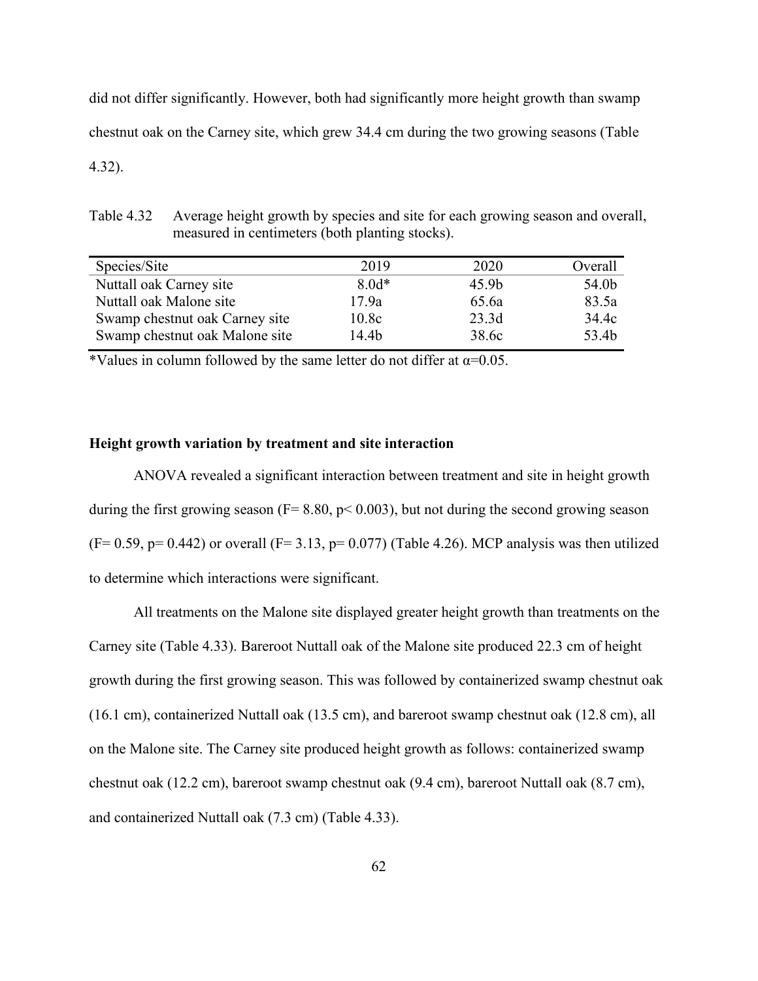did not differ significantly. However, both had significantly more height growth than swamp chestnut oak on the Carney site, which grew 34.4 cm during the two growing seasons (Table 4.32).

Table 4.32 Average height growth by species and site for each growing season and overall, measured in centimeters (both planting stocks).

| Species/Site                   | 2019    | 2020              | Overall |
|--------------------------------|---------|-------------------|---------|
| Nuttall oak Carney site        | $8.0d*$ | 45.9 <sub>b</sub> | 54.0b   |
| Nuttall oak Malone site        | 17.9a   | 65.6a             | 83.5a   |
| Swamp chestnut oak Carney site | 10.8c   | 23.3d             | 34.4c   |
| Swamp chestnut oak Malone site | 14.4b   | 38.6c             | 53.4b   |

\*Values in column followed by the same letter do not differ at  $\alpha$ =0.05.

# **Height growth variation by treatment and site interaction**

ANOVA revealed a significant interaction between treatment and site in height growth during the first growing season ( $F = 8.80$ ,  $p < 0.003$ ), but not during the second growing season  $(F= 0.59, p= 0.442)$  or overall  $(F= 3.13, p= 0.077)$  (Table 4.26). MCP analysis was then utilized to determine which interactions were significant.

All treatments on the Malone site displayed greater height growth than treatments on the Carney site (Table 4.33). Bareroot Nuttall oak of the Malone site produced 22.3 cm of height growth during the first growing season. This was followed by containerized swamp chestnut oak (16.1 cm), containerized Nuttall oak (13.5 cm), and bareroot swamp chestnut oak (12.8 cm), all on the Malone site. The Carney site produced height growth as follows: containerized swamp chestnut oak (12.2 cm), bareroot swamp chestnut oak (9.4 cm), bareroot Nuttall oak (8.7 cm), and containerized Nuttall oak (7.3 cm) (Table 4.33).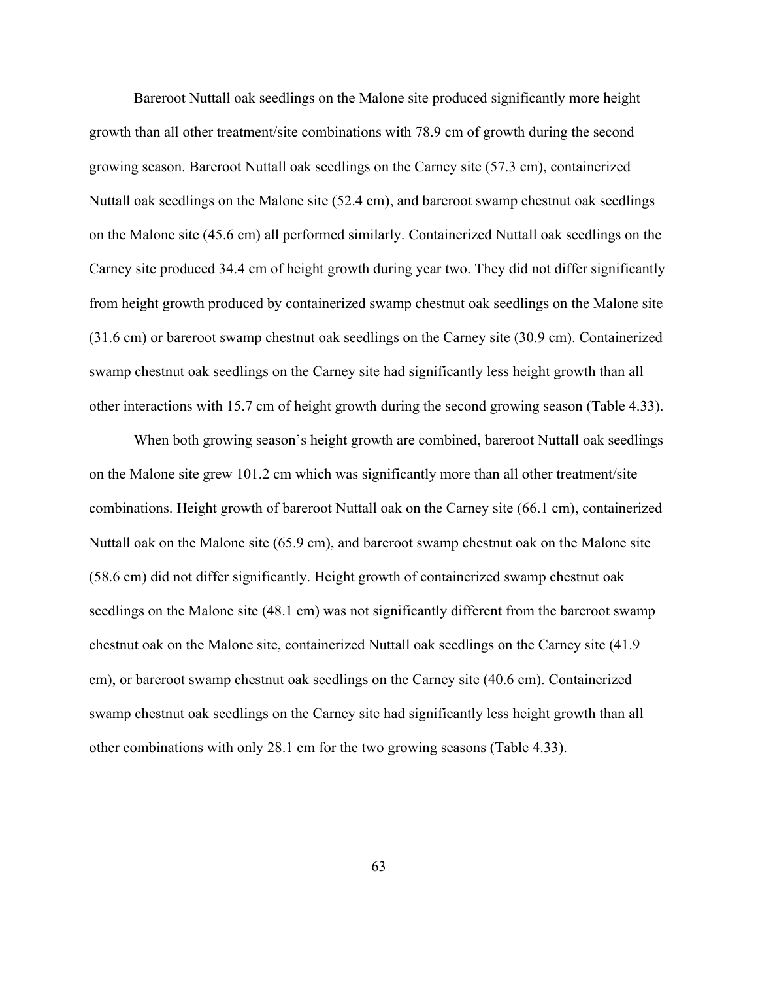Bareroot Nuttall oak seedlings on the Malone site produced significantly more height growth than all other treatment/site combinations with 78.9 cm of growth during the second growing season. Bareroot Nuttall oak seedlings on the Carney site (57.3 cm), containerized Nuttall oak seedlings on the Malone site (52.4 cm), and bareroot swamp chestnut oak seedlings on the Malone site (45.6 cm) all performed similarly. Containerized Nuttall oak seedlings on the Carney site produced 34.4 cm of height growth during year two. They did not differ significantly from height growth produced by containerized swamp chestnut oak seedlings on the Malone site (31.6 cm) or bareroot swamp chestnut oak seedlings on the Carney site (30.9 cm). Containerized swamp chestnut oak seedlings on the Carney site had significantly less height growth than all other interactions with 15.7 cm of height growth during the second growing season (Table 4.33).

When both growing season's height growth are combined, bareroot Nuttall oak seedlings on the Malone site grew 101.2 cm which was significantly more than all other treatment/site combinations. Height growth of bareroot Nuttall oak on the Carney site (66.1 cm), containerized Nuttall oak on the Malone site (65.9 cm), and bareroot swamp chestnut oak on the Malone site (58.6 cm) did not differ significantly. Height growth of containerized swamp chestnut oak seedlings on the Malone site (48.1 cm) was not significantly different from the bareroot swamp chestnut oak on the Malone site, containerized Nuttall oak seedlings on the Carney site (41.9 cm), or bareroot swamp chestnut oak seedlings on the Carney site (40.6 cm). Containerized swamp chestnut oak seedlings on the Carney site had significantly less height growth than all other combinations with only 28.1 cm for the two growing seasons (Table 4.33).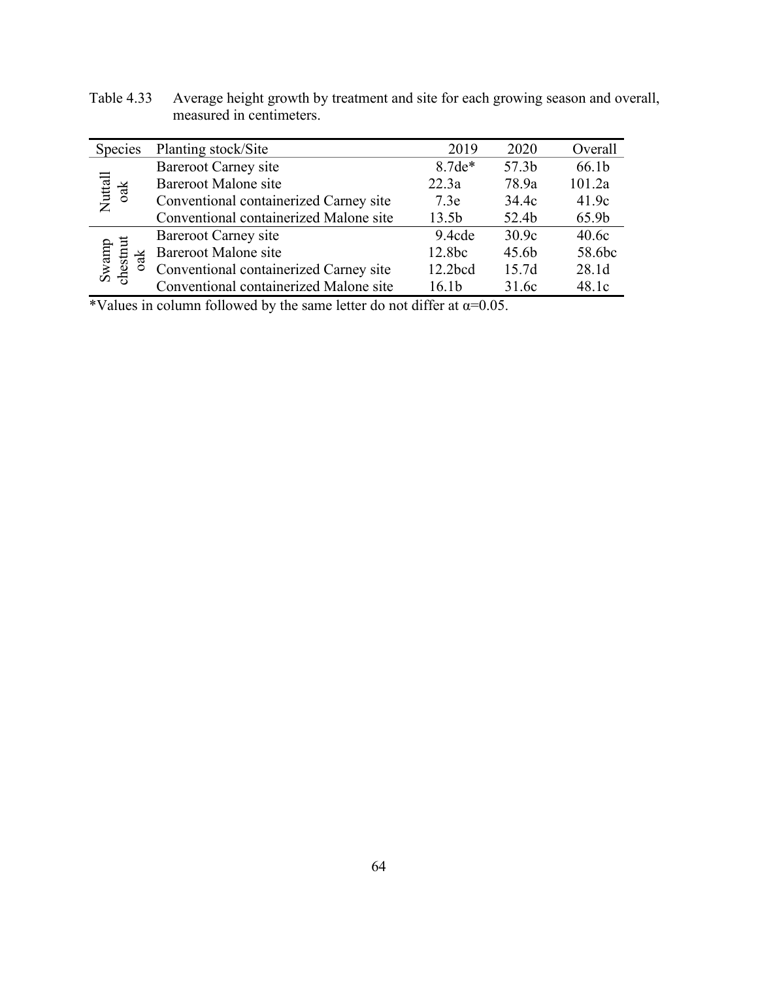| Table 4.33 Average height growth by treatment and site for each growing season and overall, |  |
|---------------------------------------------------------------------------------------------|--|
| measured in centimeters.                                                                    |  |

| <b>Species</b>           | Planting stock/Site                    | 2019              | 2020              | Overall |
|--------------------------|----------------------------------------|-------------------|-------------------|---------|
| Nuttall<br>oak           | <b>Bareroot Carney site</b>            | $8.7de*$          | 57.3 <sub>b</sub> | 66.1b   |
|                          | <b>Bareroot Malone site</b>            | 22.3a             | 78.9a             | 101.2a  |
|                          | Conventional containerized Carney site | 7.3e              | 34.4c             | 41.9c   |
|                          | Conventional containerized Malone site | 13.5 <sub>b</sub> | 52.4b             | 65.9b   |
| Swamp<br>chestnut<br>oak | Bareroot Carney site                   | 9.4cde            | 30.9c             | 40.6c   |
|                          | Bareroot Malone site                   | 12.8bc            | 45.6b             | 58.6bc  |
|                          | Conventional containerized Carney site | 12.2bcd           | 15.7d             | 28.1d   |
|                          | Conventional containerized Malone site | 16.1b             | 31.6c             | 48.1c   |

\*Values in column followed by the same letter do not differ at  $\alpha$ =0.05.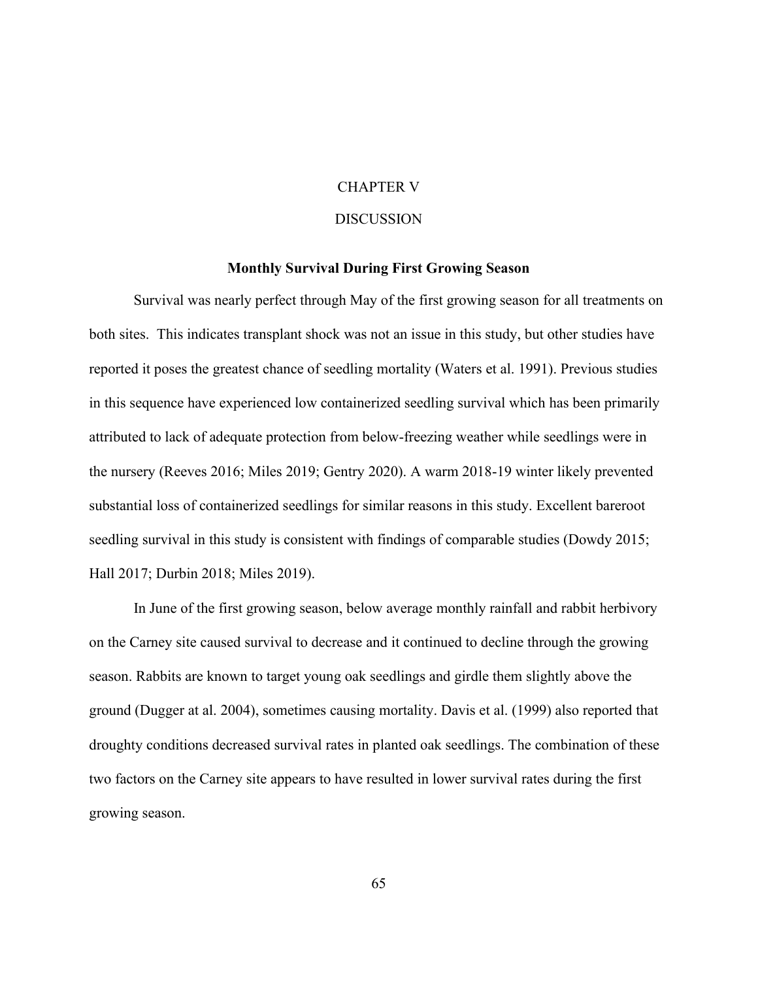#### CHAPTER V

## DISCUSSION

### **Monthly Survival During First Growing Season**

Survival was nearly perfect through May of the first growing season for all treatments on both sites. This indicates transplant shock was not an issue in this study, but other studies have reported it poses the greatest chance of seedling mortality (Waters et al. 1991). Previous studies in this sequence have experienced low containerized seedling survival which has been primarily attributed to lack of adequate protection from below-freezing weather while seedlings were in the nursery (Reeves 2016; Miles 2019; Gentry 2020). A warm 2018-19 winter likely prevented substantial loss of containerized seedlings for similar reasons in this study. Excellent bareroot seedling survival in this study is consistent with findings of comparable studies (Dowdy 2015; Hall 2017; Durbin 2018; Miles 2019).

In June of the first growing season, below average monthly rainfall and rabbit herbivory on the Carney site caused survival to decrease and it continued to decline through the growing season. Rabbits are known to target young oak seedlings and girdle them slightly above the ground (Dugger at al. 2004), sometimes causing mortality. Davis et al. (1999) also reported that droughty conditions decreased survival rates in planted oak seedlings. The combination of these two factors on the Carney site appears to have resulted in lower survival rates during the first growing season.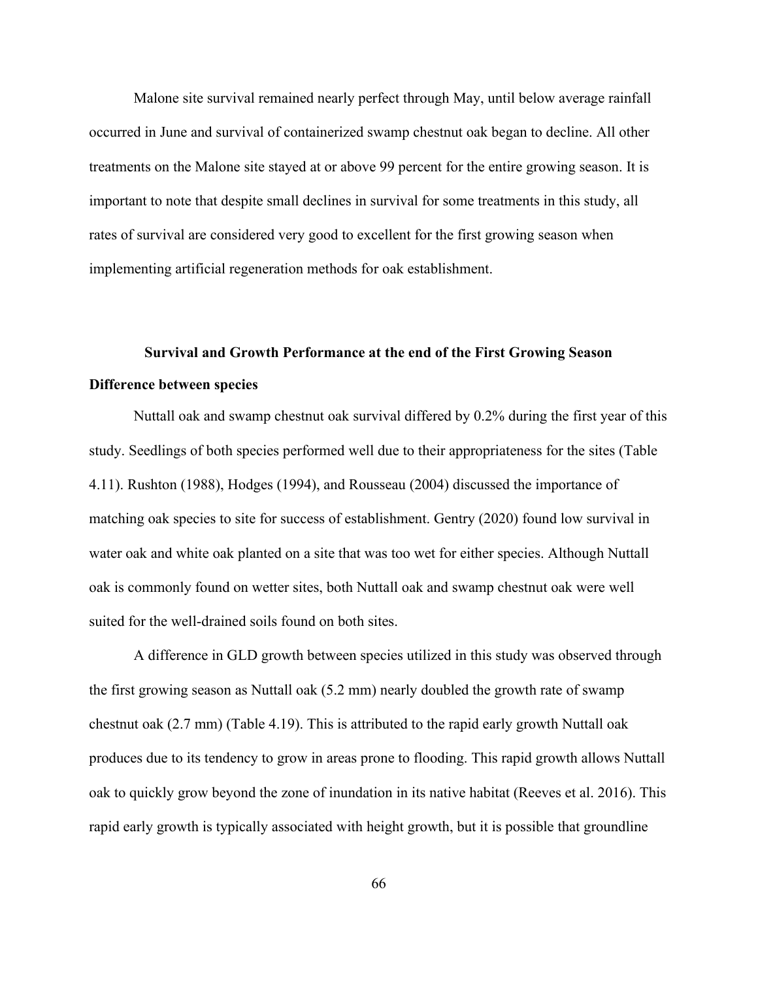Malone site survival remained nearly perfect through May, until below average rainfall occurred in June and survival of containerized swamp chestnut oak began to decline. All other treatments on the Malone site stayed at or above 99 percent for the entire growing season. It is important to note that despite small declines in survival for some treatments in this study, all rates of survival are considered very good to excellent for the first growing season when implementing artificial regeneration methods for oak establishment.

# **Survival and Growth Performance at the end of the First Growing Season Difference between species**

Nuttall oak and swamp chestnut oak survival differed by 0.2% during the first year of this study. Seedlings of both species performed well due to their appropriateness for the sites (Table 4.11). Rushton (1988), Hodges (1994), and Rousseau (2004) discussed the importance of matching oak species to site for success of establishment. Gentry (2020) found low survival in water oak and white oak planted on a site that was too wet for either species. Although Nuttall oak is commonly found on wetter sites, both Nuttall oak and swamp chestnut oak were well suited for the well-drained soils found on both sites.

A difference in GLD growth between species utilized in this study was observed through the first growing season as Nuttall oak (5.2 mm) nearly doubled the growth rate of swamp chestnut oak (2.7 mm) (Table 4.19). This is attributed to the rapid early growth Nuttall oak produces due to its tendency to grow in areas prone to flooding. This rapid growth allows Nuttall oak to quickly grow beyond the zone of inundation in its native habitat (Reeves et al. 2016). This rapid early growth is typically associated with height growth, but it is possible that groundline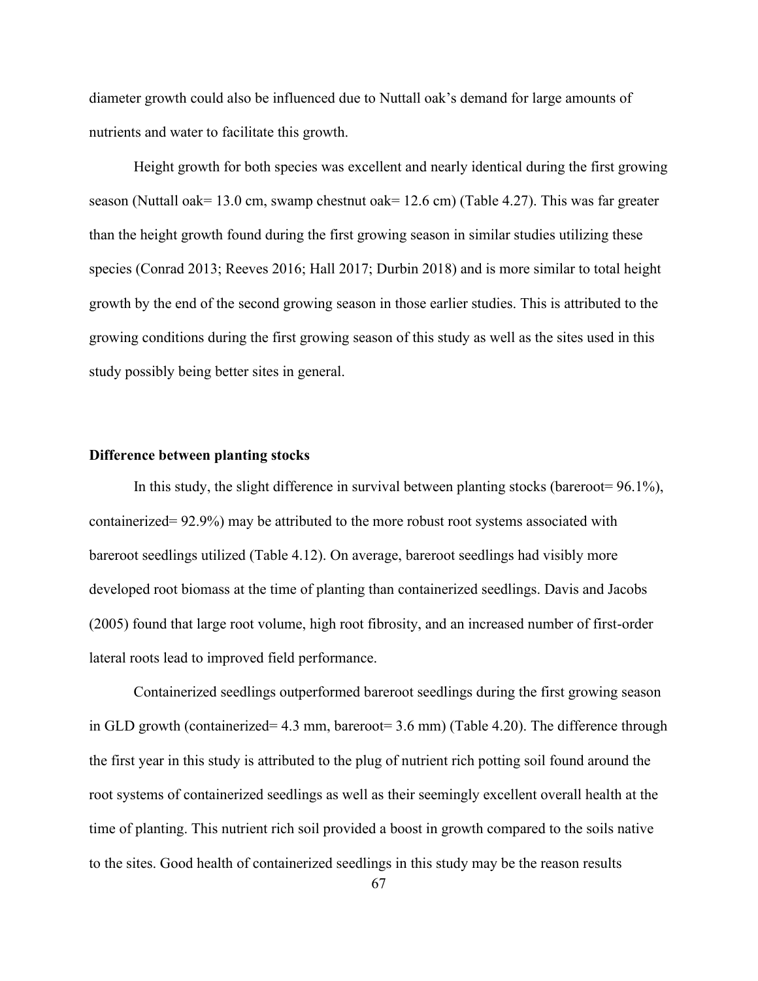diameter growth could also be influenced due to Nuttall oak's demand for large amounts of nutrients and water to facilitate this growth.

Height growth for both species was excellent and nearly identical during the first growing season (Nuttall oak= 13.0 cm, swamp chestnut oak= 12.6 cm) (Table 4.27). This was far greater than the height growth found during the first growing season in similar studies utilizing these species (Conrad 2013; Reeves 2016; Hall 2017; Durbin 2018) and is more similar to total height growth by the end of the second growing season in those earlier studies. This is attributed to the growing conditions during the first growing season of this study as well as the sites used in this study possibly being better sites in general.

### **Difference between planting stocks**

In this study, the slight difference in survival between planting stocks (bareroot= 96.1%), containerized= 92.9%) may be attributed to the more robust root systems associated with bareroot seedlings utilized (Table 4.12). On average, bareroot seedlings had visibly more developed root biomass at the time of planting than containerized seedlings. Davis and Jacobs (2005) found that large root volume, high root fibrosity, and an increased number of first-order lateral roots lead to improved field performance.

Containerized seedlings outperformed bareroot seedlings during the first growing season in GLD growth (containerized= 4.3 mm, bareroot= 3.6 mm) (Table 4.20). The difference through the first year in this study is attributed to the plug of nutrient rich potting soil found around the root systems of containerized seedlings as well as their seemingly excellent overall health at the time of planting. This nutrient rich soil provided a boost in growth compared to the soils native to the sites. Good health of containerized seedlings in this study may be the reason results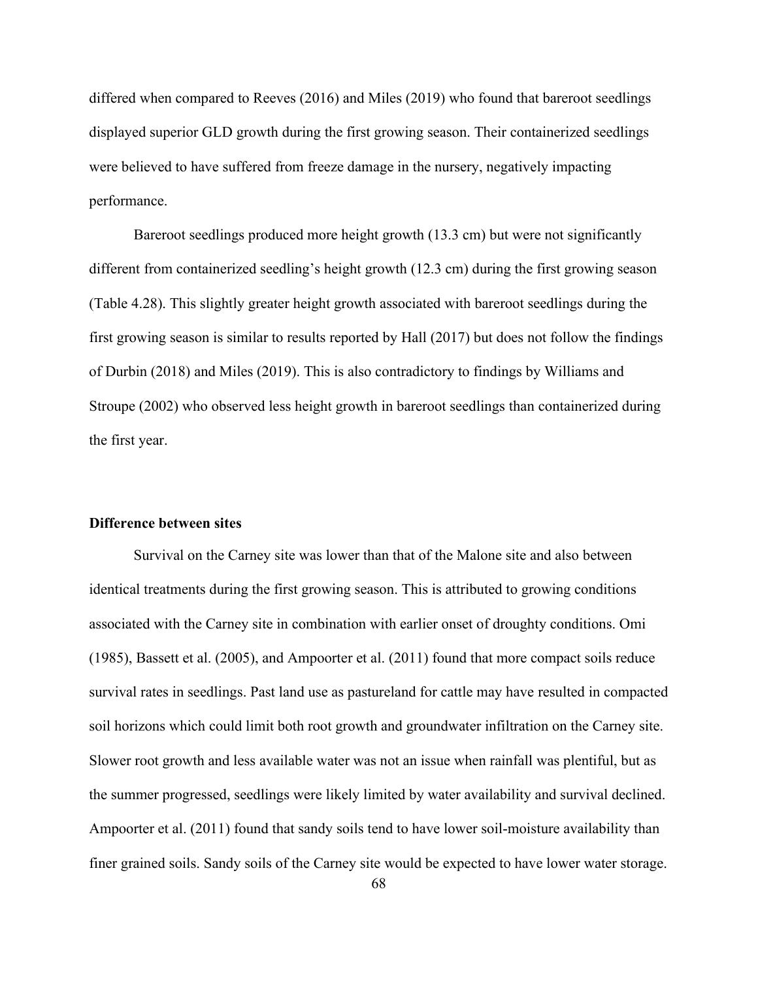differed when compared to Reeves (2016) and Miles (2019) who found that bareroot seedlings displayed superior GLD growth during the first growing season. Their containerized seedlings were believed to have suffered from freeze damage in the nursery, negatively impacting performance.

Bareroot seedlings produced more height growth (13.3 cm) but were not significantly different from containerized seedling's height growth (12.3 cm) during the first growing season (Table 4.28). This slightly greater height growth associated with bareroot seedlings during the first growing season is similar to results reported by Hall (2017) but does not follow the findings of Durbin (2018) and Miles (2019). This is also contradictory to findings by Williams and Stroupe (2002) who observed less height growth in bareroot seedlings than containerized during the first year.

#### **Difference between sites**

Survival on the Carney site was lower than that of the Malone site and also between identical treatments during the first growing season. This is attributed to growing conditions associated with the Carney site in combination with earlier onset of droughty conditions. Omi (1985), Bassett et al. (2005), and Ampoorter et al. (2011) found that more compact soils reduce survival rates in seedlings. Past land use as pastureland for cattle may have resulted in compacted soil horizons which could limit both root growth and groundwater infiltration on the Carney site. Slower root growth and less available water was not an issue when rainfall was plentiful, but as the summer progressed, seedlings were likely limited by water availability and survival declined. Ampoorter et al. (2011) found that sandy soils tend to have lower soil-moisture availability than finer grained soils. Sandy soils of the Carney site would be expected to have lower water storage.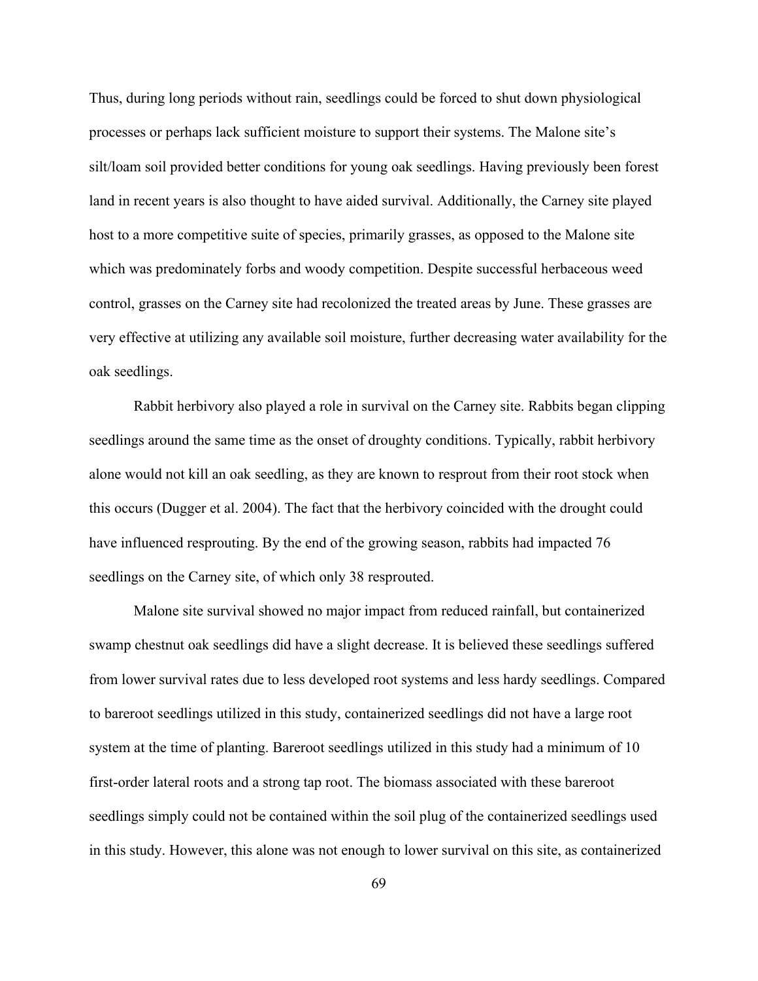Thus, during long periods without rain, seedlings could be forced to shut down physiological processes or perhaps lack sufficient moisture to support their systems. The Malone site's silt/loam soil provided better conditions for young oak seedlings. Having previously been forest land in recent years is also thought to have aided survival. Additionally, the Carney site played host to a more competitive suite of species, primarily grasses, as opposed to the Malone site which was predominately forbs and woody competition. Despite successful herbaceous weed control, grasses on the Carney site had recolonized the treated areas by June. These grasses are very effective at utilizing any available soil moisture, further decreasing water availability for the oak seedlings.

Rabbit herbivory also played a role in survival on the Carney site. Rabbits began clipping seedlings around the same time as the onset of droughty conditions. Typically, rabbit herbivory alone would not kill an oak seedling, as they are known to resprout from their root stock when this occurs (Dugger et al. 2004). The fact that the herbivory coincided with the drought could have influenced resprouting. By the end of the growing season, rabbits had impacted 76 seedlings on the Carney site, of which only 38 resprouted.

Malone site survival showed no major impact from reduced rainfall, but containerized swamp chestnut oak seedlings did have a slight decrease. It is believed these seedlings suffered from lower survival rates due to less developed root systems and less hardy seedlings. Compared to bareroot seedlings utilized in this study, containerized seedlings did not have a large root system at the time of planting. Bareroot seedlings utilized in this study had a minimum of 10 first-order lateral roots and a strong tap root. The biomass associated with these bareroot seedlings simply could not be contained within the soil plug of the containerized seedlings used in this study. However, this alone was not enough to lower survival on this site, as containerized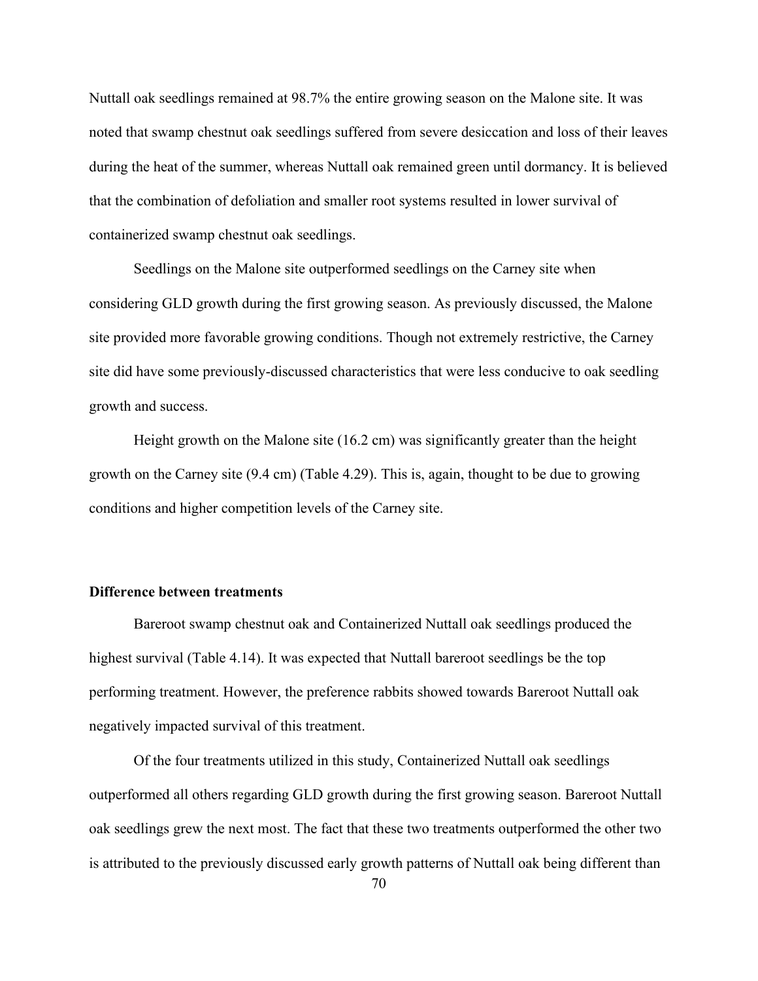Nuttall oak seedlings remained at 98.7% the entire growing season on the Malone site. It was noted that swamp chestnut oak seedlings suffered from severe desiccation and loss of their leaves during the heat of the summer, whereas Nuttall oak remained green until dormancy. It is believed that the combination of defoliation and smaller root systems resulted in lower survival of containerized swamp chestnut oak seedlings.

Seedlings on the Malone site outperformed seedlings on the Carney site when considering GLD growth during the first growing season. As previously discussed, the Malone site provided more favorable growing conditions. Though not extremely restrictive, the Carney site did have some previously-discussed characteristics that were less conducive to oak seedling growth and success.

Height growth on the Malone site (16.2 cm) was significantly greater than the height growth on the Carney site (9.4 cm) (Table 4.29). This is, again, thought to be due to growing conditions and higher competition levels of the Carney site.

## **Difference between treatments**

Bareroot swamp chestnut oak and Containerized Nuttall oak seedlings produced the highest survival (Table 4.14). It was expected that Nuttall bareroot seedlings be the top performing treatment. However, the preference rabbits showed towards Bareroot Nuttall oak negatively impacted survival of this treatment.

Of the four treatments utilized in this study, Containerized Nuttall oak seedlings outperformed all others regarding GLD growth during the first growing season. Bareroot Nuttall oak seedlings grew the next most. The fact that these two treatments outperformed the other two is attributed to the previously discussed early growth patterns of Nuttall oak being different than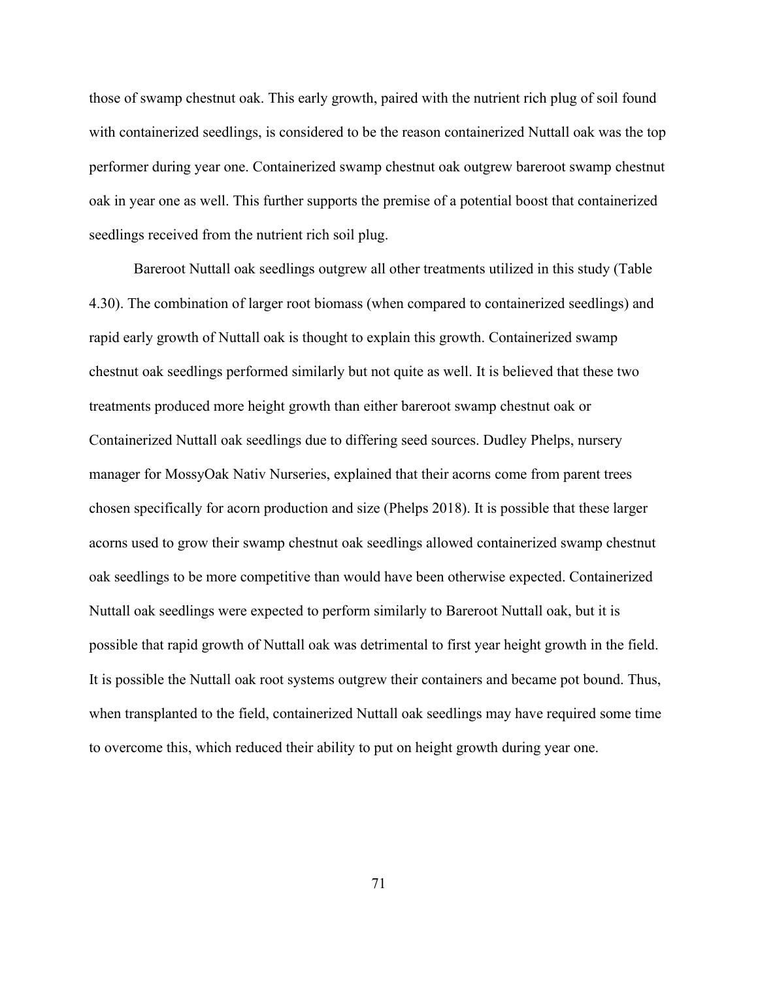those of swamp chestnut oak. This early growth, paired with the nutrient rich plug of soil found with containerized seedlings, is considered to be the reason containerized Nuttall oak was the top performer during year one. Containerized swamp chestnut oak outgrew bareroot swamp chestnut oak in year one as well. This further supports the premise of a potential boost that containerized seedlings received from the nutrient rich soil plug.

Bareroot Nuttall oak seedlings outgrew all other treatments utilized in this study (Table 4.30). The combination of larger root biomass (when compared to containerized seedlings) and rapid early growth of Nuttall oak is thought to explain this growth. Containerized swamp chestnut oak seedlings performed similarly but not quite as well. It is believed that these two treatments produced more height growth than either bareroot swamp chestnut oak or Containerized Nuttall oak seedlings due to differing seed sources. Dudley Phelps, nursery manager for MossyOak Nativ Nurseries, explained that their acorns come from parent trees chosen specifically for acorn production and size (Phelps 2018). It is possible that these larger acorns used to grow their swamp chestnut oak seedlings allowed containerized swamp chestnut oak seedlings to be more competitive than would have been otherwise expected. Containerized Nuttall oak seedlings were expected to perform similarly to Bareroot Nuttall oak, but it is possible that rapid growth of Nuttall oak was detrimental to first year height growth in the field. It is possible the Nuttall oak root systems outgrew their containers and became pot bound. Thus, when transplanted to the field, containerized Nuttall oak seedlings may have required some time to overcome this, which reduced their ability to put on height growth during year one.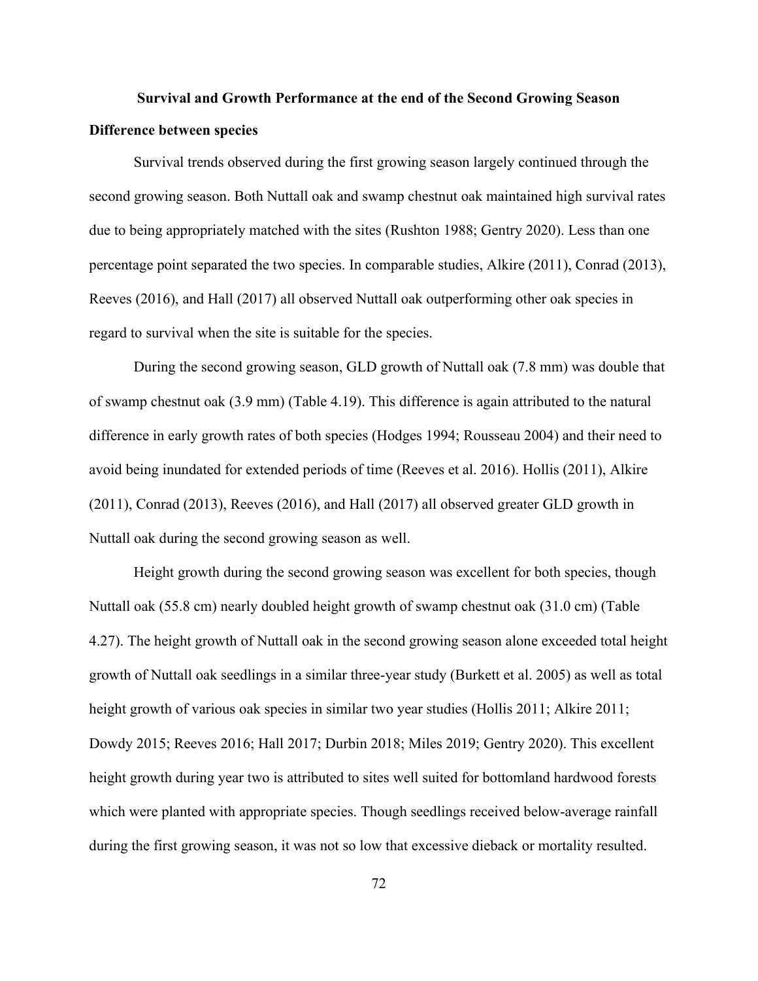# **Survival and Growth Performance at the end of the Second Growing Season Difference between species**

Survival trends observed during the first growing season largely continued through the second growing season. Both Nuttall oak and swamp chestnut oak maintained high survival rates due to being appropriately matched with the sites (Rushton 1988; Gentry 2020). Less than one percentage point separated the two species. In comparable studies, Alkire (2011), Conrad (2013), Reeves (2016), and Hall (2017) all observed Nuttall oak outperforming other oak species in regard to survival when the site is suitable for the species.

During the second growing season, GLD growth of Nuttall oak (7.8 mm) was double that of swamp chestnut oak (3.9 mm) (Table 4.19). This difference is again attributed to the natural difference in early growth rates of both species (Hodges 1994; Rousseau 2004) and their need to avoid being inundated for extended periods of time (Reeves et al. 2016). Hollis (2011), Alkire (2011), Conrad (2013), Reeves (2016), and Hall (2017) all observed greater GLD growth in Nuttall oak during the second growing season as well.

Height growth during the second growing season was excellent for both species, though Nuttall oak (55.8 cm) nearly doubled height growth of swamp chestnut oak (31.0 cm) (Table 4.27). The height growth of Nuttall oak in the second growing season alone exceeded total height growth of Nuttall oak seedlings in a similar three-year study (Burkett et al. 2005) as well as total height growth of various oak species in similar two year studies (Hollis 2011; Alkire 2011; Dowdy 2015; Reeves 2016; Hall 2017; Durbin 2018; Miles 2019; Gentry 2020). This excellent height growth during year two is attributed to sites well suited for bottomland hardwood forests which were planted with appropriate species. Though seedlings received below-average rainfall during the first growing season, it was not so low that excessive dieback or mortality resulted.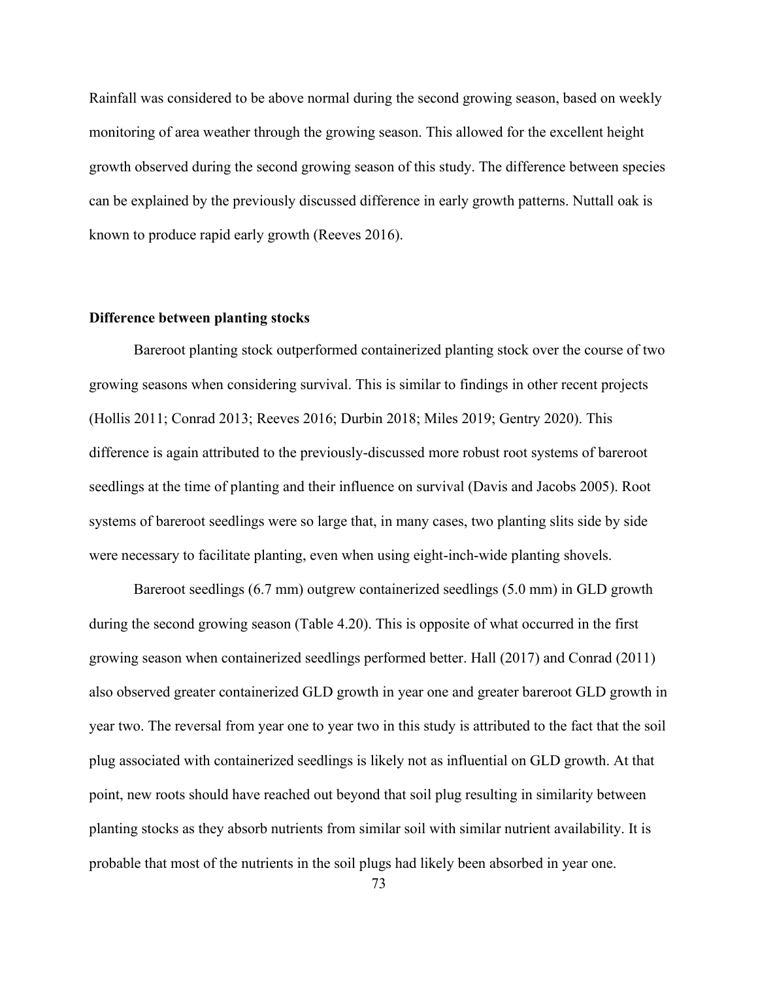Rainfall was considered to be above normal during the second growing season, based on weekly monitoring of area weather through the growing season. This allowed for the excellent height growth observed during the second growing season of this study. The difference between species can be explained by the previously discussed difference in early growth patterns. Nuttall oak is known to produce rapid early growth (Reeves 2016).

## **Difference between planting stocks**

Bareroot planting stock outperformed containerized planting stock over the course of two growing seasons when considering survival. This is similar to findings in other recent projects (Hollis 2011; Conrad 2013; Reeves 2016; Durbin 2018; Miles 2019; Gentry 2020). This difference is again attributed to the previously-discussed more robust root systems of bareroot seedlings at the time of planting and their influence on survival (Davis and Jacobs 2005). Root systems of bareroot seedlings were so large that, in many cases, two planting slits side by side were necessary to facilitate planting, even when using eight-inch-wide planting shovels.

Bareroot seedlings (6.7 mm) outgrew containerized seedlings (5.0 mm) in GLD growth during the second growing season (Table 4.20). This is opposite of what occurred in the first growing season when containerized seedlings performed better. Hall (2017) and Conrad (2011) also observed greater containerized GLD growth in year one and greater bareroot GLD growth in year two. The reversal from year one to year two in this study is attributed to the fact that the soil plug associated with containerized seedlings is likely not as influential on GLD growth. At that point, new roots should have reached out beyond that soil plug resulting in similarity between planting stocks as they absorb nutrients from similar soil with similar nutrient availability. It is probable that most of the nutrients in the soil plugs had likely been absorbed in year one.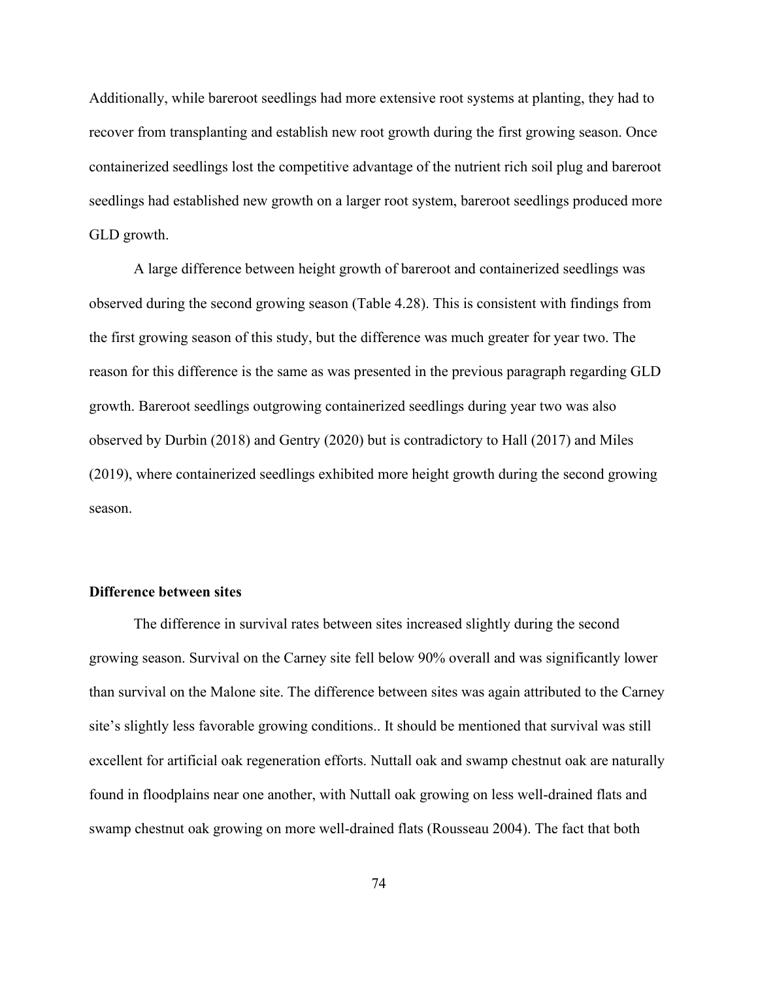Additionally, while bareroot seedlings had more extensive root systems at planting, they had to recover from transplanting and establish new root growth during the first growing season. Once containerized seedlings lost the competitive advantage of the nutrient rich soil plug and bareroot seedlings had established new growth on a larger root system, bareroot seedlings produced more GLD growth.

A large difference between height growth of bareroot and containerized seedlings was observed during the second growing season (Table 4.28). This is consistent with findings from the first growing season of this study, but the difference was much greater for year two. The reason for this difference is the same as was presented in the previous paragraph regarding GLD growth. Bareroot seedlings outgrowing containerized seedlings during year two was also observed by Durbin (2018) and Gentry (2020) but is contradictory to Hall (2017) and Miles (2019), where containerized seedlings exhibited more height growth during the second growing season.

## **Difference between sites**

The difference in survival rates between sites increased slightly during the second growing season. Survival on the Carney site fell below 90% overall and was significantly lower than survival on the Malone site. The difference between sites was again attributed to the Carney site's slightly less favorable growing conditions.. It should be mentioned that survival was still excellent for artificial oak regeneration efforts. Nuttall oak and swamp chestnut oak are naturally found in floodplains near one another, with Nuttall oak growing on less well-drained flats and swamp chestnut oak growing on more well-drained flats (Rousseau 2004). The fact that both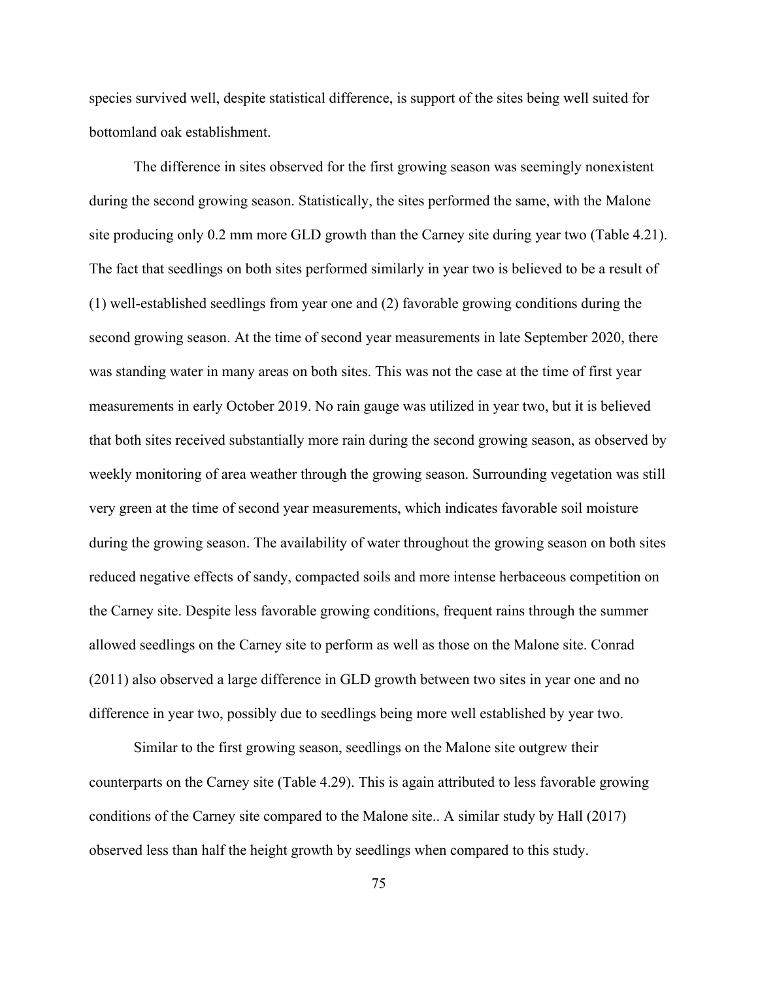species survived well, despite statistical difference, is support of the sites being well suited for bottomland oak establishment.

The difference in sites observed for the first growing season was seemingly nonexistent during the second growing season. Statistically, the sites performed the same, with the Malone site producing only 0.2 mm more GLD growth than the Carney site during year two (Table 4.21). The fact that seedlings on both sites performed similarly in year two is believed to be a result of (1) well-established seedlings from year one and (2) favorable growing conditions during the second growing season. At the time of second year measurements in late September 2020, there was standing water in many areas on both sites. This was not the case at the time of first year measurements in early October 2019. No rain gauge was utilized in year two, but it is believed that both sites received substantially more rain during the second growing season, as observed by weekly monitoring of area weather through the growing season. Surrounding vegetation was still very green at the time of second year measurements, which indicates favorable soil moisture during the growing season. The availability of water throughout the growing season on both sites reduced negative effects of sandy, compacted soils and more intense herbaceous competition on the Carney site. Despite less favorable growing conditions, frequent rains through the summer allowed seedlings on the Carney site to perform as well as those on the Malone site. Conrad (2011) also observed a large difference in GLD growth between two sites in year one and no difference in year two, possibly due to seedlings being more well established by year two.

Similar to the first growing season, seedlings on the Malone site outgrew their counterparts on the Carney site (Table 4.29). This is again attributed to less favorable growing conditions of the Carney site compared to the Malone site.. A similar study by Hall (2017) observed less than half the height growth by seedlings when compared to this study.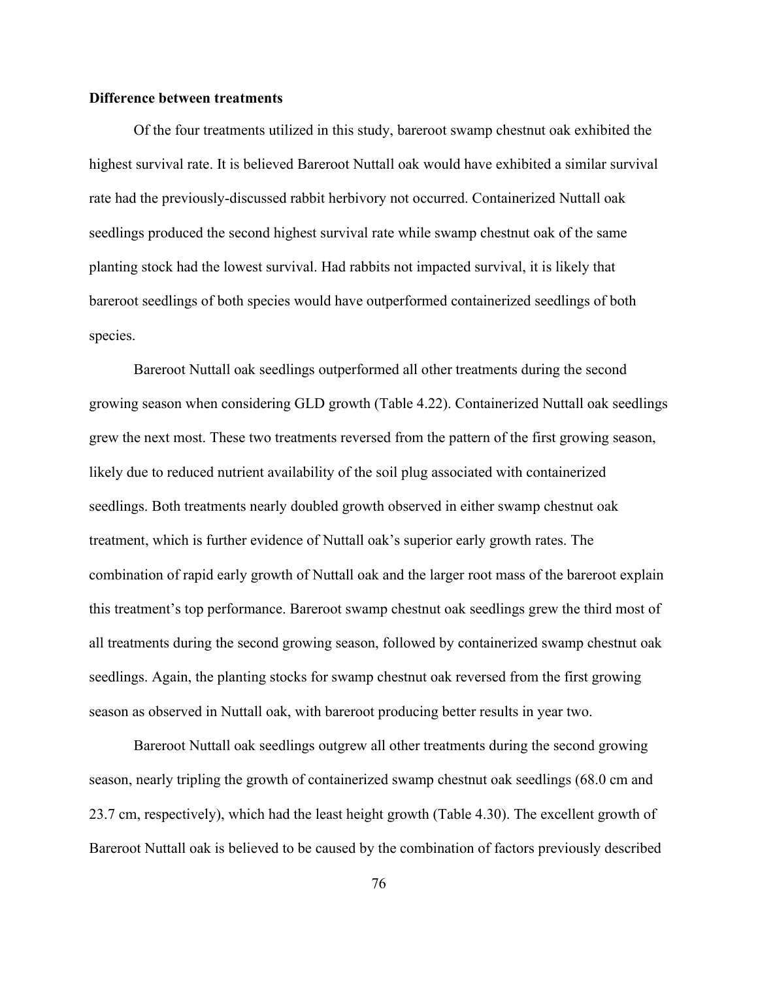### **Difference between treatments**

Of the four treatments utilized in this study, bareroot swamp chestnut oak exhibited the highest survival rate. It is believed Bareroot Nuttall oak would have exhibited a similar survival rate had the previously-discussed rabbit herbivory not occurred. Containerized Nuttall oak seedlings produced the second highest survival rate while swamp chestnut oak of the same planting stock had the lowest survival. Had rabbits not impacted survival, it is likely that bareroot seedlings of both species would have outperformed containerized seedlings of both species.

Bareroot Nuttall oak seedlings outperformed all other treatments during the second growing season when considering GLD growth (Table 4.22). Containerized Nuttall oak seedlings grew the next most. These two treatments reversed from the pattern of the first growing season, likely due to reduced nutrient availability of the soil plug associated with containerized seedlings. Both treatments nearly doubled growth observed in either swamp chestnut oak treatment, which is further evidence of Nuttall oak's superior early growth rates. The combination of rapid early growth of Nuttall oak and the larger root mass of the bareroot explain this treatment's top performance. Bareroot swamp chestnut oak seedlings grew the third most of all treatments during the second growing season, followed by containerized swamp chestnut oak seedlings. Again, the planting stocks for swamp chestnut oak reversed from the first growing season as observed in Nuttall oak, with bareroot producing better results in year two.

Bareroot Nuttall oak seedlings outgrew all other treatments during the second growing season, nearly tripling the growth of containerized swamp chestnut oak seedlings (68.0 cm and 23.7 cm, respectively), which had the least height growth (Table 4.30). The excellent growth of Bareroot Nuttall oak is believed to be caused by the combination of factors previously described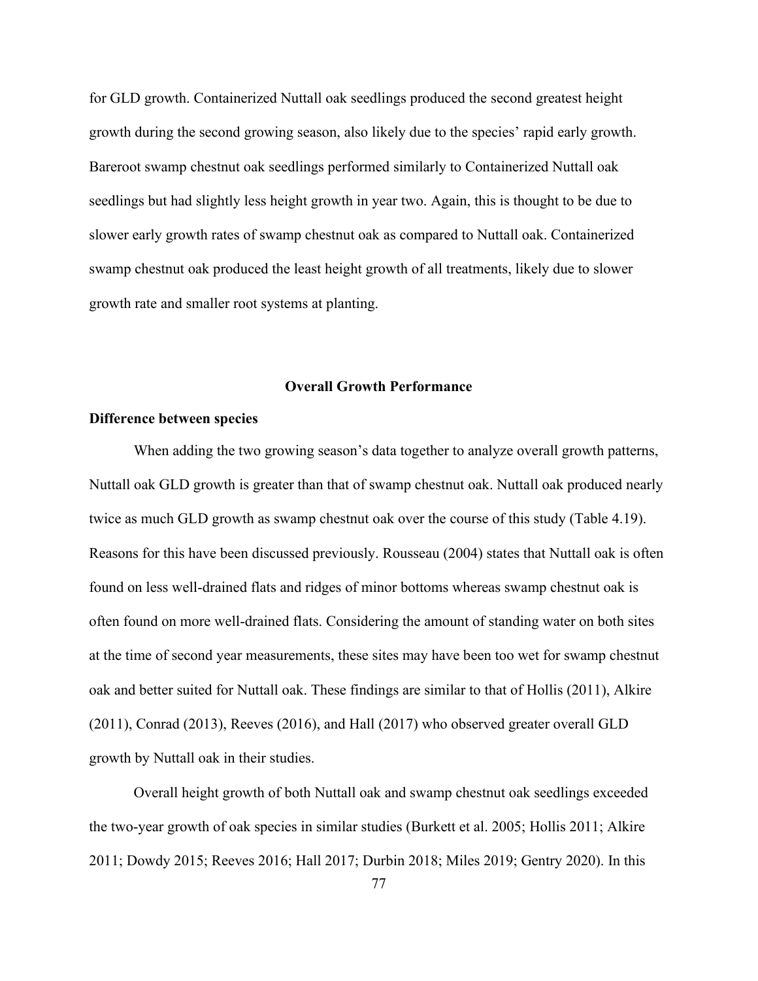for GLD growth. Containerized Nuttall oak seedlings produced the second greatest height growth during the second growing season, also likely due to the species' rapid early growth. Bareroot swamp chestnut oak seedlings performed similarly to Containerized Nuttall oak seedlings but had slightly less height growth in year two. Again, this is thought to be due to slower early growth rates of swamp chestnut oak as compared to Nuttall oak. Containerized swamp chestnut oak produced the least height growth of all treatments, likely due to slower growth rate and smaller root systems at planting.

#### **Overall Growth Performance**

#### **Difference between species**

When adding the two growing season's data together to analyze overall growth patterns, Nuttall oak GLD growth is greater than that of swamp chestnut oak. Nuttall oak produced nearly twice as much GLD growth as swamp chestnut oak over the course of this study (Table 4.19). Reasons for this have been discussed previously. Rousseau (2004) states that Nuttall oak is often found on less well-drained flats and ridges of minor bottoms whereas swamp chestnut oak is often found on more well-drained flats. Considering the amount of standing water on both sites at the time of second year measurements, these sites may have been too wet for swamp chestnut oak and better suited for Nuttall oak. These findings are similar to that of Hollis (2011), Alkire (2011), Conrad (2013), Reeves (2016), and Hall (2017) who observed greater overall GLD growth by Nuttall oak in their studies.

Overall height growth of both Nuttall oak and swamp chestnut oak seedlings exceeded the two-year growth of oak species in similar studies (Burkett et al. 2005; Hollis 2011; Alkire 2011; Dowdy 2015; Reeves 2016; Hall 2017; Durbin 2018; Miles 2019; Gentry 2020). In this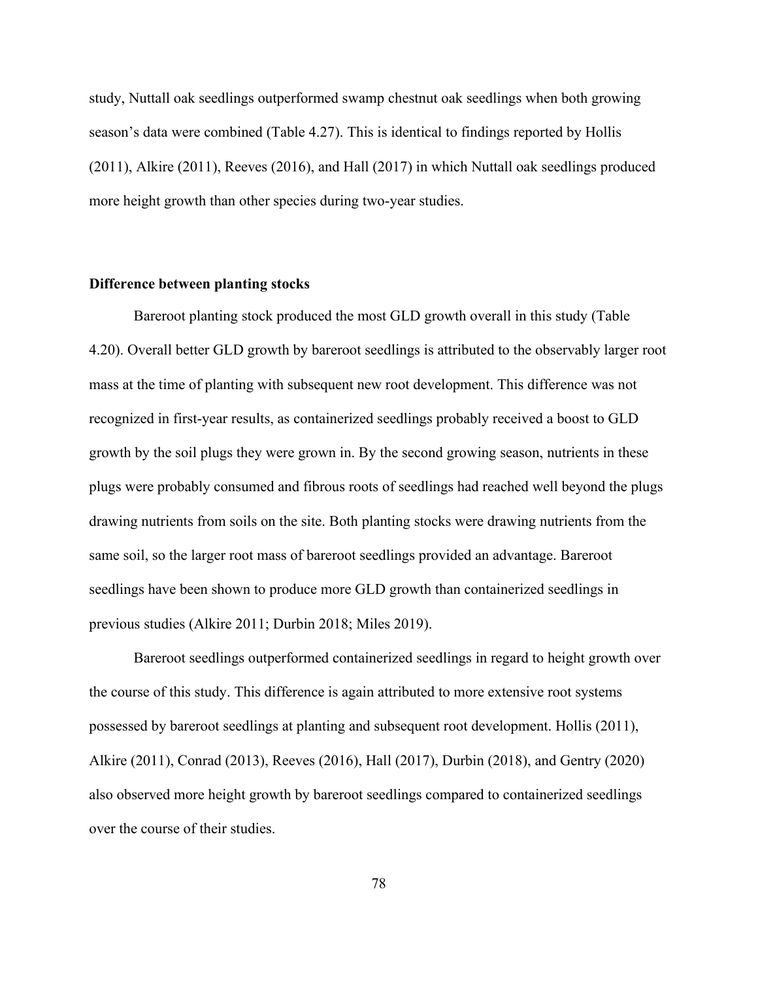study, Nuttall oak seedlings outperformed swamp chestnut oak seedlings when both growing season's data were combined (Table 4.27). This is identical to findings reported by Hollis (2011), Alkire (2011), Reeves (2016), and Hall (2017) in which Nuttall oak seedlings produced more height growth than other species during two-year studies.

## **Difference between planting stocks**

Bareroot planting stock produced the most GLD growth overall in this study (Table 4.20). Overall better GLD growth by bareroot seedlings is attributed to the observably larger root mass at the time of planting with subsequent new root development. This difference was not recognized in first-year results, as containerized seedlings probably received a boost to GLD growth by the soil plugs they were grown in. By the second growing season, nutrients in these plugs were probably consumed and fibrous roots of seedlings had reached well beyond the plugs drawing nutrients from soils on the site. Both planting stocks were drawing nutrients from the same soil, so the larger root mass of bareroot seedlings provided an advantage. Bareroot seedlings have been shown to produce more GLD growth than containerized seedlings in previous studies (Alkire 2011; Durbin 2018; Miles 2019).

Bareroot seedlings outperformed containerized seedlings in regard to height growth over the course of this study. This difference is again attributed to more extensive root systems possessed by bareroot seedlings at planting and subsequent root development. Hollis (2011), Alkire (2011), Conrad (2013), Reeves (2016), Hall (2017), Durbin (2018), and Gentry (2020) also observed more height growth by bareroot seedlings compared to containerized seedlings over the course of their studies.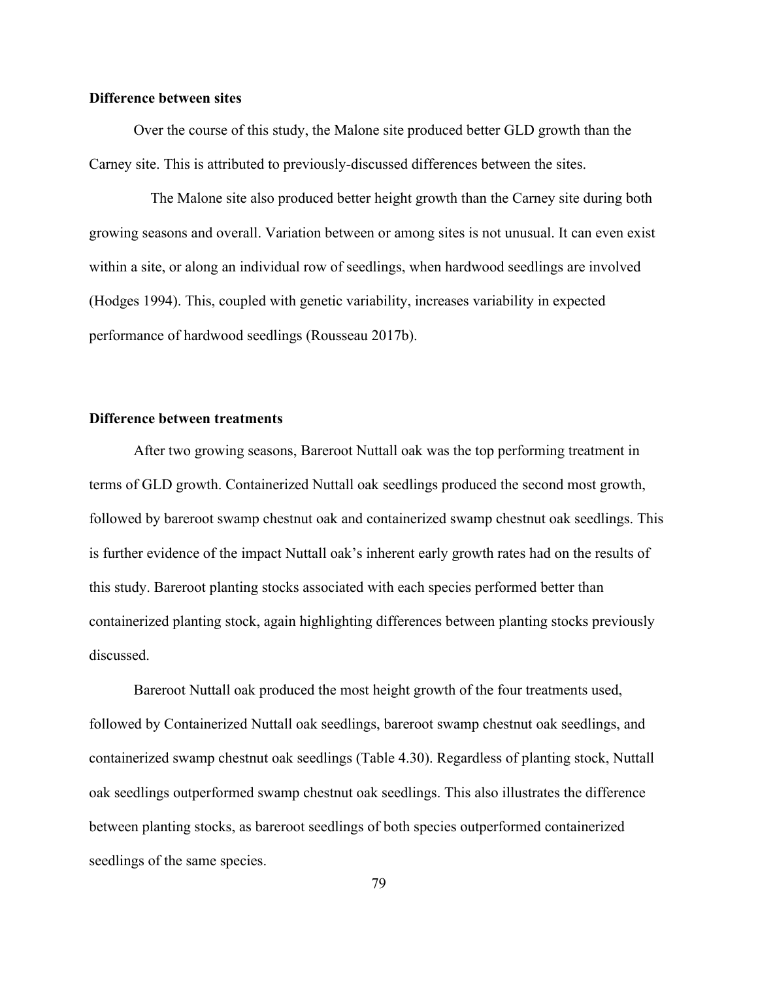### **Difference between sites**

Over the course of this study, the Malone site produced better GLD growth than the Carney site. This is attributed to previously-discussed differences between the sites.

The Malone site also produced better height growth than the Carney site during both growing seasons and overall. Variation between or among sites is not unusual. It can even exist within a site, or along an individual row of seedlings, when hardwood seedlings are involved (Hodges 1994). This, coupled with genetic variability, increases variability in expected performance of hardwood seedlings (Rousseau 2017b).

#### **Difference between treatments**

After two growing seasons, Bareroot Nuttall oak was the top performing treatment in terms of GLD growth. Containerized Nuttall oak seedlings produced the second most growth, followed by bareroot swamp chestnut oak and containerized swamp chestnut oak seedlings. This is further evidence of the impact Nuttall oak's inherent early growth rates had on the results of this study. Bareroot planting stocks associated with each species performed better than containerized planting stock, again highlighting differences between planting stocks previously discussed.

Bareroot Nuttall oak produced the most height growth of the four treatments used, followed by Containerized Nuttall oak seedlings, bareroot swamp chestnut oak seedlings, and containerized swamp chestnut oak seedlings (Table 4.30). Regardless of planting stock, Nuttall oak seedlings outperformed swamp chestnut oak seedlings. This also illustrates the difference between planting stocks, as bareroot seedlings of both species outperformed containerized seedlings of the same species.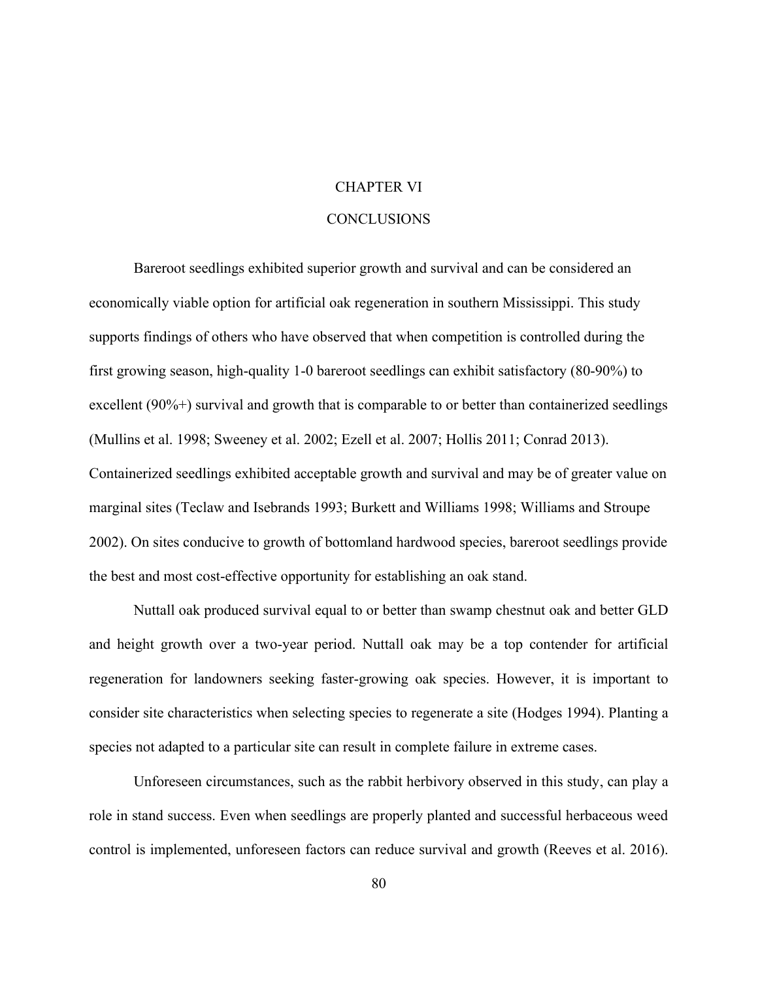# CHAPTER VI

# **CONCLUSIONS**

Bareroot seedlings exhibited superior growth and survival and can be considered an economically viable option for artificial oak regeneration in southern Mississippi. This study supports findings of others who have observed that when competition is controlled during the first growing season, high-quality 1-0 bareroot seedlings can exhibit satisfactory (80-90%) to excellent (90%+) survival and growth that is comparable to or better than containerized seedlings (Mullins et al. 1998; Sweeney et al. 2002; Ezell et al. 2007; Hollis 2011; Conrad 2013). Containerized seedlings exhibited acceptable growth and survival and may be of greater value on marginal sites (Teclaw and Isebrands 1993; Burkett and Williams 1998; Williams and Stroupe 2002). On sites conducive to growth of bottomland hardwood species, bareroot seedlings provide the best and most cost-effective opportunity for establishing an oak stand.

Nuttall oak produced survival equal to or better than swamp chestnut oak and better GLD and height growth over a two-year period. Nuttall oak may be a top contender for artificial regeneration for landowners seeking faster-growing oak species. However, it is important to consider site characteristics when selecting species to regenerate a site (Hodges 1994). Planting a species not adapted to a particular site can result in complete failure in extreme cases.

Unforeseen circumstances, such as the rabbit herbivory observed in this study, can play a role in stand success. Even when seedlings are properly planted and successful herbaceous weed control is implemented, unforeseen factors can reduce survival and growth (Reeves et al. 2016).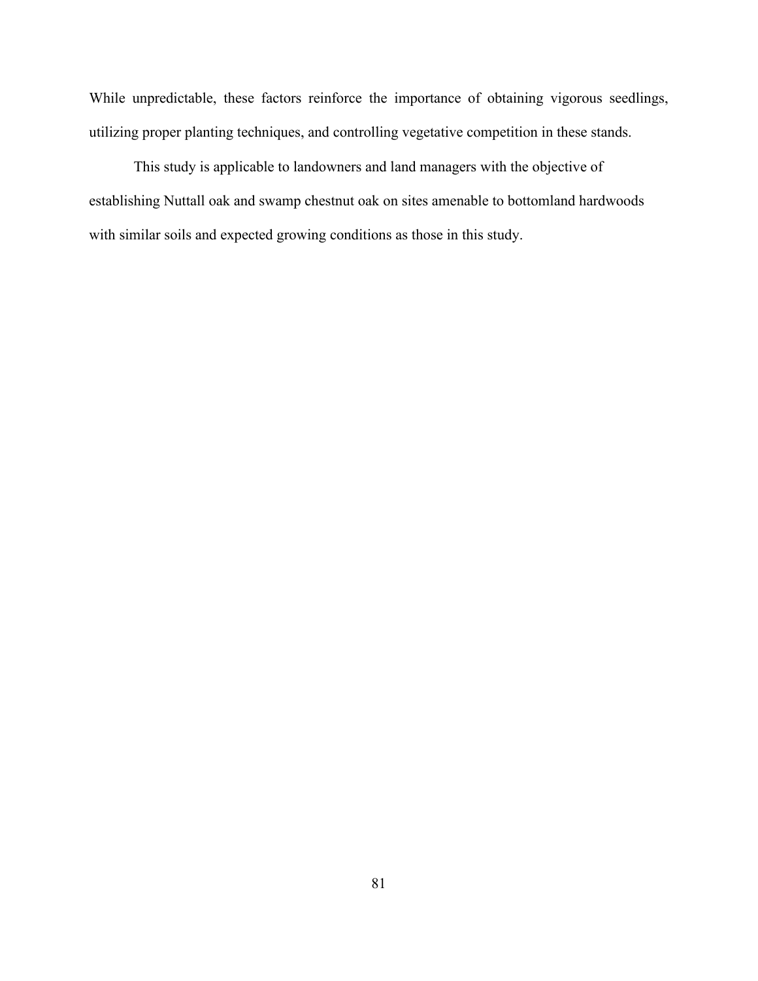While unpredictable, these factors reinforce the importance of obtaining vigorous seedlings, utilizing proper planting techniques, and controlling vegetative competition in these stands.

This study is applicable to landowners and land managers with the objective of establishing Nuttall oak and swamp chestnut oak on sites amenable to bottomland hardwoods with similar soils and expected growing conditions as those in this study.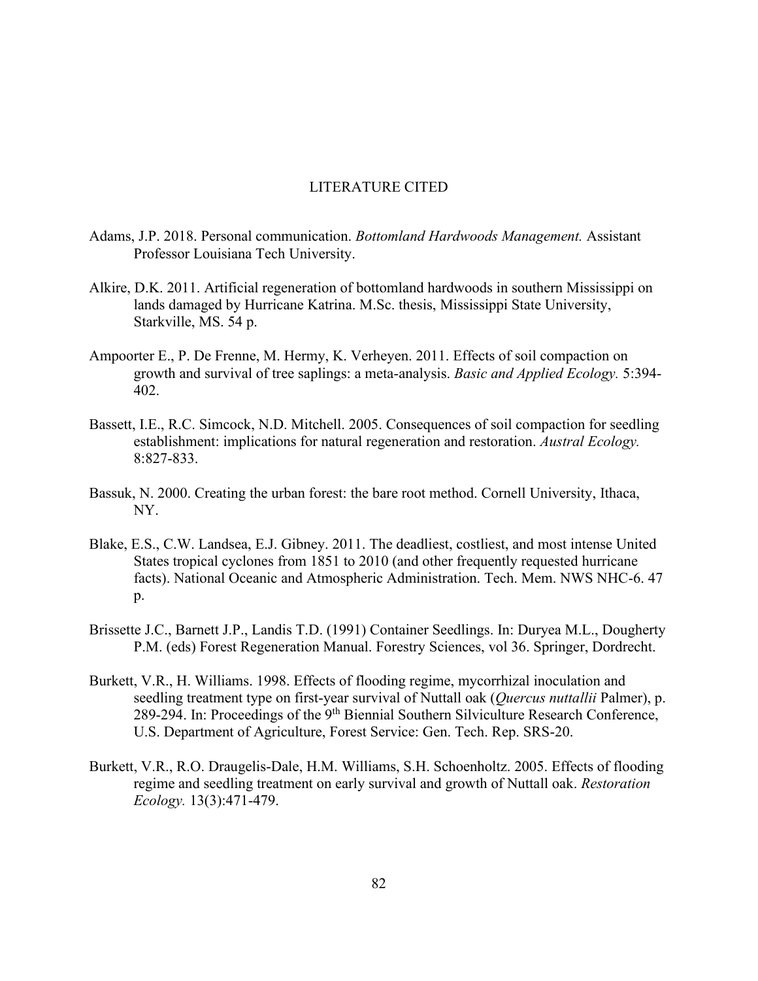## LITERATURE CITED

- Adams, J.P. 2018. Personal communication. *Bottomland Hardwoods Management.* Assistant Professor Louisiana Tech University.
- Alkire, D.K. 2011. Artificial regeneration of bottomland hardwoods in southern Mississippi on lands damaged by Hurricane Katrina. M.Sc. thesis, Mississippi State University, Starkville, MS. 54 p.
- Ampoorter E., P. De Frenne, M. Hermy, K. Verheyen. 2011. Effects of soil compaction on growth and survival of tree saplings: a meta-analysis. *Basic and Applied Ecology.* 5:394- 402.
- Bassett, I.E., R.C. Simcock, N.D. Mitchell. 2005. Consequences of soil compaction for seedling establishment: implications for natural regeneration and restoration. *Austral Ecology.* 8:827-833.
- Bassuk, N. 2000. Creating the urban forest: the bare root method. Cornell University, Ithaca, NY.
- Blake, E.S., C.W. Landsea, E.J. Gibney. 2011. The deadliest, costliest, and most intense United States tropical cyclones from 1851 to 2010 (and other frequently requested hurricane facts). National Oceanic and Atmospheric Administration. Tech. Mem. NWS NHC-6. 47 p.
- Brissette J.C., Barnett J.P., Landis T.D. (1991) Container Seedlings. In: Duryea M.L., Dougherty P.M. (eds) Forest Regeneration Manual. Forestry Sciences, vol 36. Springer, Dordrecht.
- Burkett, V.R., H. Williams. 1998. Effects of flooding regime, mycorrhizal inoculation and seedling treatment type on first-year survival of Nuttall oak (*Quercus nuttallii* Palmer), p. 289-294. In: Proceedings of the 9<sup>th</sup> Biennial Southern Silviculture Research Conference, U.S. Department of Agriculture, Forest Service: Gen. Tech. Rep. SRS-20.
- Burkett, V.R., R.O. Draugelis-Dale, H.M. Williams, S.H. Schoenholtz. 2005. Effects of flooding regime and seedling treatment on early survival and growth of Nuttall oak. *Restoration Ecology.* 13(3):471-479.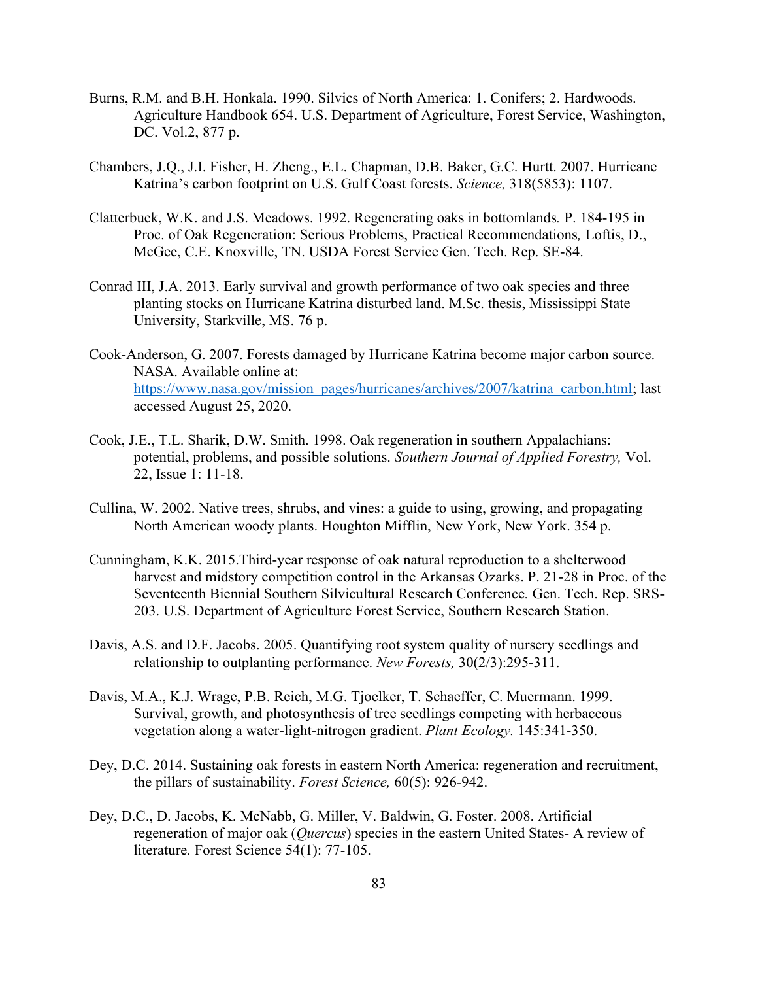- Burns, R.M. and B.H. Honkala. 1990. Silvics of North America: 1. Conifers; 2. Hardwoods. Agriculture Handbook 654. U.S. Department of Agriculture, Forest Service, Washington, DC. Vol.2, 877 p.
- Chambers, J.Q., J.I. Fisher, H. Zheng., E.L. Chapman, D.B. Baker, G.C. Hurtt. 2007. Hurricane Katrina's carbon footprint on U.S. Gulf Coast forests. *Science,* 318(5853): 1107.
- Clatterbuck, W.K. and J.S. Meadows. 1992. Regenerating oaks in bottomlands*.* P. 184-195 in Proc. of Oak Regeneration: Serious Problems, Practical Recommendations*,* Loftis, D., McGee, C.E. Knoxville, TN. USDA Forest Service Gen. Tech. Rep. SE-84.
- Conrad III, J.A. 2013. Early survival and growth performance of two oak species and three planting stocks on Hurricane Katrina disturbed land. M.Sc. thesis, Mississippi State University, Starkville, MS. 76 p.
- Cook-Anderson, G. 2007. Forests damaged by Hurricane Katrina become major carbon source. NASA. Available online at: [https://www.nasa.gov/mission\\_pages/hurricanes/archives/2007/katrina\\_carbon.html;](https://www.nasa.gov/mission_pages/hurricanes/archives/2007/katrina_carbon.html) last accessed August 25, 2020.
- Cook, J.E., T.L. Sharik, D.W. Smith. 1998. Oak regeneration in southern Appalachians: potential, problems, and possible solutions. *Southern Journal of Applied Forestry,* Vol. 22, Issue 1: 11-18.
- Cullina, W. 2002. Native trees, shrubs, and vines: a guide to using, growing, and propagating North American woody plants. Houghton Mifflin, New York, New York. 354 p.
- Cunningham, K.K. 2015.Third-year response of oak natural reproduction to a shelterwood harvest and midstory competition control in the Arkansas Ozarks. P. 21-28 in Proc. of the Seventeenth Biennial Southern Silvicultural Research Conference*.* Gen. Tech. Rep. SRS-203. U.S. Department of Agriculture Forest Service, Southern Research Station.
- Davis, A.S. and D.F. Jacobs. 2005. Quantifying root system quality of nursery seedlings and relationship to outplanting performance. *New Forests,* 30(2/3):295-311.
- Davis, M.A., K.J. Wrage, P.B. Reich, M.G. Tjoelker, T. Schaeffer, C. Muermann. 1999. Survival, growth, and photosynthesis of tree seedlings competing with herbaceous vegetation along a water-light-nitrogen gradient. *Plant Ecology.* 145:341-350.
- Dey, D.C. 2014. Sustaining oak forests in eastern North America: regeneration and recruitment, the pillars of sustainability. *Forest Science,* 60(5): 926-942.
- Dey, D.C., D. Jacobs, K. McNabb, G. Miller, V. Baldwin, G. Foster. 2008. Artificial regeneration of major oak (*Quercus*) species in the eastern United States- A review of literature*.* Forest Science 54(1): 77-105.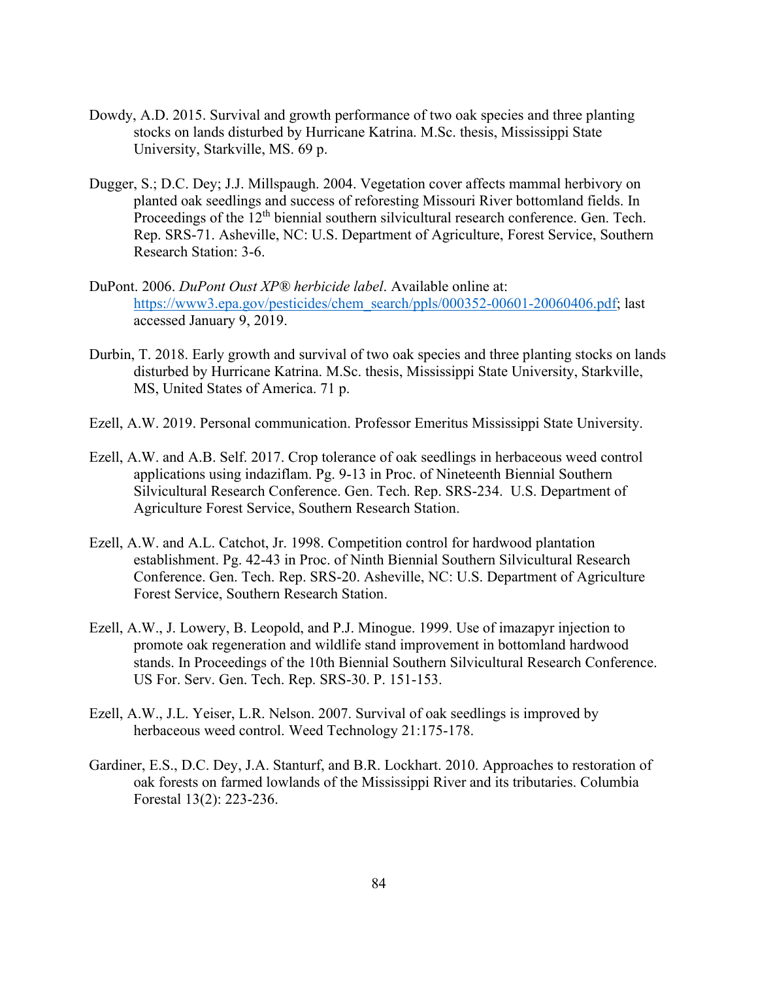- Dowdy, A.D. 2015. Survival and growth performance of two oak species and three planting stocks on lands disturbed by Hurricane Katrina. M.Sc. thesis, Mississippi State University, Starkville, MS. 69 p.
- Dugger, S.; D.C. Dey; J.J. Millspaugh. 2004. Vegetation cover affects mammal herbivory on planted oak seedlings and success of reforesting Missouri River bottomland fields. In Proceedings of the 12<sup>th</sup> biennial southern silvicultural research conference. Gen. Tech. Rep. SRS-71. Asheville, NC: U.S. Department of Agriculture, Forest Service, Southern Research Station: 3-6.
- DuPont. 2006. *DuPont Oust XP® herbicide label*. Available online at: [https://www3.epa.gov/pesticides/chem\\_search/ppls/000352-00601-20060406.pdf;](https://www3.epa.gov/pesticides/chem_search/ppls/000352-00601-20060406.pdf) last accessed January 9, 2019.
- Durbin, T. 2018. Early growth and survival of two oak species and three planting stocks on lands disturbed by Hurricane Katrina. M.Sc. thesis, Mississippi State University, Starkville, MS, United States of America. 71 p.
- Ezell, A.W. 2019. Personal communication. Professor Emeritus Mississippi State University.
- Ezell, A.W. and A.B. Self. 2017. Crop tolerance of oak seedlings in herbaceous weed control applications using indaziflam. Pg. 9-13 in Proc. of Nineteenth Biennial Southern Silvicultural Research Conference. Gen. Tech. Rep. SRS-234. U.S. Department of Agriculture Forest Service, Southern Research Station.
- Ezell, A.W. and A.L. Catchot, Jr. 1998. Competition control for hardwood plantation establishment. Pg. 42-43 in Proc. of Ninth Biennial Southern Silvicultural Research Conference. Gen. Tech. Rep. SRS-20. Asheville, NC: U.S. Department of Agriculture Forest Service, Southern Research Station.
- Ezell, A.W., J. Lowery, B. Leopold, and P.J. Minogue. 1999. Use of imazapyr injection to promote oak regeneration and wildlife stand improvement in bottomland hardwood stands. In Proceedings of the 10th Biennial Southern Silvicultural Research Conference. US For. Serv. Gen. Tech. Rep. SRS-30. P. 151-153.
- Ezell, A.W., J.L. Yeiser, L.R. Nelson. 2007. Survival of oak seedlings is improved by herbaceous weed control. Weed Technology 21:175-178.
- Gardiner, E.S., D.C. Dey, J.A. Stanturf, and B.R. Lockhart. 2010. Approaches to restoration of oak forests on farmed lowlands of the Mississippi River and its tributaries. Columbia Forestal 13(2): 223-236.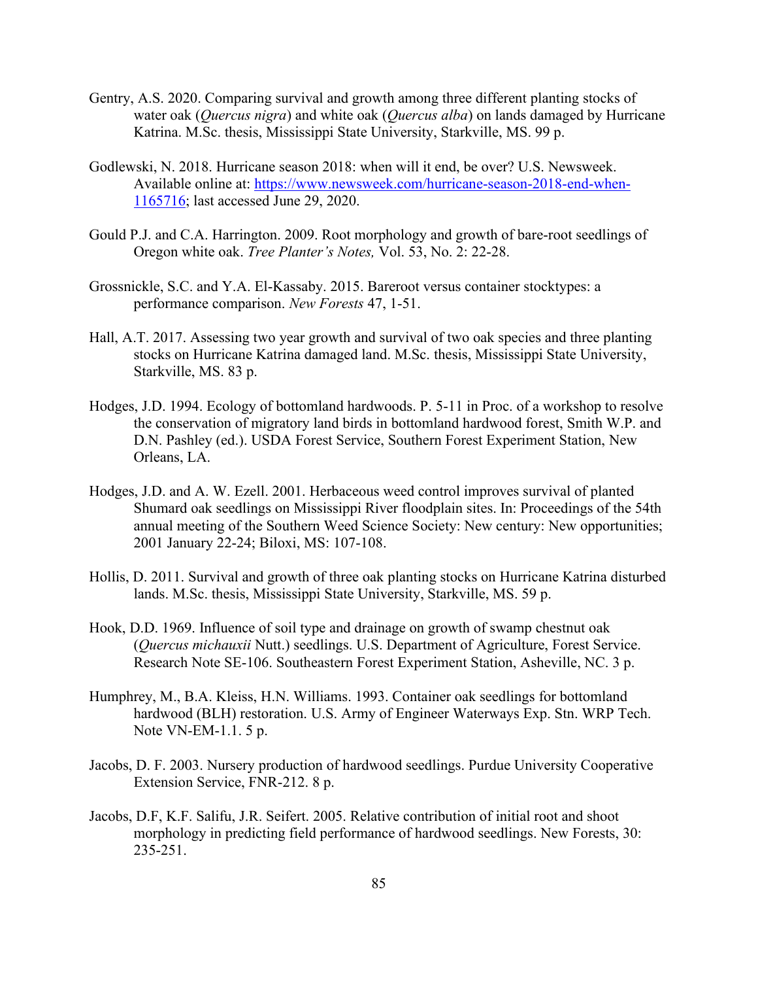- Gentry, A.S. 2020. Comparing survival and growth among three different planting stocks of water oak (*Quercus nigra*) and white oak (*Quercus alba*) on lands damaged by Hurricane Katrina. M.Sc. thesis, Mississippi State University, Starkville, MS. 99 p.
- Godlewski, N. 2018. Hurricane season 2018: when will it end, be over? U.S. Newsweek. Available online at: [https://www.newsweek.com/hurricane-season-2018-end-when-](https://www.newsweek.com/hurricane-season-2018-end-when-1165716)[1165716;](https://www.newsweek.com/hurricane-season-2018-end-when-1165716) last accessed June 29, 2020.
- Gould P.J. and C.A. Harrington. 2009. Root morphology and growth of bare-root seedlings of Oregon white oak. *Tree Planter's Notes,* Vol. 53, No. 2: 22-28.
- Grossnickle, S.C. and Y.A. El-Kassaby. 2015. Bareroot versus container stocktypes: a performance comparison. *New Forests* 47, 1-51.
- Hall, A.T. 2017. Assessing two year growth and survival of two oak species and three planting stocks on Hurricane Katrina damaged land. M.Sc. thesis, Mississippi State University, Starkville, MS. 83 p.
- Hodges, J.D. 1994. Ecology of bottomland hardwoods. P. 5-11 in Proc. of a workshop to resolve the conservation of migratory land birds in bottomland hardwood forest, Smith W.P. and D.N. Pashley (ed.). USDA Forest Service, Southern Forest Experiment Station, New Orleans, LA.
- Hodges, J.D. and A. W. Ezell. 2001. Herbaceous weed control improves survival of planted Shumard oak seedlings on Mississippi River floodplain sites. In: Proceedings of the 54th annual meeting of the Southern Weed Science Society: New century: New opportunities; 2001 January 22-24; Biloxi, MS: 107-108.
- Hollis, D. 2011. Survival and growth of three oak planting stocks on Hurricane Katrina disturbed lands. M.Sc. thesis, Mississippi State University, Starkville, MS. 59 p.
- Hook, D.D. 1969. Influence of soil type and drainage on growth of swamp chestnut oak (*Quercus michauxii* Nutt.) seedlings. U.S. Department of Agriculture, Forest Service. Research Note SE-106. Southeastern Forest Experiment Station, Asheville, NC. 3 p.
- Humphrey, M., B.A. Kleiss, H.N. Williams. 1993. Container oak seedlings for bottomland hardwood (BLH) restoration. U.S. Army of Engineer Waterways Exp. Stn. WRP Tech. Note VN-EM-1.1. 5 p.
- Jacobs, D. F. 2003. Nursery production of hardwood seedlings. Purdue University Cooperative Extension Service, FNR-212. 8 p.
- Jacobs, D.F, K.F. Salifu, J.R. Seifert. 2005. Relative contribution of initial root and shoot morphology in predicting field performance of hardwood seedlings. New Forests, 30: 235-251.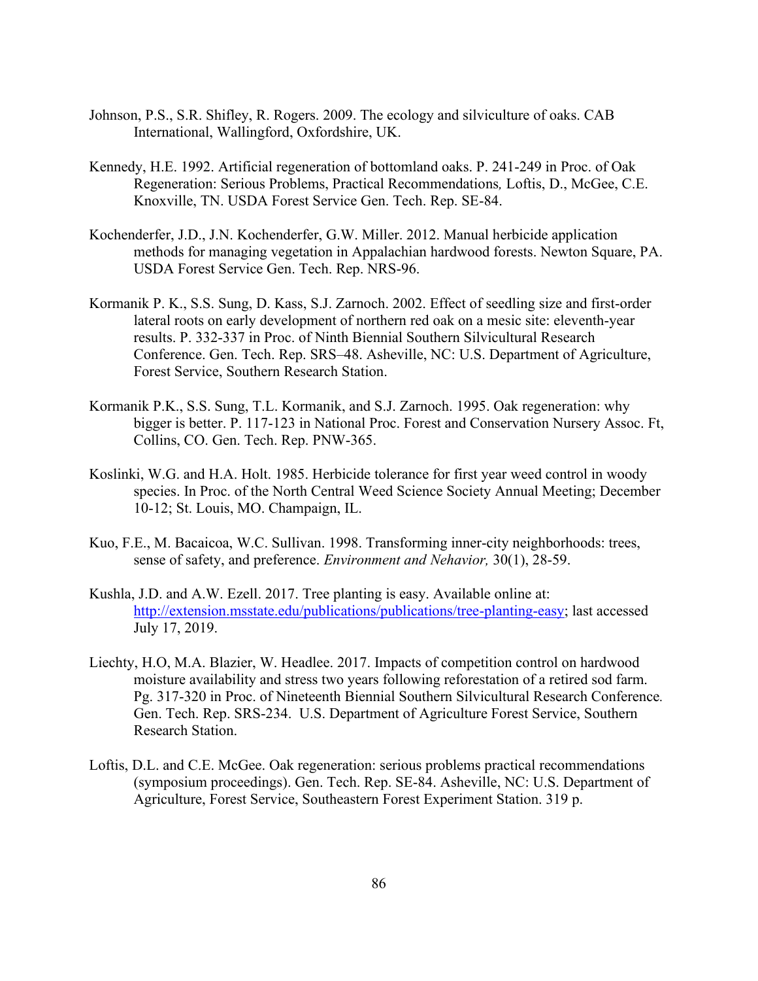- Johnson, P.S., S.R. Shifley, R. Rogers. 2009. The ecology and silviculture of oaks. CAB International, Wallingford, Oxfordshire, UK.
- Kennedy, H.E. 1992. Artificial regeneration of bottomland oaks. P. 241-249 in Proc. of Oak Regeneration: Serious Problems, Practical Recommendations*,* Loftis, D., McGee, C.E. Knoxville, TN. USDA Forest Service Gen. Tech. Rep. SE-84.
- Kochenderfer, J.D., J.N. Kochenderfer, G.W. Miller. 2012. Manual herbicide application methods for managing vegetation in Appalachian hardwood forests. Newton Square, PA. USDA Forest Service Gen. Tech. Rep. NRS-96.
- Kormanik P. K., S.S. Sung, D. Kass, S.J. Zarnoch. 2002. Effect of seedling size and first-order lateral roots on early development of northern red oak on a mesic site: eleventh-year results. P. 332-337 in Proc. of Ninth Biennial Southern Silvicultural Research Conference. Gen. Tech. Rep. SRS–48. Asheville, NC: U.S. Department of Agriculture, Forest Service, Southern Research Station.
- Kormanik P.K., S.S. Sung, T.L. Kormanik, and S.J. Zarnoch. 1995. Oak regeneration: why bigger is better. P. 117-123 in National Proc. Forest and Conservation Nursery Assoc. Ft, Collins, CO. Gen. Tech. Rep. PNW-365.
- Koslinki, W.G. and H.A. Holt. 1985. Herbicide tolerance for first year weed control in woody species. In Proc. of the North Central Weed Science Society Annual Meeting; December 10-12; St. Louis, MO. Champaign, IL.
- Kuo, F.E., M. Bacaicoa, W.C. Sullivan. 1998. Transforming inner-city neighborhoods: trees, sense of safety, and preference. *Environment and Nehavior,* 30(1), 28-59.
- Kushla, J.D. and A.W. Ezell. 2017. Tree planting is easy. Available online at: [http://extension.msstate.edu/publications/publications/tree-planting-easy;](http://extension.msstate.edu/publications/publications/tree-planting-easy) last accessed July 17, 2019.
- Liechty, H.O, M.A. Blazier, W. Headlee. 2017. Impacts of competition control on hardwood moisture availability and stress two years following reforestation of a retired sod farm. Pg. 317-320 in Proc. of Nineteenth Biennial Southern Silvicultural Research Conference*.* Gen. Tech. Rep. SRS-234. U.S. Department of Agriculture Forest Service, Southern Research Station.
- Loftis, D.L. and C.E. McGee. Oak regeneration: serious problems practical recommendations (symposium proceedings). Gen. Tech. Rep. SE-84. Asheville, NC: U.S. Department of Agriculture, Forest Service, Southeastern Forest Experiment Station. 319 p.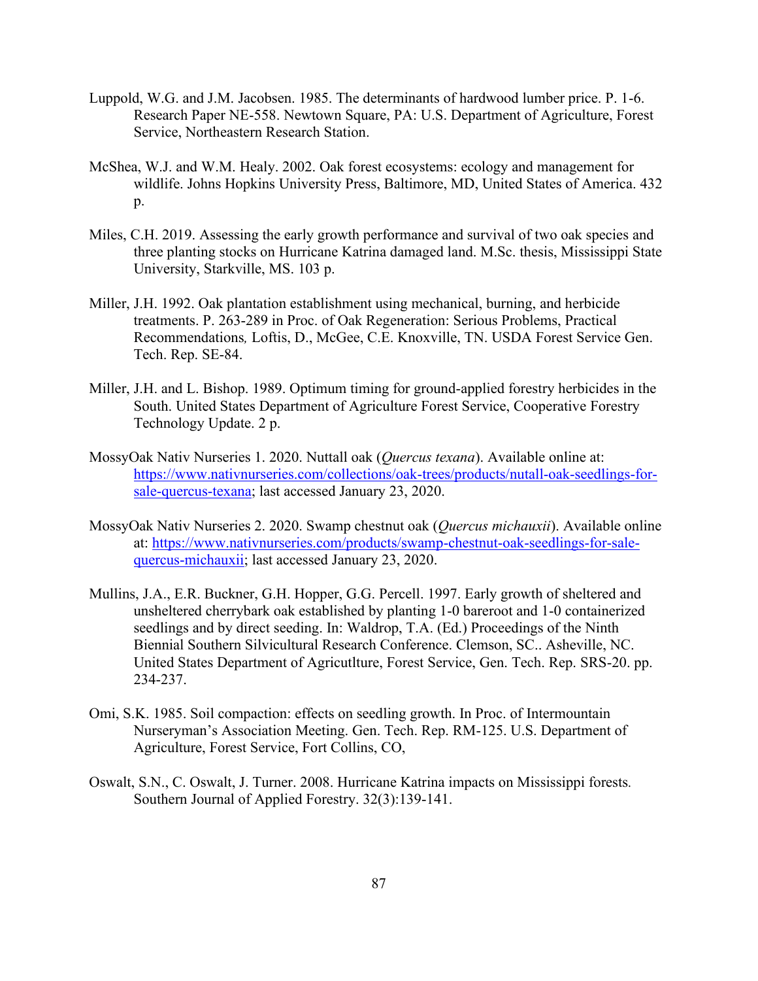- Luppold, W.G. and J.M. Jacobsen. 1985. The determinants of hardwood lumber price. P. 1-6. Research Paper NE-558. Newtown Square, PA: U.S. Department of Agriculture, Forest Service, Northeastern Research Station.
- McShea, W.J. and W.M. Healy. 2002. Oak forest ecosystems: ecology and management for wildlife. Johns Hopkins University Press, Baltimore, MD, United States of America. 432 p.
- Miles, C.H. 2019. Assessing the early growth performance and survival of two oak species and three planting stocks on Hurricane Katrina damaged land. M.Sc. thesis, Mississippi State University, Starkville, MS. 103 p.
- Miller, J.H. 1992. Oak plantation establishment using mechanical, burning, and herbicide treatments. P. 263-289 in Proc. of Oak Regeneration: Serious Problems, Practical Recommendations*,* Loftis, D., McGee, C.E. Knoxville, TN. USDA Forest Service Gen. Tech. Rep. SE-84.
- Miller, J.H. and L. Bishop. 1989. Optimum timing for ground-applied forestry herbicides in the South. United States Department of Agriculture Forest Service, Cooperative Forestry Technology Update. 2 p.
- MossyOak Nativ Nurseries 1. 2020. Nuttall oak (*Quercus texana*). Available online at: [https://www.nativnurseries.com/collections/oak-trees/products/nutall-oak-seedlings-for](https://www.nativnurseries.com/collections/oak-trees/products/nutall-oak-seedlings-for-sale-quercus-texana)[sale-quercus-texana;](https://www.nativnurseries.com/collections/oak-trees/products/nutall-oak-seedlings-for-sale-quercus-texana) last accessed January 23, 2020.
- MossyOak Nativ Nurseries 2. 2020. Swamp chestnut oak (*Quercus michauxii*). Available online at: [https://www.nativnurseries.com/products/swamp-chestnut-oak-seedlings-for-sale](https://www.nativnurseries.com/products/swamp-chestnut-oak-seedlings-for-sale-quercus-michauxii)[quercus-michauxii;](https://www.nativnurseries.com/products/swamp-chestnut-oak-seedlings-for-sale-quercus-michauxii) last accessed January 23, 2020.
- Mullins, J.A., E.R. Buckner, G.H. Hopper, G.G. Percell. 1997. Early growth of sheltered and unsheltered cherrybark oak established by planting 1-0 bareroot and 1-0 containerized seedlings and by direct seeding. In: Waldrop, T.A. (Ed.) Proceedings of the Ninth Biennial Southern Silvicultural Research Conference. Clemson, SC.. Asheville, NC. United States Department of Agricutlture, Forest Service, Gen. Tech. Rep. SRS-20. pp. 234-237.
- Omi, S.K. 1985. Soil compaction: effects on seedling growth. In Proc. of Intermountain Nurseryman's Association Meeting. Gen. Tech. Rep. RM-125. U.S. Department of Agriculture, Forest Service, Fort Collins, CO,
- Oswalt, S.N., C. Oswalt, J. Turner. 2008. Hurricane Katrina impacts on Mississippi forests*.* Southern Journal of Applied Forestry. 32(3):139-141.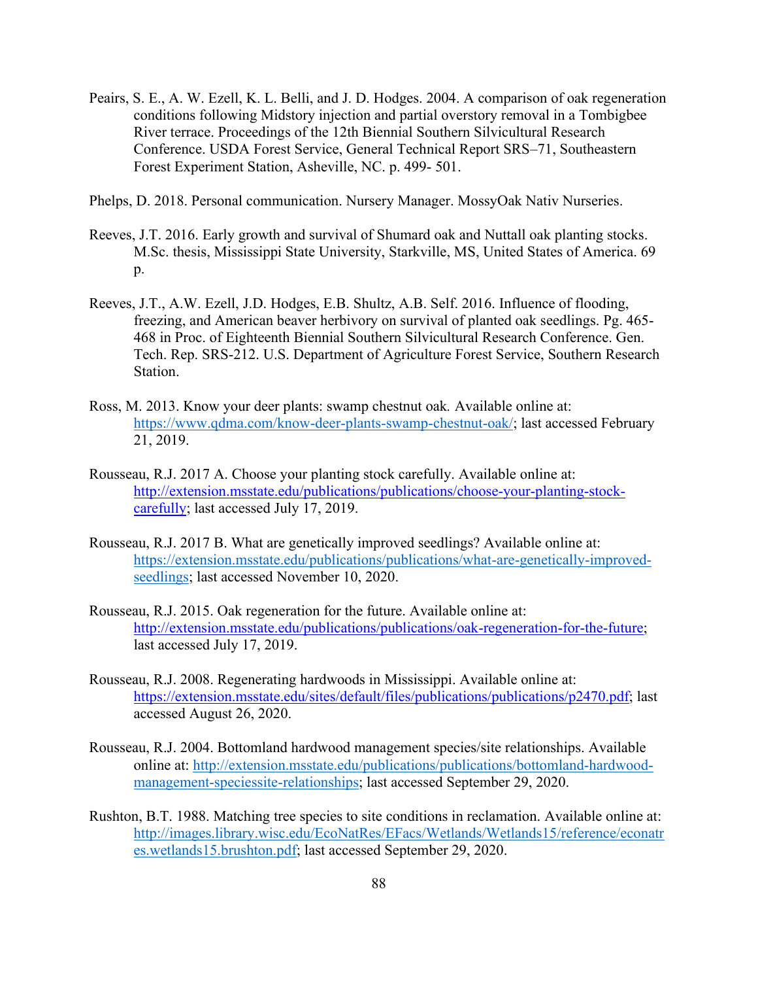- Peairs, S. E., A. W. Ezell, K. L. Belli, and J. D. Hodges. 2004. A comparison of oak regeneration conditions following Midstory injection and partial overstory removal in a Tombigbee River terrace. Proceedings of the 12th Biennial Southern Silvicultural Research Conference. USDA Forest Service, General Technical Report SRS–71, Southeastern Forest Experiment Station, Asheville, NC. p. 499- 501.
- Phelps, D. 2018. Personal communication. Nursery Manager. MossyOak Nativ Nurseries.
- Reeves, J.T. 2016. Early growth and survival of Shumard oak and Nuttall oak planting stocks. M.Sc. thesis, Mississippi State University, Starkville, MS, United States of America. 69 p.
- Reeves, J.T., A.W. Ezell, J.D. Hodges, E.B. Shultz, A.B. Self. 2016. Influence of flooding, freezing, and American beaver herbivory on survival of planted oak seedlings. Pg. 465- 468 in Proc. of Eighteenth Biennial Southern Silvicultural Research Conference. Gen. Tech. Rep. SRS-212. U.S. Department of Agriculture Forest Service, Southern Research Station.
- Ross, M. 2013. Know your deer plants: swamp chestnut oak*.* Available online at: [https://www.qdma.com/know-deer-plants-swamp-chestnut-oak/;](https://www.qdma.com/know-deer-plants-swamp-chestnut-oak/) last accessed February 21, 2019.
- Rousseau, R.J. 2017 A. Choose your planting stock carefully. Available online at: [http://extension.msstate.edu/publications/publications/choose-your-planting-stock](http://extension.msstate.edu/publications/publications/choose-your-planting-stock-carefully)[carefully;](http://extension.msstate.edu/publications/publications/choose-your-planting-stock-carefully) last accessed July 17, 2019.
- Rousseau, R.J. 2017 B. What are genetically improved seedlings? Available online at: [https://extension.msstate.edu/publications/publications/what-are-genetically-improved](https://extension.msstate.edu/publications/publications/what-are-genetically-improved-seedlings)[seedlings;](https://extension.msstate.edu/publications/publications/what-are-genetically-improved-seedlings) last accessed November 10, 2020.
- Rousseau, R.J. 2015. Oak regeneration for the future. Available online at: [http://extension.msstate.edu/publications/publications/oak-regeneration-for-the-future;](http://extension.msstate.edu/publications/publications/oak-regeneration-for-the-future) last accessed July 17, 2019.
- Rousseau, R.J. 2008. Regenerating hardwoods in Mississippi. Available online at: [https://extension.msstate.edu/sites/default/files/publications/publications/p2470.pdf;](https://extension.msstate.edu/sites/default/files/publications/publications/p2470.pdf) last accessed August 26, 2020.
- Rousseau, R.J. 2004. Bottomland hardwood management species/site relationships. Available online at: [http://extension.msstate.edu/publications/publications/bottomland-hardwood](http://extension.msstate.edu/publications/publications/bottomland-hardwood-management-speciessite-relationships)[management-speciessite-relationships;](http://extension.msstate.edu/publications/publications/bottomland-hardwood-management-speciessite-relationships) last accessed September 29, 2020.
- Rushton, B.T. 1988. Matching tree species to site conditions in reclamation. Available online at: [http://images.library.wisc.edu/EcoNatRes/EFacs/Wetlands/Wetlands15/reference/econatr](http://images.library.wisc.edu/EcoNatRes/EFacs/Wetlands/Wetlands15/reference/econatres.wetlands15.brushton.pdf) [es.wetlands15.brushton.pdf;](http://images.library.wisc.edu/EcoNatRes/EFacs/Wetlands/Wetlands15/reference/econatres.wetlands15.brushton.pdf) last accessed September 29, 2020.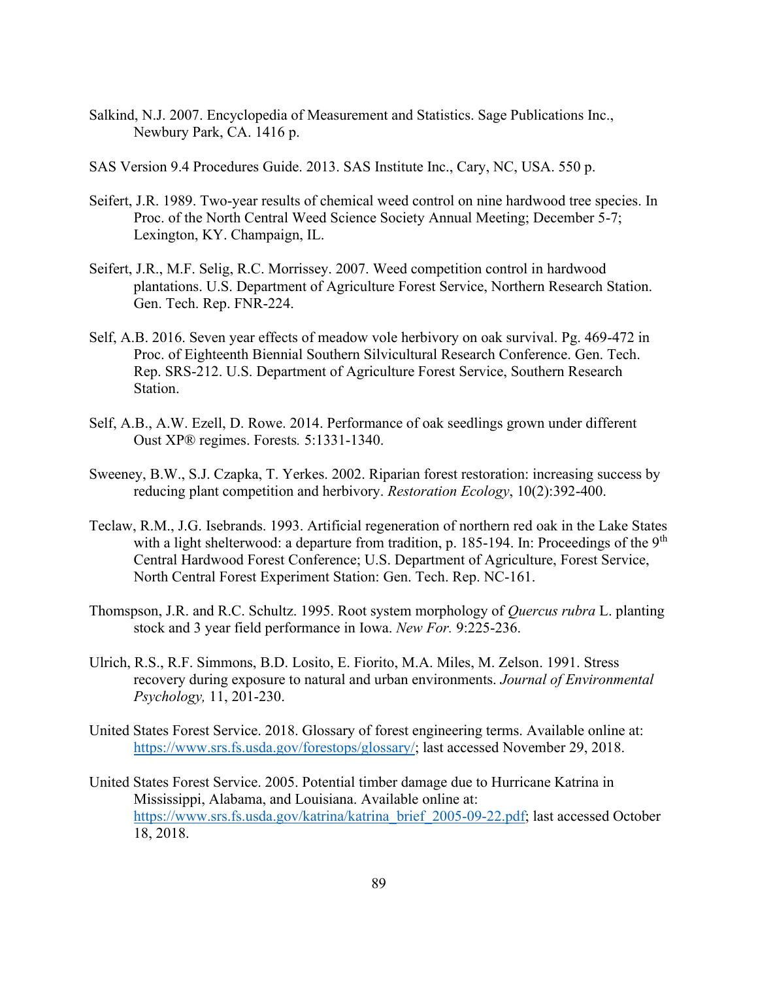- Salkind, N.J. 2007. Encyclopedia of Measurement and Statistics. Sage Publications Inc., Newbury Park, CA. 1416 p.
- SAS Version 9.4 Procedures Guide. 2013. SAS Institute Inc., Cary, NC, USA. 550 p.
- Seifert, J.R. 1989. Two-year results of chemical weed control on nine hardwood tree species. In Proc. of the North Central Weed Science Society Annual Meeting; December 5-7; Lexington, KY. Champaign, IL.
- Seifert, J.R., M.F. Selig, R.C. Morrissey. 2007. Weed competition control in hardwood plantations. U.S. Department of Agriculture Forest Service, Northern Research Station. Gen. Tech. Rep. FNR-224.
- Self, A.B. 2016. Seven year effects of meadow vole herbivory on oak survival. Pg. 469-472 in Proc. of Eighteenth Biennial Southern Silvicultural Research Conference. Gen. Tech. Rep. SRS-212. U.S. Department of Agriculture Forest Service, Southern Research Station.
- Self, A.B., A.W. Ezell, D. Rowe. 2014. Performance of oak seedlings grown under different Oust XP® regimes. Forests*.* 5:1331-1340.
- Sweeney, B.W., S.J. Czapka, T. Yerkes. 2002. Riparian forest restoration: increasing success by reducing plant competition and herbivory. *Restoration Ecology*, 10(2):392-400.
- Teclaw, R.M., J.G. Isebrands. 1993. Artificial regeneration of northern red oak in the Lake States with a light shelterwood: a departure from tradition, p. 185-194. In: Proceedings of the  $9<sup>th</sup>$ Central Hardwood Forest Conference; U.S. Department of Agriculture, Forest Service, North Central Forest Experiment Station: Gen. Tech. Rep. NC-161.
- Thomspson, J.R. and R.C. Schultz. 1995. Root system morphology of *Quercus rubra* L. planting stock and 3 year field performance in Iowa. *New For.* 9:225-236.
- Ulrich, R.S., R.F. Simmons, B.D. Losito, E. Fiorito, M.A. Miles, M. Zelson. 1991. Stress recovery during exposure to natural and urban environments. *Journal of Environmental Psychology,* 11, 201-230.
- United States Forest Service. 2018. Glossary of forest engineering terms. Available online at: [https://www.srs.fs.usda.gov/forestops/glossary/;](https://www.srs.fs.usda.gov/forestops/glossary/) last accessed November 29, 2018.
- United States Forest Service. 2005. Potential timber damage due to Hurricane Katrina in Mississippi, Alabama, and Louisiana. Available online at: [https://www.srs.fs.usda.gov/katrina/katrina\\_brief\\_2005-09-22.pdf;](https://www.srs.fs.usda.gov/katrina/katrina_brief_2005-09-22.pdf) last accessed October 18, 2018.